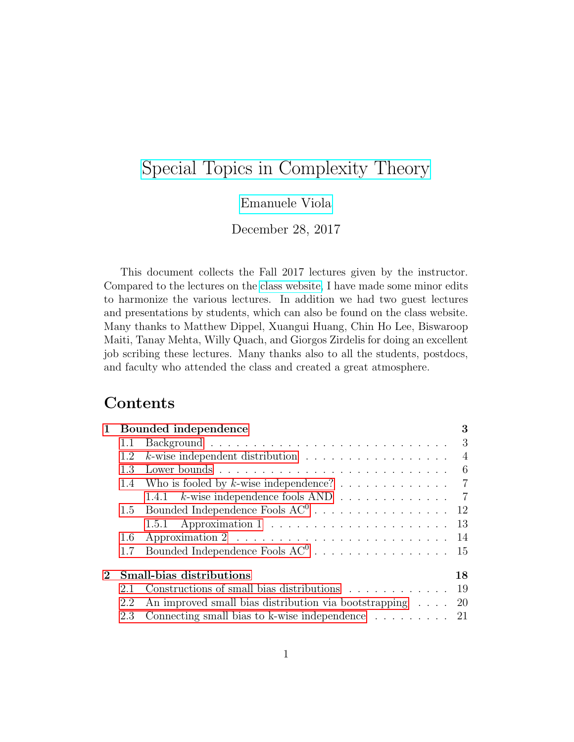# [Special Topics in Complexity Theory](http://www.ccs.neu.edu/home/viola/classes/spepf17.html)

# [Emanuele Viola](http://www.ccs.neu.edu/home/viola/)

December 28, 2017

This document collects the Fall 2017 lectures given by the instructor. Compared to the lectures on the [class website,](http://www.ccs.neu.edu/home/viola/classes/spepf17.html) I have made some minor edits to harmonize the various lectures. In addition we had two guest lectures and presentations by students, which can also be found on the class website. Many thanks to Matthew Dippel, Xuangui Huang, Chin Ho Lee, Biswaroop Maiti, Tanay Mehta, Willy Quach, and Giorgos Zirdelis for doing an excellent job scribing these lectures. Many thanks also to all the students, postdocs, and faculty who attended the class and created a great atmosphere.

# Contents

|                                                |                                                                                    | 3                                                                                                                                                                                                  |  |  |  |  |
|------------------------------------------------|------------------------------------------------------------------------------------|----------------------------------------------------------------------------------------------------------------------------------------------------------------------------------------------------|--|--|--|--|
| 1.1                                            |                                                                                    | 3                                                                                                                                                                                                  |  |  |  |  |
| 1.2                                            | $k$ -wise independent distribution $\ldots \ldots \ldots \ldots \ldots$            | $\overline{4}$                                                                                                                                                                                     |  |  |  |  |
| 1.3                                            |                                                                                    | - 6                                                                                                                                                                                                |  |  |  |  |
| $1.4^{\circ}$                                  |                                                                                    |                                                                                                                                                                                                    |  |  |  |  |
|                                                | 1.4.1 <i>k</i> -wise independence fools AND $\ldots \ldots \ldots \ldots$ 7        |                                                                                                                                                                                                    |  |  |  |  |
| 1.5                                            |                                                                                    |                                                                                                                                                                                                    |  |  |  |  |
|                                                | 1.5.1 Approximation $1 \ldots \ldots \ldots \ldots \ldots \ldots \ldots \ldots$ 13 |                                                                                                                                                                                                    |  |  |  |  |
| 1.6                                            |                                                                                    |                                                                                                                                                                                                    |  |  |  |  |
| 1.7                                            |                                                                                    |                                                                                                                                                                                                    |  |  |  |  |
| <b>Small-bias distributions</b><br>$2^{\circ}$ |                                                                                    |                                                                                                                                                                                                    |  |  |  |  |
| 2.1                                            | Constructions of small bias distributions 19                                       |                                                                                                                                                                                                    |  |  |  |  |
| 2.2                                            |                                                                                    |                                                                                                                                                                                                    |  |  |  |  |
| 2.3                                            |                                                                                    |                                                                                                                                                                                                    |  |  |  |  |
|                                                |                                                                                    | Bounded independence<br>Who is fooled by k-wise independence? 7<br>An improved small bias distribution via bootstrapping<br>Connecting small bias to k-wise independence $\ldots \ldots \ldots$ 21 |  |  |  |  |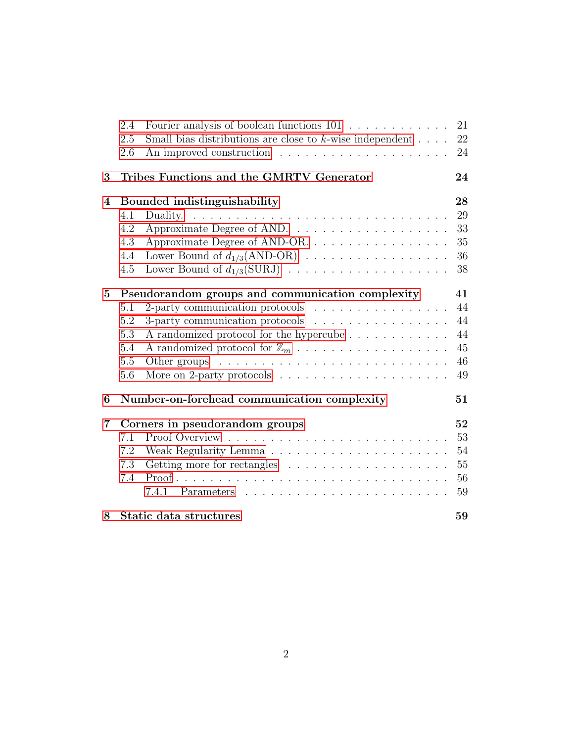|                 | 2.4 | Fourier analysis of boolean functions 101                                   | 21 |
|-----------------|-----|-----------------------------------------------------------------------------|----|
|                 | 2.5 | Small bias distributions are close to $k\text{-wise independent}$           | 22 |
|                 | 2.6 |                                                                             | 24 |
|                 |     |                                                                             |    |
| 3               |     | Tribes Functions and the GMRTV Generator                                    | 24 |
| 4               |     | Bounded indistinguishability                                                | 28 |
|                 | 4.1 | Duality.                                                                    | 29 |
|                 | 4.2 |                                                                             | 33 |
|                 | 4.3 | Approximate Degree of AND-OR.                                               | 35 |
|                 | 4.4 | Lower Bound of $d_{1/3}(\text{AND-OR})$                                     | 36 |
|                 | 4.5 | Lower Bound of $d_{1/3}(\text{SURJ})$                                       | 38 |
|                 |     |                                                                             |    |
| $5\overline{)}$ |     | Pseudorandom groups and communication complexity                            | 41 |
|                 | 5.1 | 2-party communication protocols $\dots \dots \dots \dots \dots \dots$       | 44 |
|                 | 5.2 | 3-party communication protocols $\ldots \ldots \ldots \ldots \ldots$        | 44 |
|                 | 5.3 | A randomized protocol for the hypercube                                     | 44 |
|                 | 5.4 | A randomized protocol for $\mathbb{Z}_m$                                    | 45 |
|                 | 5.5 |                                                                             | 46 |
|                 | 5.6 | More on 2-party protocols $\dots \dots \dots \dots \dots \dots \dots \dots$ | 49 |
| 6               |     | Number-on-forehead communication complexity                                 | 51 |
| $\overline{7}$  |     | Corners in pseudorandom groups                                              | 52 |
|                 | 7.1 |                                                                             | 53 |
|                 | 7.2 |                                                                             | 54 |
|                 | 7.3 |                                                                             | 55 |
|                 | 7.4 |                                                                             | 56 |
|                 |     |                                                                             | 59 |
| 8               |     | Static data structures                                                      | 59 |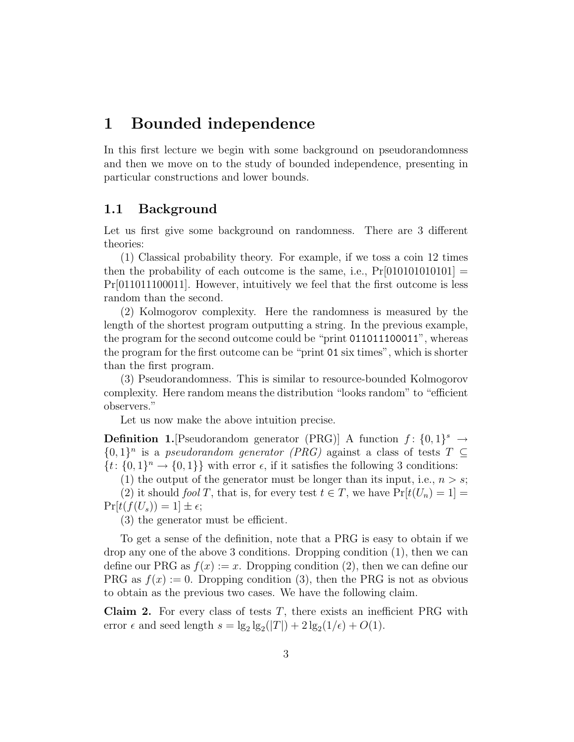# <span id="page-2-0"></span>1 Bounded independence

In this first lecture we begin with some background on pseudorandomness and then we move on to the study of bounded independence, presenting in particular constructions and lower bounds.

# <span id="page-2-1"></span>1.1 Background

Let us first give some background on randomness. There are 3 different theories:

(1) Classical probability theory. For example, if we toss a coin 12 times then the probability of each outcome is the same, i.e.,  $Pr[0101010101] =$ Pr[011011100011]. However, intuitively we feel that the first outcome is less random than the second.

(2) Kolmogorov complexity. Here the randomness is measured by the length of the shortest program outputting a string. In the previous example, the program for the second outcome could be "print 011011100011", whereas the program for the first outcome can be "print 01 six times", which is shorter than the first program.

(3) Pseudorandomness. This is similar to resource-bounded Kolmogorov complexity. Here random means the distribution "looks random" to "efficient observers."

Let us now make the above intuition precise.

**Definition 1.** Pseudorandom generator (PRG) A function  $f: \{0,1\}^s \rightarrow$  $\{0,1\}^n$  is a *pseudorandom generator (PRG)* against a class of tests  $T \subseteq$  $\{t: \{0,1\}^n \to \{0,1\}\}\$  with error  $\epsilon$ , if it satisfies the following 3 conditions:

(1) the output of the generator must be longer than its input, i.e.,  $n > s$ ;

(2) it should fool T, that is, for every test  $t \in T$ , we have  $Pr[t(U_n) = 1] =$  $\Pr[t(f(U_s)) = 1] \pm \epsilon;$ 

(3) the generator must be efficient.

To get a sense of the definition, note that a PRG is easy to obtain if we drop any one of the above 3 conditions. Dropping condition (1), then we can define our PRG as  $f(x) := x$ . Dropping condition (2), then we can define our PRG as  $f(x) := 0$ . Dropping condition (3), then the PRG is not as obvious to obtain as the previous two cases. We have the following claim.

**Claim 2.** For every class of tests  $T$ , there exists an inefficient PRG with error  $\epsilon$  and seed length  $s = \lg_2 \lg_2(|T|) + 2 \lg_2(1/\epsilon) + O(1)$ .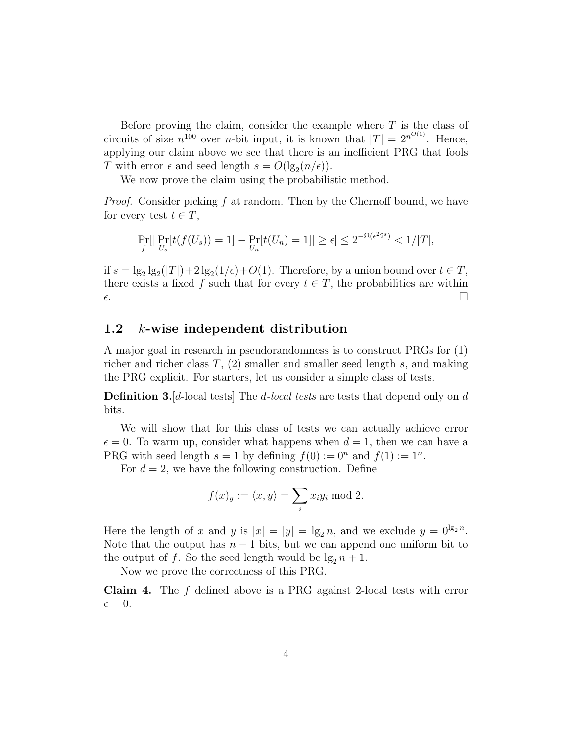Before proving the claim, consider the example where  $T$  is the class of circuits of size  $n^{100}$  over *n*-bit input, it is known that  $|T| = 2^{n^{O(1)}}$ . Hence, applying our claim above we see that there is an inefficient PRG that fools T with error  $\epsilon$  and seed length  $s = O(\lg_2(n/\epsilon)).$ 

We now prove the claim using the probabilistic method.

Proof. Consider picking f at random. Then by the Chernoff bound, we have for every test  $t \in T$ ,

$$
\Pr_{f}[|\Pr_{U_s}[t(f(U_s))] = 1] - \Pr_{U_n}[t(U_n) = 1]| \ge \epsilon] \le 2^{-\Omega(\epsilon^2 2^s)} < 1/|T|,
$$

if  $s = \lg_2 \lg_2(|T|) + 2\lg_2(1/\epsilon) + O(1)$ . Therefore, by a union bound over  $t \in T$ , there exists a fixed f such that for every  $t \in T$ , the probabilities are within  $\epsilon$ .

### <span id="page-3-0"></span>1.2 k-wise independent distribution

A major goal in research in pseudorandomness is to construct PRGs for (1) richer and richer class  $T$ , (2) smaller and smaller seed length s, and making the PRG explicit. For starters, let us consider a simple class of tests.

**Definition 3.** [d-local tests] The d-local tests are tests that depend only on d bits.

We will show that for this class of tests we can actually achieve error  $\epsilon = 0$ . To warm up, consider what happens when  $d = 1$ , then we can have a PRG with seed length  $s = 1$  by defining  $f(0) := 0^n$  and  $f(1) := 1^n$ .

For  $d = 2$ , we have the following construction. Define

$$
f(x)_y := \langle x, y \rangle = \sum_i x_i y_i \bmod 2.
$$

Here the length of x and y is  $|x| = |y| = \lg_2 n$ , and we exclude  $y = 0^{\lg_2 n}$ . Note that the output has  $n-1$  bits, but we can append one uniform bit to the output of f. So the seed length would be  $\lg_2 n + 1$ .

Now we prove the correctness of this PRG.

Claim 4. The f defined above is a PRG against 2-local tests with error  $\epsilon = 0.$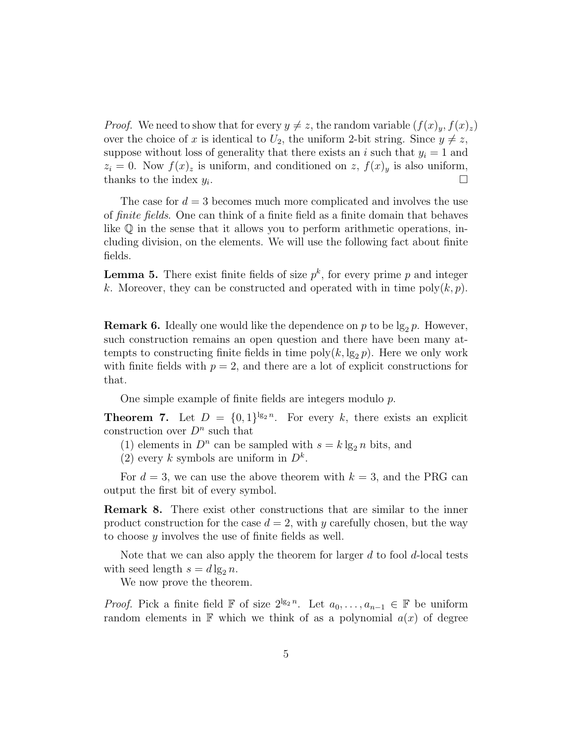*Proof.* We need to show that for every  $y \neq z$ , the random variable  $(f(x)<sub>y</sub>, f(x)<sub>z</sub>)$ over the choice of x is identical to  $U_2$ , the uniform 2-bit string. Since  $y \neq z$ , suppose without loss of generality that there exists an i such that  $y_i = 1$  and  $z_i = 0$ . Now  $f(x)_z$  is uniform, and conditioned on z,  $f(x)_y$  is also uniform, thanks to the index  $y_i$ . .

The case for  $d = 3$  becomes much more complicated and involves the use of finite fields. One can think of a finite field as a finite domain that behaves like Q in the sense that it allows you to perform arithmetic operations, including division, on the elements. We will use the following fact about finite fields.

**Lemma 5.** There exist finite fields of size  $p^k$ , for every prime p and integer k. Moreover, they can be constructed and operated with in time  $\text{poly}(k, p)$ .

**Remark 6.** Ideally one would like the dependence on p to be  $\lg_2 p$ . However, such construction remains an open question and there have been many attempts to constructing finite fields in time  $\text{poly}(k, \lg_2 p)$ . Here we only work with finite fields with  $p = 2$ , and there are a lot of explicit constructions for that.

One simple example of finite fields are integers modulo p.

**Theorem 7.** Let  $D = \{0,1\}^{\lg_2 n}$ . For every k, there exists an explicit construction over  $D^n$  such that

(1) elements in  $D^n$  can be sampled with  $s = k \lg_2 n$  bits, and

(2) every k symbols are uniform in  $D^k$ .

For  $d = 3$ , we can use the above theorem with  $k = 3$ , and the PRG can output the first bit of every symbol.

Remark 8. There exist other constructions that are similar to the inner product construction for the case  $d = 2$ , with y carefully chosen, but the way to choose y involves the use of finite fields as well.

Note that we can also apply the theorem for larger  $d$  to fool  $d$ -local tests with seed length  $s = d \lg_2 n$ .

We now prove the theorem.

*Proof.* Pick a finite field  $\mathbb{F}$  of size  $2^{\lg_2 n}$ . Let  $a_0, \ldots, a_{n-1} \in \mathbb{F}$  be uniform random elements in  $\mathbb F$  which we think of as a polynomial  $a(x)$  of degree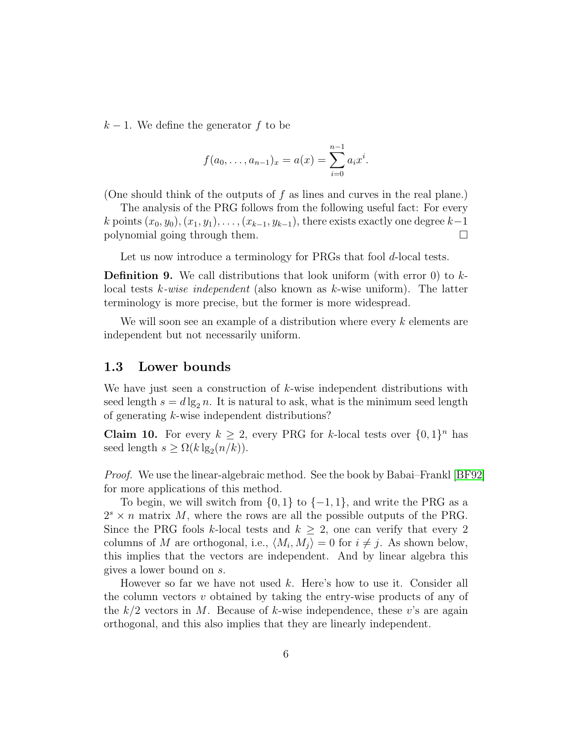$k-1$ . We define the generator f to be

$$
f(a_0,..., a_{n-1})_x = a(x) = \sum_{i=0}^{n-1} a_i x^i.
$$

(One should think of the outputs of  $f$  as lines and curves in the real plane.)

The analysis of the PRG follows from the following useful fact: For every k points  $(x_0, y_0), (x_1, y_1), \ldots, (x_{k-1}, y_{k-1}),$  there exists exactly one degree  $k-1$ polynomial going through them.

Let us now introduce a terminology for PRGs that fool d-local tests.

**Definition 9.** We call distributions that look uniform (with error 0) to  $k$ local tests k-wise independent (also known as k-wise uniform). The latter terminology is more precise, but the former is more widespread.

We will soon see an example of a distribution where every  $k$  elements are independent but not necessarily uniform.

### <span id="page-5-0"></span>1.3 Lower bounds

We have just seen a construction of  $k$ -wise independent distributions with seed length  $s = d \lg_2 n$ . It is natural to ask, what is the minimum seed length of generating k-wise independent distributions?

**Claim 10.** For every  $k \geq 2$ , every PRG for k-local tests over  $\{0,1\}^n$  has seed length  $s \geq \Omega(k \lg_2(n/k)).$ 

Proof. We use the linear-algebraic method. See the book by Babai–Frankl [\[BF92\]](#page-63-0) for more applications of this method.

To begin, we will switch from  $\{0, 1\}$  to  $\{-1, 1\}$ , and write the PRG as a  $2<sup>s</sup> \times n$  matrix M, where the rows are all the possible outputs of the PRG. Since the PRG fools k-local tests and  $k \geq 2$ , one can verify that every 2 columns of M are orthogonal, i.e.,  $\langle M_i, M_j \rangle = 0$  for  $i \neq j$ . As shown below, this implies that the vectors are independent. And by linear algebra this gives a lower bound on s.

However so far we have not used  $k$ . Here's how to use it. Consider all the column vectors  $v$  obtained by taking the entry-wise products of any of the  $k/2$  vectors in M. Because of k-wise independence, these v's are again orthogonal, and this also implies that they are linearly independent.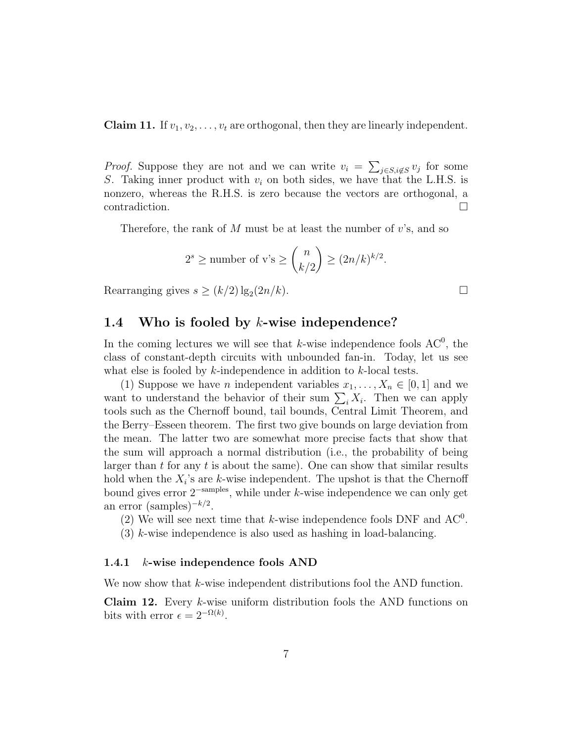**Claim 11.** If  $v_1, v_2, \ldots, v_t$  are orthogonal, then they are linearly independent.

*Proof.* Suppose they are not and we can write  $v_i = \sum_{j \in S, i \notin S} v_j$  for some S. Taking inner product with  $v_i$  on both sides, we have that the L.H.S. is nonzero, whereas the R.H.S. is zero because the vectors are orthogonal, a contradiction.

Therefore, the rank of  $M$  must be at least the number of  $v$ 's, and so

$$
2^s \ge \text{number of v's} \ge \binom{n}{k/2} \ge (2n/k)^{k/2}.
$$

Rearranging gives  $s \ge (k/2) \lg_2(2n/k)$ .

# <span id="page-6-0"></span>1.4 Who is fooled by  $k$ -wise independence?

In the coming lectures we will see that k-wise independence fools  $AC^0$ , the class of constant-depth circuits with unbounded fan-in. Today, let us see what else is fooled by  $k$ -independence in addition to  $k$ -local tests.

(1) Suppose we have *n* independent variables  $x_1, \ldots, X_n \in [0, 1]$  and we want to understand the behavior of their sum  $\sum_i X_i$ . Then we can apply tools such as the Chernoff bound, tail bounds, Central Limit Theorem, and the Berry–Esseen theorem. The first two give bounds on large deviation from the mean. The latter two are somewhat more precise facts that show that the sum will approach a normal distribution (i.e., the probability of being larger than  $t$  for any  $t$  is about the same). One can show that similar results hold when the  $X_i$ 's are k-wise independent. The upshot is that the Chernoff bound gives error  $2^{-\text{samples}}$ , while under k-wise independence we can only get an error (samples)<sup>- $k/2$ </sup>.

(2) We will see next time that k-wise independence fools DNF and  $AC^0$ .

(3) k-wise independence is also used as hashing in load-balancing.

#### <span id="page-6-1"></span>1.4.1  $k$ -wise independence fools AND

We now show that k-wise independent distributions fool the AND function.

Claim 12. Every k-wise uniform distribution fools the AND functions on bits with error  $\epsilon = 2^{-\Omega(k)}$ .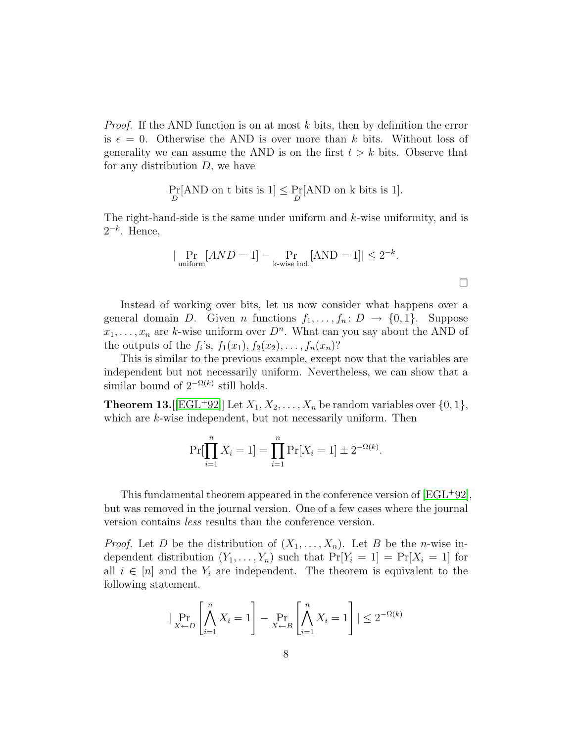*Proof.* If the AND function is on at most k bits, then by definition the error is  $\epsilon = 0$ . Otherwise the AND is over more than k bits. Without loss of generality we can assume the AND is on the first  $t > k$  bits. Observe that for any distribution  $D$ , we have

$$
\Pr_D[\text{AND on t bits is 1}] \le \Pr_D[\text{AND on k bits is 1}].
$$

The right-hand-side is the same under uniform and k-wise uniformity, and is  $2^{-k}$ . Hence,

$$
|\Pr_{\text{uniform}}[AND = 1] - \Pr_{\text{k-wise ind.}}[\text{AND} = 1]| \le 2^{-k}.
$$

Instead of working over bits, let us now consider what happens over a general domain D. Given *n* functions  $f_1, \ldots, f_n : D \to \{0, 1\}$ . Suppose  $x_1, \ldots, x_n$  are k-wise uniform over  $D^n$ . What can you say about the AND of the outputs of the  $f_i$ 's,  $f_1(x_1), f_2(x_2), \ldots, f_n(x_n)$ ?

This is similar to the previous example, except now that the variables are independent but not necessarily uniform. Nevertheless, we can show that a similar bound of  $2^{-\Omega(k)}$  still holds.

**Theorem 13.** [\[EGL](#page-64-0)<sup>+</sup>92]] Let  $X_1, X_2, \ldots, X_n$  be random variables over  $\{0, 1\}$ , which are k-wise independent, but not necessarily uniform. Then

$$
\Pr[\prod_{i=1}^{n} X_i = 1] = \prod_{i=1}^{n} \Pr[X_i = 1] \pm 2^{-\Omega(k)}.
$$

This fundamental theorem appeared in the conference version of  $[{\rm EGL}^+92]$ , but was removed in the journal version. One of a few cases where the journal version contains less results than the conference version.

*Proof.* Let D be the distribution of  $(X_1, \ldots, X_n)$ . Let B be the *n*-wise independent distribution  $(Y_1, \ldots, Y_n)$  such that  $Pr[Y_i = 1] = Pr[X_i = 1]$  for all  $i \in [n]$  and the  $Y_i$  are independent. The theorem is equivalent to the following statement.

$$
\left| \Pr_{X \leftarrow D} \left[ \bigwedge_{i=1}^{n} X_i = 1 \right] - \Pr_{X \leftarrow B} \left[ \bigwedge_{i=1}^{n} X_i = 1 \right] \right| \le 2^{-\Omega(k)}
$$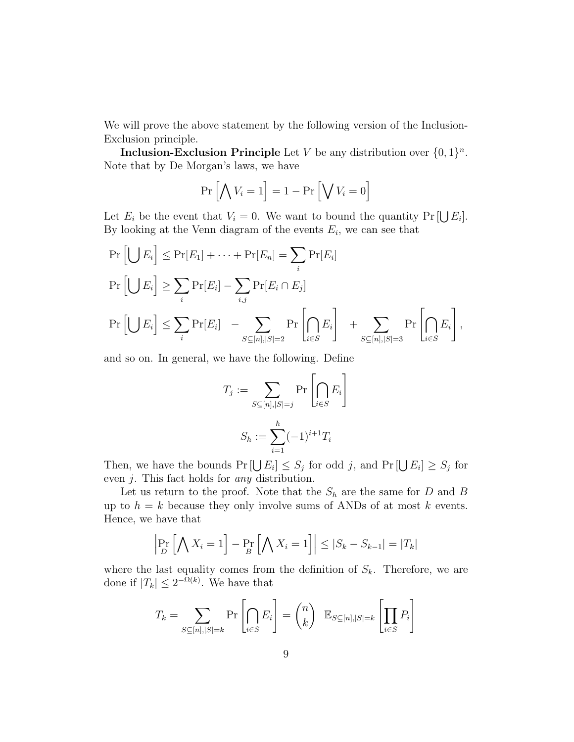We will prove the above statement by the following version of the Inclusion-Exclusion principle.

**Inclusion-Exclusion Principle** Let V be any distribution over  $\{0,1\}^n$ . Note that by De Morgan's laws, we have

$$
\Pr\left[\bigwedge V_i = 1\right] = 1 - \Pr\left[\bigvee V_i = 0\right]
$$

Let  $E_i$  be the event that  $V_i = 0$ . We want to bound the quantity  $Pr[\bigcup E_i]$ . By looking at the Venn diagram of the events  $E_i$ , we can see that

$$
\Pr\left[\bigcup E_i\right] \leq \Pr[E_1] + \dots + \Pr[E_n] = \sum_i \Pr[E_i]
$$
\n
$$
\Pr\left[\bigcup E_i\right] \geq \sum_i \Pr[E_i] - \sum_{i,j} \Pr[E_i \cap E_j]
$$
\n
$$
\Pr\left[\bigcup E_i\right] \leq \sum_i \Pr[E_i] - \sum_{S \subseteq [n], |S| = 2} \Pr\left[\bigcap_{i \in S} E_i\right] + \sum_{S \subseteq [n], |S| = 3} \Pr\left[\bigcap_{i \in S} E_i\right],
$$

and so on. In general, we have the following. Define

$$
T_j := \sum_{S \subseteq [n], |S|=j} \Pr \left[ \bigcap_{i \in S} E_i \right]
$$

$$
S_h := \sum_{i=1}^h (-1)^{i+1} T_i
$$

Then, we have the bounds  $Pr[\bigcup E_i] \leq S_j$  for odd j, and  $Pr[\bigcup E_i] \geq S_j$  for even  $j$ . This fact holds for *any* distribution.

Let us return to the proof. Note that the  $S_h$  are the same for D and B up to  $h = k$  because they only involve sums of ANDs of at most k events. Hence, we have that

$$
\left|\Pr_{D}\left[\bigwedge X_i = 1\right] - \Pr_{B}\left[\bigwedge X_i = 1\right]\right| \leq |S_k - S_{k-1}| = |T_k|
$$

where the last equality comes from the definition of  $S_k$ . Therefore, we are done if  $|T_k| \leq 2^{-\Omega(k)}$ . We have that

$$
T_k = \sum_{S \subseteq [n], |S| = k} \Pr\left[\bigcap_{i \in S} E_i\right] = {n \choose k} \quad \mathbb{E}_{S \subseteq [n], |S| = k} \left[\prod_{i \in S} P_i\right]
$$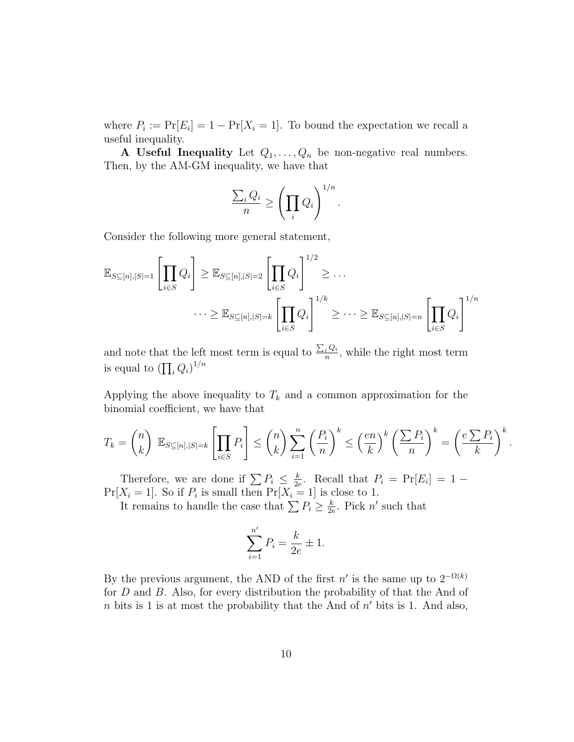where  $P_i := \Pr[E_i] = 1 - \Pr[X_i = 1]$ . To bound the expectation we recall a useful inequality.

A Useful Inequality Let  $Q_1, \ldots, Q_n$  be non-negative real numbers. Then, by the AM-GM inequality, we have that

$$
\frac{\sum_i Q_i}{n} \ge \left(\prod_i Q_i\right)^{1/n}.
$$

Consider the following more general statement,

$$
\mathbb{E}_{S \subseteq [n],|S|=1} \left[ \prod_{i \in S} Q_i \right] \geq \mathbb{E}_{S \subseteq [n],|S|=2} \left[ \prod_{i \in S} Q_i \right]^{1/2} \geq \dots
$$
  

$$
\dots \geq \mathbb{E}_{S \subseteq [n],|S|=k} \left[ \prod_{i \in S} Q_i \right]^{1/k} \geq \dots \geq \mathbb{E}_{S \subseteq [n],|S|=n} \left[ \prod_{i \in S} Q_i \right]^{1/n}
$$

and note that the left most term is equal to  $\frac{\sum_i Q_i}{n}$  $\frac{i}{n}$ , while the right most term is equal to  $\left(\prod_i Q_i\right)^{1/n}$ 

Applying the above inequality to  $T_k$  and a common approximation for the binomial coefficient, we have that

$$
T_k = \binom{n}{k} \mathbb{E}_{S \subseteq [n], |S| = k} \left[ \prod_{i \in S} P_i \right] \le \binom{n}{k} \sum_{i=1}^n \left( \frac{P_i}{n} \right)^k \le \left( \frac{en}{k} \right)^k \left( \frac{\sum P_i}{n} \right)^k = \left( \frac{e \sum P_i}{k} \right)^k.
$$

Therefore, we are done if  $\sum P_i \leq \frac{k}{2e}$  $\frac{k}{2e}$ . Recall that  $P_i = \Pr[E_i] = 1 Pr[X_i = 1]$ . So if  $P_i$  is small then  $Pr[X_i = 1]$  is close to 1.

It remains to handle the case that  $\sum P_i \geq \frac{k}{2}$  $\frac{k}{2e}$ . Pick n' such that

$$
\sum_{i=1}^{n'} P_i = \frac{k}{2e} \pm 1.
$$

By the previous argument, the AND of the first n' is the same up to  $2^{-\Omega(k)}$ for D and B. Also, for every distribution the probability of that the And of  $n$  bits is 1 is at most the probability that the And of  $n'$  bits is 1. And also,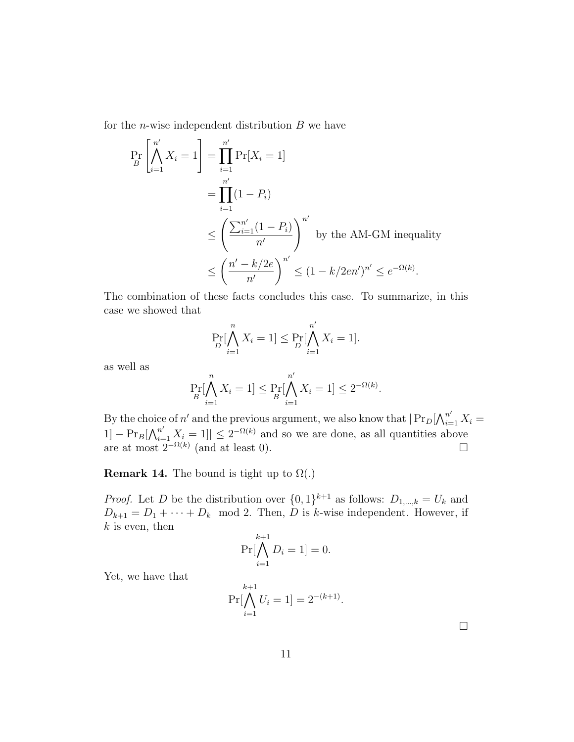for the *n*-wise independent distribution  $B$  we have

$$
\Pr_{B} \left[ \bigwedge_{i=1}^{n'} X_i = 1 \right] = \prod_{i=1}^{n'} \Pr[X_i = 1]
$$
\n
$$
= \prod_{i=1}^{n'} (1 - P_i)
$$
\n
$$
\leq \left( \frac{\sum_{i=1}^{n'} (1 - P_i)}{n'} \right)^{n'} \text{ by the AM-GM inequality}
$$
\n
$$
\leq \left( \frac{n' - k/2e}{n'} \right)^{n'} \leq (1 - k/2en')^{n'} \leq e^{-\Omega(k)}.
$$

The combination of these facts concludes this case. To summarize, in this case we showed that

$$
\Pr_{D}[\bigwedge_{i=1}^{n} X_{i} = 1] \le \Pr_{D}[\bigwedge_{i=1}^{n'} X_{i} = 1].
$$

as well as

$$
\Pr_{B}[\bigwedge_{i=1}^{n} X_{i} = 1] \le \Pr_{B}[\bigwedge_{i=1}^{n'} X_{i} = 1] \le 2^{-\Omega(k)}.
$$

By the choice of n' and the previous argument, we also know that  $| \Pr_D[\bigwedge_{i=1}^{n'} X_i =$  $|1| - \Pr_B[\bigwedge_{i=1}^{n'} X_i = 1]| \leq 2^{-\Omega(k)}$  and so we are done, as all quantities above are at most  $2^{-\Omega(k)}$  (and at least 0).

**Remark 14.** The bound is tight up to  $\Omega(.)$ 

*Proof.* Let D be the distribution over  $\{0,1\}^{k+1}$  as follows:  $D_{1,...,k} = U_k$  and  $D_{k+1} = D_1 + \cdots + D_k \mod 2$ . Then, D is k-wise independent. However, if  $k$  is even, then

$$
\Pr[\bigwedge_{i=1}^{k+1} D_i = 1] = 0.
$$

Yet, we have that

$$
\Pr[\bigwedge_{i=1}^{k+1} U_i = 1] = 2^{-(k+1)}.
$$

 $\Box$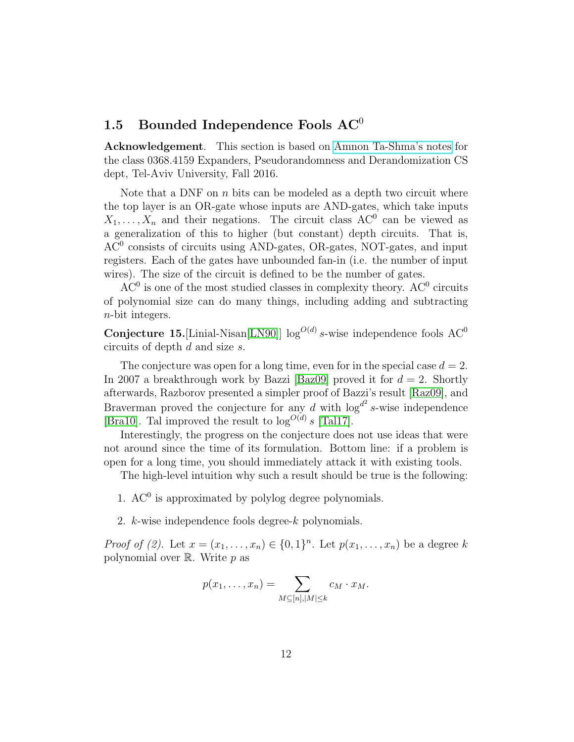# <span id="page-11-0"></span>1.5 Bounded Independence Fools  $AC^0$

Acknowledgement. This section is based on [Amnon Ta-Shma's notes](http://www.cs.tau.ac.il/~amnon/Classes/2016-PRG/class.htm) for the class 0368.4159 Expanders, Pseudorandomness and Derandomization CS dept, Tel-Aviv University, Fall 2016.

Note that a DNF on  $n$  bits can be modeled as a depth two circuit where the top layer is an OR-gate whose inputs are AND-gates, which take inputs  $X_1, \ldots, X_n$  and their negations. The circuit class AC<sup>0</sup> can be viewed as a generalization of this to higher (but constant) depth circuits. That is, AC<sup>0</sup> consists of circuits using AND-gates, OR-gates, NOT-gates, and input registers. Each of the gates have unbounded fan-in (i.e. the number of input wires). The size of the circuit is defined to be the number of gates.

 $AC<sup>0</sup>$  is one of the most studied classes in complexity theory.  $AC<sup>0</sup>$  circuits of polynomial size can do many things, including adding and subtracting n-bit integers.

**Conjecture 15.** [Linial-Nisan [\[LN90\]](#page-65-0)]  $log^{O(d)} s$ -wise independence fools AC<sup>0</sup> circuits of depth d and size s.

The conjecture was open for a long time, even for in the special case  $d = 2$ . In 2007 a breakthrough work by Bazzi [\[Baz09\]](#page-63-1) proved it for  $d = 2$ . Shortly afterwards, Razborov presented a simpler proof of Bazzi's result [\[Raz09\]](#page-65-1), and Braverman proved the conjecture for any d with  $\log^{d^2} s$ -wise independence [\[Bra10\]](#page-63-2). Tal improved the result to  $\log^{O(d)} s$  [\[Tal17\]](#page-65-2).

Interestingly, the progress on the conjecture does not use ideas that were not around since the time of its formulation. Bottom line: if a problem is open for a long time, you should immediately attack it with existing tools.

The high-level intuition why such a result should be true is the following:

- 1.  $AC^0$  is approximated by polylog degree polynomials.
- 2. k-wise independence fools degree-k polynomials.

*Proof of (2)*. Let  $x = (x_1, ..., x_n) \in \{0, 1\}^n$ . Let  $p(x_1, ..., x_n)$  be a degree k polynomial over  $\mathbb R$ . Write  $p$  as

$$
p(x_1,\ldots,x_n)=\sum_{M\subseteq[n],|M|\leq k}c_M\cdot x_M.
$$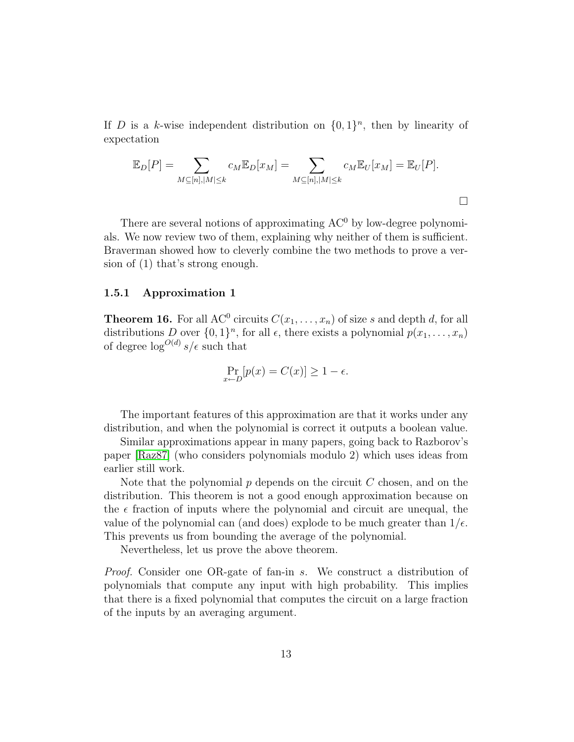If D is a k-wise independent distribution on  $\{0,1\}^n$ , then by linearity of expectation

$$
\mathbb{E}_D[P] = \sum_{M \subseteq [n], |M| \le k} c_M \mathbb{E}_D[x_M] = \sum_{M \subseteq [n], |M| \le k} c_M \mathbb{E}_U[x_M] = \mathbb{E}_U[P].
$$

There are several notions of approximating  $AC^0$  by low-degree polynomials. We now review two of them, explaining why neither of them is sufficient. Braverman showed how to cleverly combine the two methods to prove a version of (1) that's strong enough.

#### <span id="page-12-0"></span>1.5.1 Approximation 1

**Theorem 16.** For all AC<sup>0</sup> circuits  $C(x_1, \ldots, x_n)$  of size s and depth d, for all distributions D over  $\{0,1\}^n$ , for all  $\epsilon$ , there exists a polynomial  $p(x_1, \ldots, x_n)$ of degree  $\log^{O(d)} s / \epsilon$  such that

$$
\Pr_{x \leftarrow D}[p(x) = C(x)] \ge 1 - \epsilon.
$$

The important features of this approximation are that it works under any distribution, and when the polynomial is correct it outputs a boolean value.

Similar approximations appear in many papers, going back to Razborov's paper [\[Raz87\]](#page-65-3) (who considers polynomials modulo 2) which uses ideas from earlier still work.

Note that the polynomial  $p$  depends on the circuit  $C$  chosen, and on the distribution. This theorem is not a good enough approximation because on the  $\epsilon$  fraction of inputs where the polynomial and circuit are unequal, the value of the polynomial can (and does) explode to be much greater than  $1/\epsilon$ . This prevents us from bounding the average of the polynomial.

Nevertheless, let us prove the above theorem.

Proof. Consider one OR-gate of fan-in s. We construct a distribution of polynomials that compute any input with high probability. This implies that there is a fixed polynomial that computes the circuit on a large fraction of the inputs by an averaging argument.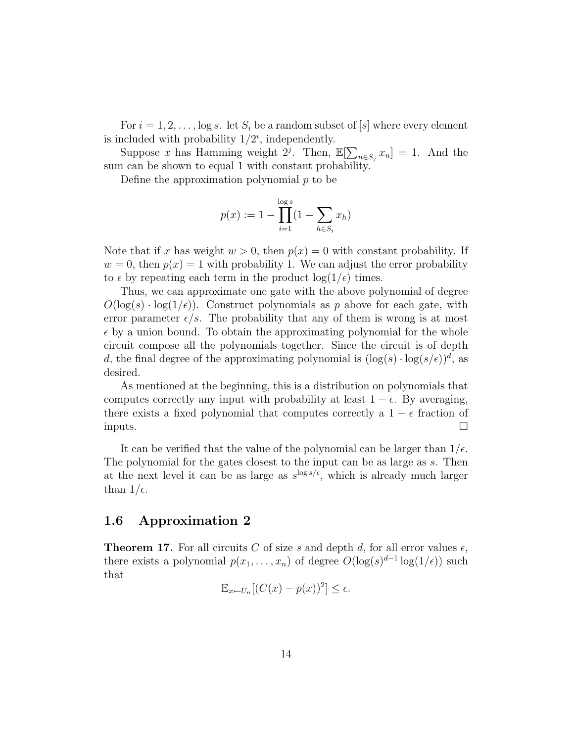For  $i = 1, 2, \ldots$ , log s. let  $S_i$  be a random subset of [s] where every element is included with probability  $1/2^i$ , independently.

Suppose x has Hamming weight 2<sup>j</sup>. Then,  $\mathbb{E}[\sum_{n \in S_j} x_n] = 1$ . And the sum can be shown to equal 1 with constant probability.

Define the approximation polynomial  $p$  to be

$$
p(x) := 1 - \prod_{i=1}^{\log s} (1 - \sum_{h \in S_i} x_h)
$$

Note that if x has weight  $w > 0$ , then  $p(x) = 0$  with constant probability. If  $w = 0$ , then  $p(x) = 1$  with probability 1. We can adjust the error probability to  $\epsilon$  by repeating each term in the product  $\log(1/\epsilon)$  times.

Thus, we can approximate one gate with the above polynomial of degree  $O(\log(s) \cdot \log(1/\epsilon))$ . Construct polynomials as p above for each gate, with error parameter  $\epsilon/s$ . The probability that any of them is wrong is at most  $\epsilon$  by a union bound. To obtain the approximating polynomial for the whole circuit compose all the polynomials together. Since the circuit is of depth d, the final degree of the approximating polynomial is  $(\log(s) \cdot \log(s/\epsilon))^d$ , as desired.

As mentioned at the beginning, this is a distribution on polynomials that computes correctly any input with probability at least  $1 - \epsilon$ . By averaging, there exists a fixed polynomial that computes correctly a  $1 - \epsilon$  fraction of inputs.

It can be verified that the value of the polynomial can be larger than  $1/\epsilon$ . The polynomial for the gates closest to the input can be as large as s. Then at the next level it can be as large as  $s^{\log s/\epsilon}$ , which is already much larger than  $1/\epsilon$ .

### <span id="page-13-0"></span>1.6 Approximation 2

<span id="page-13-1"></span>**Theorem 17.** For all circuits C of size s and depth d, for all error values  $\epsilon$ , there exists a polynomial  $p(x_1, \ldots, x_n)$  of degree  $O(\log(s)^{d-1}\log(1/\epsilon))$  such that

$$
\mathbb{E}_{x \leftarrow U_n} [(C(x) - p(x))^2] \le \epsilon.
$$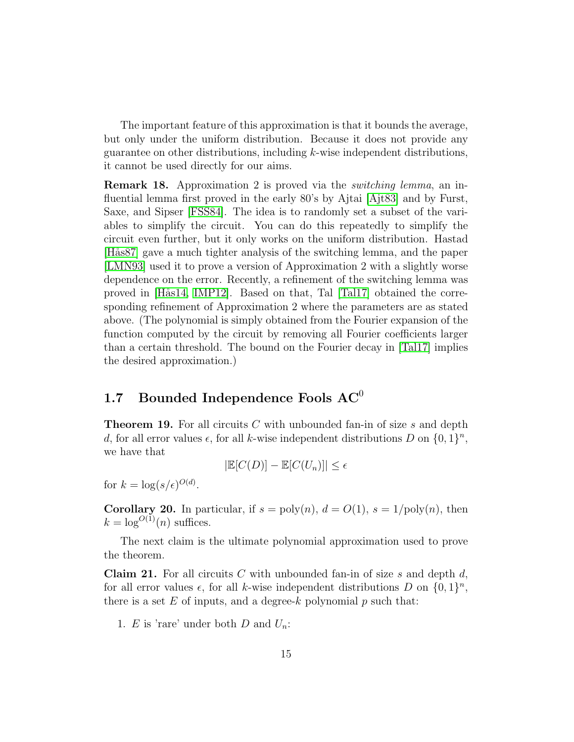The important feature of this approximation is that it bounds the average, but only under the uniform distribution. Because it does not provide any guarantee on other distributions, including k-wise independent distributions, it cannot be used directly for our aims.

Remark 18. Approximation 2 is proved via the switching lemma, an influential lemma first proved in the early 80's by Ajtai [\[Ajt83\]](#page-62-0) and by Furst, Saxe, and Sipser [\[FSS84\]](#page-64-1). The idea is to randomly set a subset of the variables to simplify the circuit. You can do this repeatedly to simplify the circuit even further, but it only works on the uniform distribution. Hastad [Hås87] gave a much tighter analysis of the switching lemma, and the paper [\[LMN93\]](#page-64-3) used it to prove a version of Approximation 2 with a slightly worse dependence on the error. Recently, a refinement of the switching lemma was proved in [Hås14, [IMP12\]](#page-64-5). Based on that, Tal [\[Tal17\]](#page-65-2) obtained the corresponding refinement of Approximation 2 where the parameters are as stated above. (The polynomial is simply obtained from the Fourier expansion of the function computed by the circuit by removing all Fourier coefficients larger than a certain threshold. The bound on the Fourier decay in [\[Tal17\]](#page-65-2) implies the desired approximation.)

# <span id="page-14-0"></span>1.7 Bounded Independence Fools  $AC^0$

<span id="page-14-1"></span>**Theorem 19.** For all circuits C with unbounded fan-in of size s and depth d, for all error values  $\epsilon$ , for all k-wise independent distributions D on  $\{0,1\}^n$ , we have that

$$
|\mathbb{E}[C(D)] - \mathbb{E}[C(U_n)]| \le \epsilon
$$

for  $k = \log(s/\epsilon)^{O(d)}$ .

**Corollary 20.** In particular, if  $s = \text{poly}(n)$ ,  $d = O(1)$ ,  $s = 1/\text{poly}(n)$ , then  $k = \log^{O(1)}(n)$  suffices.

The next claim is the ultimate polynomial approximation used to prove the theorem.

<span id="page-14-2"></span>**Claim 21.** For all circuits C with unbounded fan-in of size s and depth  $d$ , for all error values  $\epsilon$ , for all k-wise independent distributions D on  $\{0,1\}^n$ , there is a set E of inputs, and a degree-k polynomial p such that:

1. E is 'rare' under both D and  $U_n$ :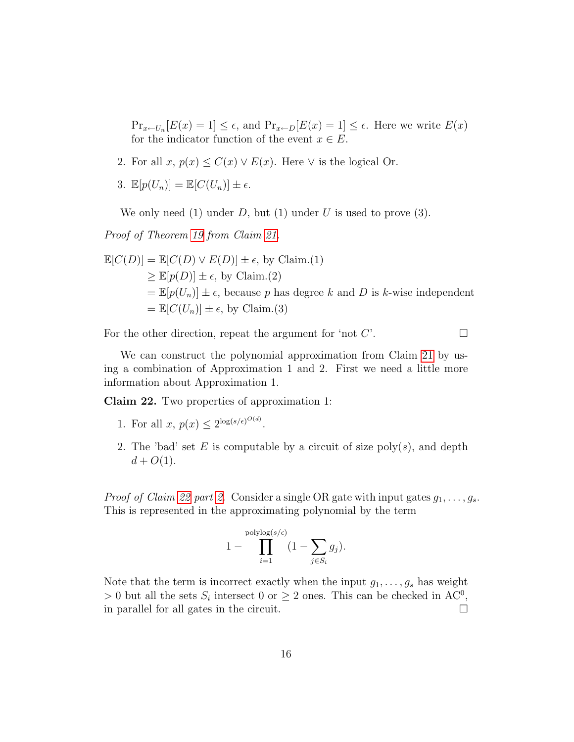$Pr_{x \leftarrow U_n}[E(x) = 1] \le \epsilon$ , and  $Pr_{x \leftarrow D}[E(x) = 1] \le \epsilon$ . Here we write  $E(x)$ for the indicator function of the event  $x \in E$ .

- 2. For all  $x, p(x) \leq C(x) \vee E(x)$ . Here  $\vee$  is the logical Or.
- 3.  $\mathbb{E}[p(U_n)] = \mathbb{E}[C(U_n)] \pm \epsilon.$

We only need (1) under  $D$ , but (1) under  $U$  is used to prove (3).

Proof of Theorem [19](#page-14-1) from Claim [21.](#page-14-2)

$$
\mathbb{E}[C(D)] = \mathbb{E}[C(D) \vee E(D)] \pm \epsilon, \text{ by Claim.}(1)
$$
  
\n
$$
\geq \mathbb{E}[p(D)] \pm \epsilon, \text{ by Claim.}(2)
$$
  
\n
$$
= \mathbb{E}[p(U_n)] \pm \epsilon, \text{ because } p \text{ has degree } k \text{ and } D \text{ is } k \text{-wise independent}
$$
  
\n
$$
= \mathbb{E}[C(U_n)] \pm \epsilon, \text{ by Claim.}(3)
$$

For the other direction, repeat the argument for 'not  $C'$ .

We can construct the polynomial approximation from Claim [21](#page-14-2) by using a combination of Approximation 1 and 2. First we need a little more information about Approximation 1.

<span id="page-15-0"></span>Claim 22. Two properties of approximation 1:

- <span id="page-15-2"></span>1. For all  $x, p(x) \leq 2^{\log(s/\epsilon)^{O(d)}}$ .
- <span id="page-15-1"></span>2. The 'bad' set E is computable by a circuit of size  $\text{poly}(s)$ , and depth  $d + O(1)$ .

*Proof of Claim [22](#page-15-0) part [2.](#page-15-1)* Consider a single OR gate with input gates  $g_1, \ldots, g_s$ . This is represented in the approximating polynomial by the term

$$
1 - \prod_{i=1}^{\text{polylog}(s/\epsilon)} (1 - \sum_{j \in S_i} g_j).
$$

Note that the term is incorrect exactly when the input  $g_1, \ldots, g_s$  has weight > 0 but all the sets  $S_i$  intersect 0 or  $\geq 2$  ones. This can be checked in AC<sup>0</sup>, in parallel for all gates in the circuit.  $\Box$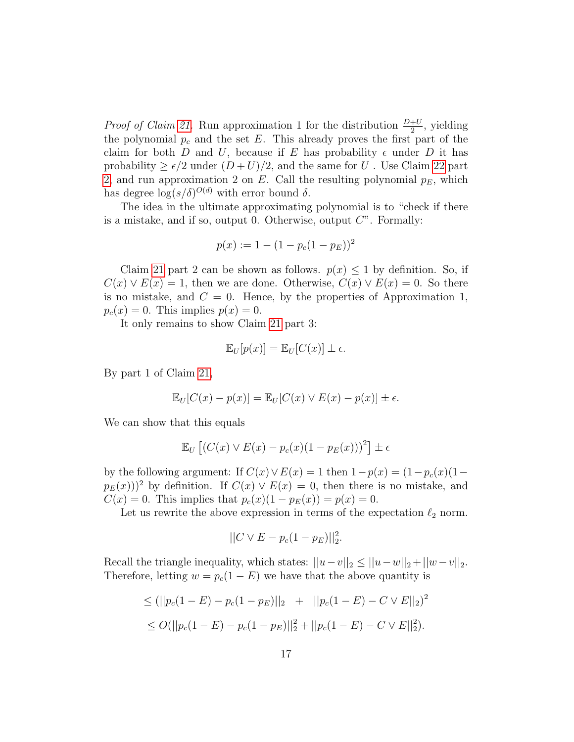*Proof of Claim [21.](#page-14-2)* Run approximation 1 for the distribution  $\frac{D+U}{2}$ , yielding the polynomial  $p_c$  and the set E. This already proves the first part of the claim for both D and U, because if E has probability  $\epsilon$  under D it has probability  $\geq \epsilon/2$  under  $(D+U)/2$ , and the same for U. Use Claim [22](#page-15-0) part [2,](#page-15-1) and run approximation 2 on E. Call the resulting polynomial  $p_E$ , which has degree  $\log(s/\delta)^{O(d)}$  with error bound  $\delta$ .

The idea in the ultimate approximating polynomial is to "check if there is a mistake, and if so, output 0. Otherwise, output  $C$ ". Formally:

$$
p(x) := 1 - (1 - p_c(1 - p_E))^2
$$

Claim [21](#page-14-2) part 2 can be shown as follows.  $p(x) \leq 1$  by definition. So, if  $C(x) \vee E(x) = 1$ , then we are done. Otherwise,  $C(x) \vee E(x) = 0$ . So there is no mistake, and  $C = 0$ . Hence, by the properties of Approximation 1,  $p_c(x) = 0$ . This implies  $p(x) = 0$ .

It only remains to show Claim [21](#page-14-2) part 3:

$$
\mathbb{E}_U[p(x)] = \mathbb{E}_U[C(x)] \pm \epsilon.
$$

By part 1 of Claim [21,](#page-14-2)

$$
\mathbb{E}_U[C(x) - p(x)] = \mathbb{E}_U[C(x) \vee E(x) - p(x)] \pm \epsilon.
$$

We can show that this equals

$$
\mathbb{E}_U\left[\left(C(x)\vee E(x) - p_c(x)(1 - p_E(x))\right)^2\right] \pm \epsilon
$$

by the following argument: If  $C(x) \vee E(x) = 1$  then  $1-p(x) = (1-p_c(x)(1-p_c(x)))$  $p_E(x)$ )<sup>2</sup> by definition. If  $C(x) \vee E(x) = 0$ , then there is no mistake, and  $C(x) = 0$ . This implies that  $p_c(x)(1 - p_E(x)) = p(x) = 0$ .

Let us rewrite the above expression in terms of the expectation  $\ell_2$  norm.

$$
||C \vee E - p_c(1 - p_E)||_2^2.
$$

Recall the triangle inequality, which states:  $||u-v||_2 \le ||u-w||_2 + ||w-v||_2$ . Therefore, letting  $w = p_c(1 - E)$  we have that the above quantity is

$$
\leq (||p_c(1 - E) - p_c(1 - p_E)||_2 + ||p_c(1 - E) - C \vee E||_2)^2
$$
  
\n
$$
\leq O(||p_c(1 - E) - p_c(1 - p_E)||_2^2 + ||p_c(1 - E) - C \vee E||_2^2).
$$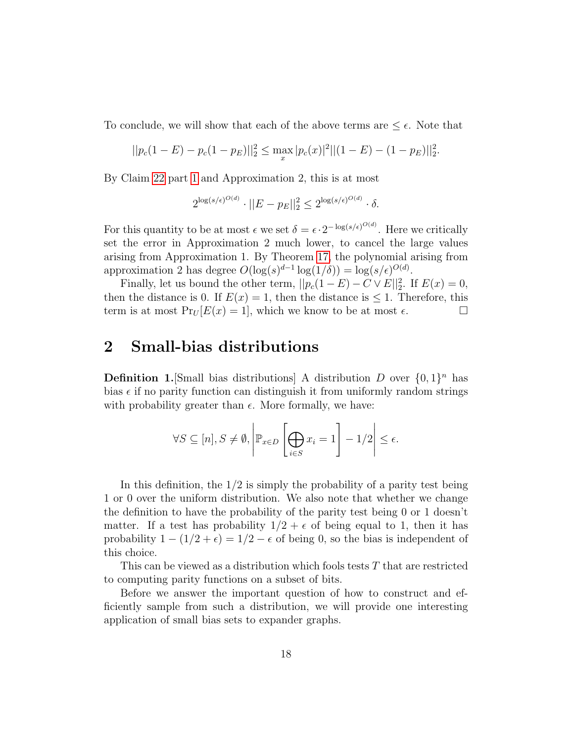To conclude, we will show that each of the above terms are  $\leq \epsilon$ . Note that

$$
||p_c(1 - E) - p_c(1 - p_E)||_2^2 \le \max_x |p_c(x)|^2 ||(1 - E) - (1 - p_E)||_2^2.
$$

By Claim [22](#page-15-0) part [1](#page-15-2) and Approximation 2, this is at most

$$
2^{\log(s/\epsilon)^{O(d)}} \cdot ||E - p_E||_2^2 \le 2^{\log(s/\epsilon)^{O(d)}} \cdot \delta.
$$

For this quantity to be at most  $\epsilon$  we set  $\delta = \epsilon \cdot 2^{-\log(s/\epsilon)^{O(d)}}$ . Here we critically set the error in Approximation 2 much lower, to cancel the large values arising from Approximation 1. By Theorem [17,](#page-13-1) the polynomial arising from approximation 2 has degree  $O(\log(s)^{d-1}\log(1/\delta)) = \log(s/\epsilon)^{O(d)}$ .

Finally, let us bound the other term,  $||p_c(1 - E) - C \vee E||_2^2$ . If  $E(x) = 0$ , then the distance is 0. If  $E(x) = 1$ , then the distance is  $\leq 1$ . Therefore, this term is at most  $Pr_U[E(x) = 1]$ , which we know to be at most  $\epsilon$ .

# <span id="page-17-0"></span>2 Small-bias distributions

**Definition 1.** [Small bias distributions] A distribution D over  $\{0,1\}^n$  has bias  $\epsilon$  if no parity function can distinguish it from uniformly random strings with probability greater than  $\epsilon$ . More formally, we have:

$$
\forall S \subseteq [n], S \neq \emptyset, \left| \mathbb{P}_{x \in D} \left[ \bigoplus_{i \in S} x_i = 1 \right] - 1/2 \right| \le \epsilon.
$$

In this definition, the  $1/2$  is simply the probability of a parity test being 1 or 0 over the uniform distribution. We also note that whether we change the definition to have the probability of the parity test being 0 or 1 doesn't matter. If a test has probability  $1/2 + \epsilon$  of being equal to 1, then it has probability  $1 - (1/2 + \epsilon) = 1/2 - \epsilon$  of being 0, so the bias is independent of this choice.

This can be viewed as a distribution which fools tests T that are restricted to computing parity functions on a subset of bits.

Before we answer the important question of how to construct and efficiently sample from such a distribution, we will provide one interesting application of small bias sets to expander graphs.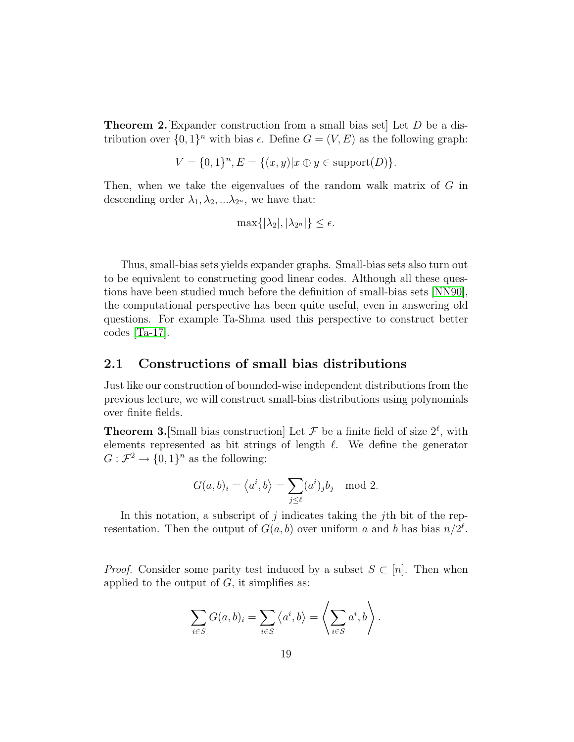**Theorem 2.** Expander construction from a small bias set Let  $D$  be a distribution over  $\{0,1\}^n$  with bias  $\epsilon$ . Define  $G = (V, E)$  as the following graph:

$$
V = \{0, 1\}^n, E = \{(x, y) | x \oplus y \in \text{support}(D)\}.
$$

Then, when we take the eigenvalues of the random walk matrix of G in descending order  $\lambda_1, \lambda_2, \ldots, \lambda_{2^n}$ , we have that:

$$
\max\{|\lambda_2|, |\lambda_{2^n}|\} \le \epsilon.
$$

Thus, small-bias sets yields expander graphs. Small-bias sets also turn out to be equivalent to constructing good linear codes. Although all these questions have been studied much before the definition of small-bias sets [\[NN90\]](#page-65-4), the computational perspective has been quite useful, even in answering old questions. For example Ta-Shma used this perspective to construct better codes [\[Ta-17\]](#page-65-5).

### <span id="page-18-0"></span>2.1 Constructions of small bias distributions

Just like our construction of bounded-wise independent distributions from the previous lecture, we will construct small-bias distributions using polynomials over finite fields.

**Theorem 3.** [Small bias construction] Let  $\mathcal F$  be a finite field of size  $2^{\ell}$ , with elements represented as bit strings of length  $\ell$ . We define the generator  $G: \mathcal{F}^2 \to \{0,1\}^n$  as the following:

$$
G(a, b)_i = \langle a^i, b \rangle = \sum_{j \le \ell} (a^i)_j b_j \mod 2.
$$

In this notation, a subscript of j indicates taking the j<sup>th</sup> bit of the representation. Then the output of  $G(a, b)$  over uniform a and b has bias  $n/2^{\ell}$ .

*Proof.* Consider some parity test induced by a subset  $S \subset [n]$ . Then when applied to the output of  $G$ , it simplifies as:

$$
\sum_{i \in S} G(a, b)_i = \sum_{i \in S} \langle a^i, b \rangle = \left\langle \sum_{i \in S} a^i, b \right\rangle.
$$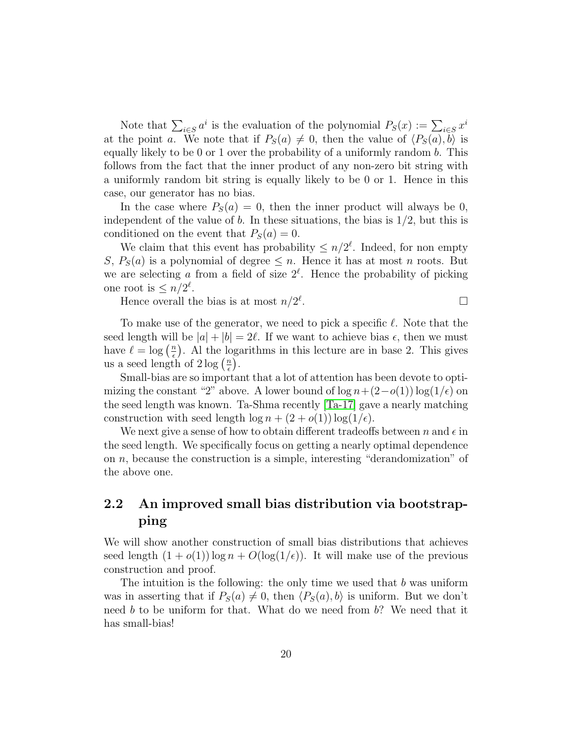Note that  $\sum_{i \in S} a^i$  is the evaluation of the polynomial  $P_S(x) := \sum_{i \in S} x^i$ at the point a. We note that if  $P_S(a) \neq 0$ , then the value of  $\langle P_S(a), b \rangle$  is equally likely to be 0 or 1 over the probability of a uniformly random  $b$ . This follows from the fact that the inner product of any non-zero bit string with a uniformly random bit string is equally likely to be 0 or 1. Hence in this case, our generator has no bias.

In the case where  $P_S(a) = 0$ , then the inner product will always be 0, independent of the value of b. In these situations, the bias is  $1/2$ , but this is conditioned on the event that  $P_S(a) = 0$ .

We claim that this event has probability  $\leq n/2^{\ell}$ . Indeed, for non empty S,  $P_S(a)$  is a polynomial of degree  $\leq n$ . Hence it has at most n roots. But we are selecting a from a field of size  $2^{\ell}$ . Hence the probability of picking one root is  $\leq n/2^{\ell}$ .

Hence overall the bias is at most  $n/2^{\ell}$ . В последните поставите на примерение и производите на примерение в последните поставите на примерение и при<br>В поставите поставите на примерение и примерение и примерение и примерение и примерение и примерение и примере

To make use of the generator, we need to pick a specific  $\ell$ . Note that the seed length will be  $|a| + |b| = 2\ell$ . If we want to achieve bias  $\epsilon$ , then we must have  $\ell = \log \left( \frac{n}{\epsilon} \right)$  $\frac{n}{\epsilon}$ ). Al the logarithms in this lecture are in base 2. This gives us a seed length of  $2 \log \left( \frac{n}{e} \right)$  $\frac{n}{\epsilon}\Big).$ 

Small-bias are so important that a lot of attention has been devote to optimizing the constant "2" above. A lower bound of  $\log n + (2-o(1)) \log(1/\epsilon)$  on the seed length was known. Ta-Shma recently [\[Ta-17\]](#page-65-5) gave a nearly matching construction with seed length  $\log n + (2 + o(1)) \log(1/\epsilon)$ .

We next give a sense of how to obtain different tradeoffs between n and  $\epsilon$  in the seed length. We specifically focus on getting a nearly optimal dependence on n, because the construction is a simple, interesting "derandomization" of the above one.

# <span id="page-19-0"></span>2.2 An improved small bias distribution via bootstrapping

We will show another construction of small bias distributions that achieves seed length  $(1 + o(1)) \log n + O(\log(1/\epsilon))$ . It will make use of the previous construction and proof.

The intuition is the following: the only time we used that  $b$  was uniform was in asserting that if  $P_S(a) \neq 0$ , then  $\langle P_S(a), b \rangle$  is uniform. But we don't need b to be uniform for that. What do we need from  $b$ ? We need that it has small-bias!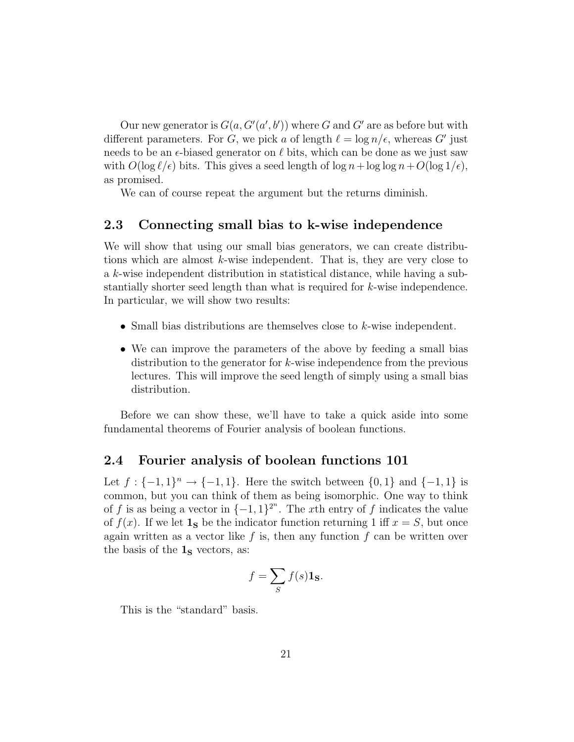Our new generator is  $G(a, G'(a', b'))$  where G and G' are as before but with different parameters. For G, we pick a of length  $\ell = \log n/\epsilon$ , whereas G' just needs to be an  $\epsilon$ -biased generator on  $\ell$  bits, which can be done as we just saw with  $O(\log \ell/\epsilon)$  bits. This gives a seed length of  $\log n + \log \log n + O(\log 1/\epsilon)$ , as promised.

We can of course repeat the argument but the returns diminish.

### <span id="page-20-0"></span>2.3 Connecting small bias to k-wise independence

We will show that using our small bias generators, we can create distributions which are almost k-wise independent. That is, they are very close to a k-wise independent distribution in statistical distance, while having a substantially shorter seed length than what is required for k-wise independence. In particular, we will show two results:

- Small bias distributions are themselves close to k-wise independent.
- We can improve the parameters of the above by feeding a small bias distribution to the generator for k-wise independence from the previous lectures. This will improve the seed length of simply using a small bias distribution.

Before we can show these, we'll have to take a quick aside into some fundamental theorems of Fourier analysis of boolean functions.

### <span id="page-20-1"></span>2.4 Fourier analysis of boolean functions 101

Let  $f: \{-1,1\}^n \to \{-1,1\}$ . Here the switch between  $\{0,1\}$  and  $\{-1,1\}$  is common, but you can think of them as being isomorphic. One way to think of f is as being a vector in  $\{-1,1\}^{2^n}$ . The x<sup>th</sup> entry of f indicates the value of  $f(x)$ . If we let  $\mathbf{1_S}$  be the indicator function returning 1 iff  $x = S$ , but once again written as a vector like  $f$  is, then any function  $f$  can be written over the basis of the  $\mathbf{1}_S$  vectors, as:

$$
f = \sum_{S} f(s) \mathbf{1}_{S}.
$$

This is the "standard" basis.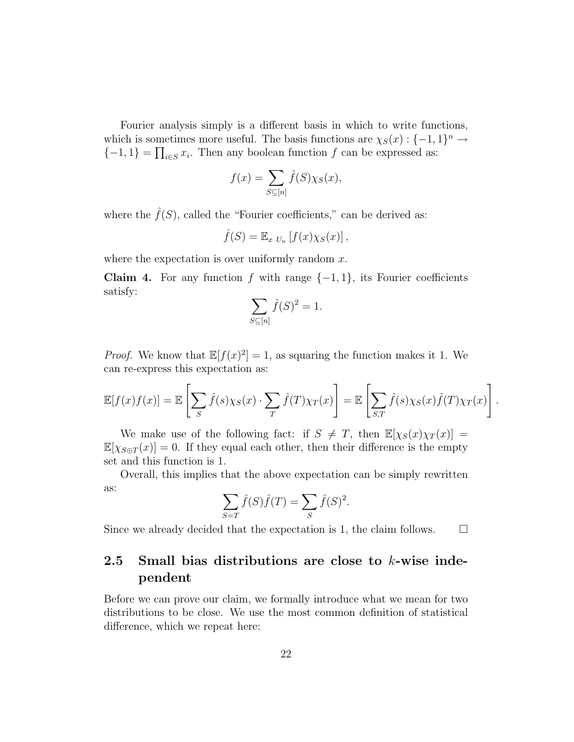Fourier analysis simply is a different basis in which to write functions, which is sometimes more useful. The basis functions are  $\chi_S(x) : \{-1,1\}^n \to$  $\{-1,1\} = \prod_{i \in S} x_i$ . Then any boolean function f can be expressed as:

$$
f(x) = \sum_{S \subseteq [n]} \hat{f}(S) \chi_S(x),
$$

where the  $\hat{f}(S)$ , called the "Fourier coefficients," can be derived as:

$$
\hat{f}(S) = \mathbb{E}_{x U_n} [f(x) \chi_S(x)],
$$

where the expectation is over uniformly random  $x$ .

<span id="page-21-1"></span>Claim 4. For any function f with range  $\{-1, 1\}$ , its Fourier coefficients satisfy:

$$
\sum_{S \subseteq [n]} \hat{f}(S)^2 = 1.
$$

*Proof.* We know that  $\mathbb{E}[f(x)^2] = 1$ , as squaring the function makes it 1. We can re-express this expectation as:

$$
\mathbb{E}[f(x)f(x)] = \mathbb{E}\left[\sum_{S} \hat{f}(s)\chi_{S}(x) \cdot \sum_{T} \hat{f}(T)\chi_{T}(x)\right] = \mathbb{E}\left[\sum_{S,T} \hat{f}(s)\chi_{S}(x)\hat{f}(T)\chi_{T}(x)\right].
$$

We make use of the following fact: if  $S \neq T$ , then  $\mathbb{E}[\chi_S(x)\chi_T(x)] =$  $\mathbb{E}[\chi_{S \oplus T}(x)] = 0$ . If they equal each other, then their difference is the empty set and this function is 1.

Overall, this implies that the above expectation can be simply rewritten as:

$$
\sum_{S=T} \hat{f}(S)\hat{f}(T) = \sum_{S} \hat{f}(S)^2.
$$

Since we already decided that the expectation is 1, the claim follows.  $\Box$ 

# <span id="page-21-0"></span>2.5 Small bias distributions are close to k-wise independent

Before we can prove our claim, we formally introduce what we mean for two distributions to be close. We use the most common definition of statistical difference, which we repeat here: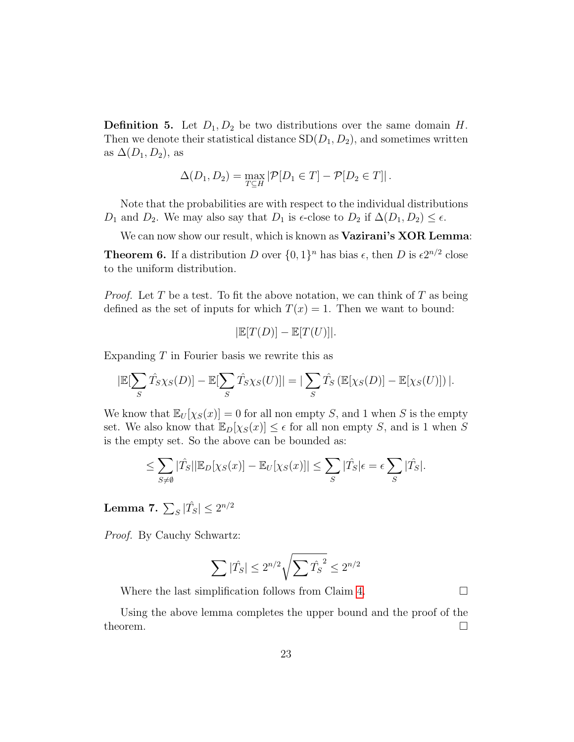**Definition 5.** Let  $D_1, D_2$  be two distributions over the same domain H. Then we denote their statistical distance  $SD(D_1, D_2)$ , and sometimes written as  $\Delta(D_1, D_2)$ , as

$$
\Delta(D_1, D_2) = \max_{T \subseteq H} |\mathcal{P}[D_1 \in T] - \mathcal{P}[D_2 \in T]|.
$$

Note that the probabilities are with respect to the individual distributions  $D_1$  and  $D_2$ . We may also say that  $D_1$  is  $\epsilon$ -close to  $D_2$  if  $\Delta(D_1, D_2) \leq \epsilon$ .

We can now show our result, which is known as **Vazirani's XOR Lemma**:

**Theorem 6.** If a distribution D over  $\{0,1\}^n$  has bias  $\epsilon$ , then D is  $\epsilon 2^{n/2}$  close to the uniform distribution.

*Proof.* Let T be a test. To fit the above notation, we can think of T as being defined as the set of inputs for which  $T(x) = 1$ . Then we want to bound:

$$
|\mathbb{E}[T(D)] - \mathbb{E}[T(U)]|.
$$

Expanding  $T$  in Fourier basis we rewrite this as

$$
|\mathbb{E}[\sum_{S} \hat{T}_{S}\chi_{S}(D)] - \mathbb{E}[\sum_{S} \hat{T}_{S}\chi_{S}(U)]| = |\sum_{S} \hat{T}_{S} (\mathbb{E}[\chi_{S}(D)] - \mathbb{E}[\chi_{S}(U)])|.
$$

We know that  $\mathbb{E}_U[\chi_S(x)] = 0$  for all non empty S, and 1 when S is the empty set. We also know that  $\mathbb{E}_D[\chi_S(x)] \leq \epsilon$  for all non empty S, and is 1 when S is the empty set. So the above can be bounded as:

$$
\leq \sum_{S \neq \emptyset} |\hat{T}_S| |\mathbb{E}_D[\chi_S(x)] - \mathbb{E}_U[\chi_S(x)]| \leq \sum_S |\hat{T}_S|\epsilon = \epsilon \sum_S |\hat{T}_S|.
$$

Lemma 7.  $\sum_S|\hat{T_S}| \leq 2^{n/2}$ 

Proof. By Cauchy Schwartz:

$$
\sum |\hat{T}_S| \le 2^{n/2} \sqrt{\sum \hat{T}_S^2} \le 2^{n/2}
$$

Where the last simplification follows from Claim [4.](#page-21-1)  $\Box$ 

Using the above lemma completes the upper bound and the proof of the theorem.  $\Box$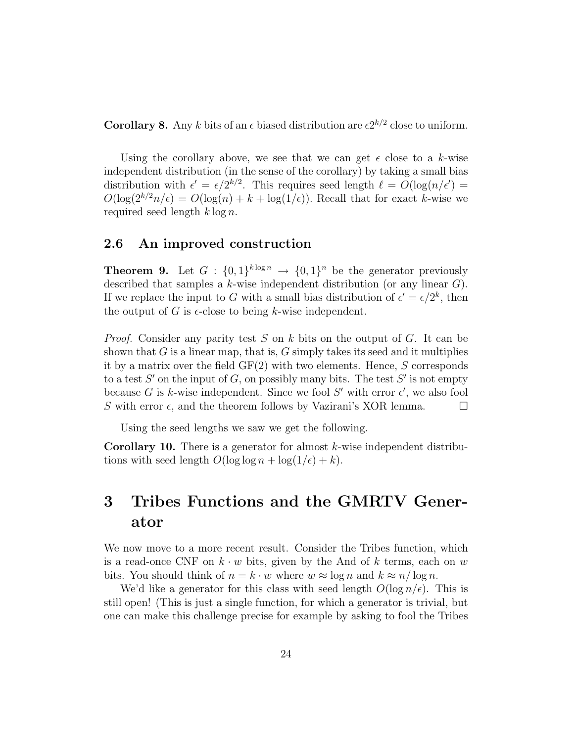**Corollary 8.** Any k bits of an  $\epsilon$  biased distribution are  $\epsilon 2^{k/2}$  close to uniform.

Using the corollary above, we see that we can get  $\epsilon$  close to a k-wise independent distribution (in the sense of the corollary) by taking a small bias distribution with  $\epsilon' = \epsilon/2^{k/2}$ . This requires seed length  $\ell = O(\log(n/\epsilon'))$  $O(\log(2^{k/2}n/\epsilon) = O(\log(n) + k + \log(1/\epsilon))$ . Recall that for exact k-wise we required seed length  $k \log n$ .

# <span id="page-23-0"></span>2.6 An improved construction

**Theorem 9.** Let  $G: \{0,1\}^{k \log n} \to \{0,1\}^n$  be the generator previously described that samples a k-wise independent distribution (or any linear  $G$ ). If we replace the input to G with a small bias distribution of  $\epsilon' = \epsilon/2^k$ , then the output of G is  $\epsilon$ -close to being k-wise independent.

*Proof.* Consider any parity test S on k bits on the output of G. It can be shown that  $G$  is a linear map, that is,  $G$  simply takes its seed and it multiplies it by a matrix over the field  $GF(2)$  with two elements. Hence, S corresponds to a test  $S'$  on the input of  $G$ , on possibly many bits. The test  $S'$  is not empty because G is k-wise independent. Since we fool S' with error  $\epsilon'$ , we also fool S with error  $\epsilon$ , and the theorem follows by Vazirani's XOR lemma.  $\square$ 

Using the seed lengths we saw we get the following.

Corollary 10. There is a generator for almost k-wise independent distributions with seed length  $O(\log \log n + \log(1/\epsilon) + k)$ .

# <span id="page-23-1"></span>3 Tribes Functions and the GMRTV Generator

We now move to a more recent result. Consider the Tribes function, which is a read-once CNF on  $k \cdot w$  bits, given by the And of k terms, each on w bits. You should think of  $n = k \cdot w$  where  $w \approx \log n$  and  $k \approx n / \log n$ .

We'd like a generator for this class with seed length  $O(\log n/\epsilon)$ . This is still open! (This is just a single function, for which a generator is trivial, but one can make this challenge precise for example by asking to fool the Tribes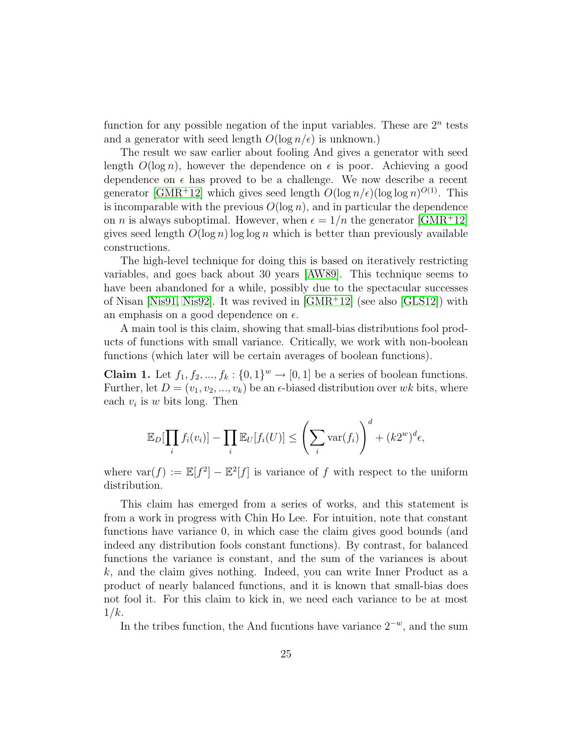function for any possible negation of the input variables. These are  $2<sup>n</sup>$  tests and a generator with seed length  $O(\log n/\epsilon)$  is unknown.)

The result we saw earlier about fooling And gives a generator with seed length  $O(\log n)$ , however the dependence on  $\epsilon$  is poor. Achieving a good dependence on  $\epsilon$  has proved to be a challenge. We now describe a recent generator [\[GMR](#page-64-6)<sup>+</sup>12] which gives seed length  $O(\log n/\epsilon)(\log \log n)^{O(1)}$ . This is incomparable with the previous  $O(\log n)$ , and in particular the dependence on *n* is always suboptimal. However, when  $\epsilon = 1/n$  the generator  $|\text{GMR+12}|$ gives seed length  $O(\log n) \log \log n$  which is better than previously available constructions.

The high-level technique for doing this is based on iteratively restricting variables, and goes back about 30 years [\[AW89\]](#page-63-3). This technique seems to have been abandoned for a while, possibly due to the spectacular successes of Nisan [\[Nis91,](#page-65-6) [Nis92\]](#page-65-7). It was revived in [\[GMR](#page-64-6)<sup>+</sup>12] (see also [\[GLS12\]](#page-64-7)) with an emphasis on a good dependence on  $\epsilon$ .

A main tool is this claim, showing that small-bias distributions fool products of functions with small variance. Critically, we work with non-boolean functions (which later will be certain averages of boolean functions).

<span id="page-24-0"></span>**Claim 1.** Let  $f_1, f_2, ..., f_k : \{0, 1\}^w \to [0, 1]$  be a series of boolean functions. Further, let  $D = (v_1, v_2, ..., v_k)$  be an  $\epsilon$ -biased distribution over wk bits, where each  $v_i$  is w bits long. Then

$$
\mathbb{E}_D[\prod_i f_i(v_i)] - \prod_i \mathbb{E}_U[f_i(U)] \le \left(\sum_i \text{var}(f_i)\right)^d + (k2^w)^d \epsilon,
$$

where  $\text{var}(f) := \mathbb{E}[f^2] - \mathbb{E}^2[f]$  is variance of f with respect to the uniform distribution.

This claim has emerged from a series of works, and this statement is from a work in progress with Chin Ho Lee. For intuition, note that constant functions have variance 0, in which case the claim gives good bounds (and indeed any distribution fools constant functions). By contrast, for balanced functions the variance is constant, and the sum of the variances is about k, and the claim gives nothing. Indeed, you can write Inner Product as a product of nearly balanced functions, and it is known that small-bias does not fool it. For this claim to kick in, we need each variance to be at most  $1/k$ .

In the tribes function, the And fucntions have variance  $2^{-w}$ , and the sum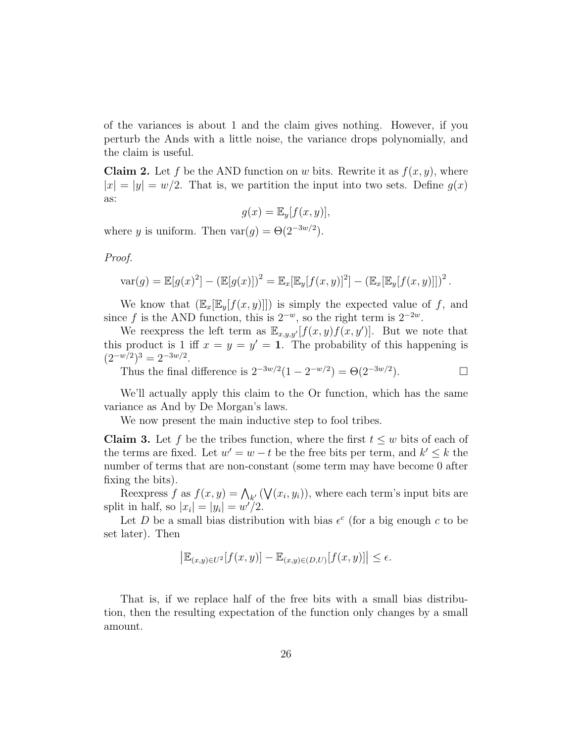of the variances is about 1 and the claim gives nothing. However, if you perturb the Ands with a little noise, the variance drops polynomially, and the claim is useful.

<span id="page-25-1"></span>**Claim 2.** Let f be the AND function on w bits. Rewrite it as  $f(x, y)$ , where  $|x| = |y| = w/2$ . That is, we partition the input into two sets. Define  $g(x)$ as:

$$
g(x) = \mathbb{E}_y[f(x, y)],
$$

where y is uniform. Then  $var(g) = \Theta(2^{-3w/2})$ .

Proof.

var
$$
(g) = \mathbb{E}[g(x)^{2}] - (\mathbb{E}[g(x)])^{2} = \mathbb{E}_{x}[\mathbb{E}_{y}[f(x, y)]^{2}] - (\mathbb{E}_{x}[\mathbb{E}_{y}[f(x, y)]])^{2}
$$
.

We know that  $(\mathbb{E}_x[\mathbb{E}_y[f(x,y)]])$  is simply the expected value of f, and since f is the AND function, this is  $2^{-w}$ , so the right term is  $2^{-2w}$ .

We reexpress the left term as  $\mathbb{E}_{x,y,y}[f(x,y)f(x,y')]$ . But we note that this product is 1 iff  $x = y = y' = 1$ . The probability of this happening is  $(2^{-w/2})^3 = 2^{-3w/2}.$ 

Thus the final difference is  $2^{-3w/2}(1-2^{-w/2}) = \Theta(2^{-3w/2})$  $\Box$ 

We'll actually apply this claim to the Or function, which has the same variance as And by De Morgan's laws.

We now present the main inductive step to fool tribes.

<span id="page-25-0"></span>**Claim 3.** Let f be the tribes function, where the first  $t \leq w$  bits of each of the terms are fixed. Let  $w' = w - t$  be the free bits per term, and  $k' \leq k$  the number of terms that are non-constant (some term may have become 0 after fixing the bits).

Reexpress f as  $f(x, y) = \bigwedge_{k'} (\bigvee (x_i, y_i)),$  where each term's input bits are split in half, so  $|x_i| = |y_i| = w^i/2$ .

Let D be a small bias distribution with bias  $\epsilon^c$  (for a big enough c to be set later). Then

$$
\left|\mathbb{E}_{(x,y)\in U^2}[f(x,y)]-\mathbb{E}_{(x,y)\in (D,U)}[f(x,y)]\right|\leq \epsilon.
$$

That is, if we replace half of the free bits with a small bias distribution, then the resulting expectation of the function only changes by a small amount.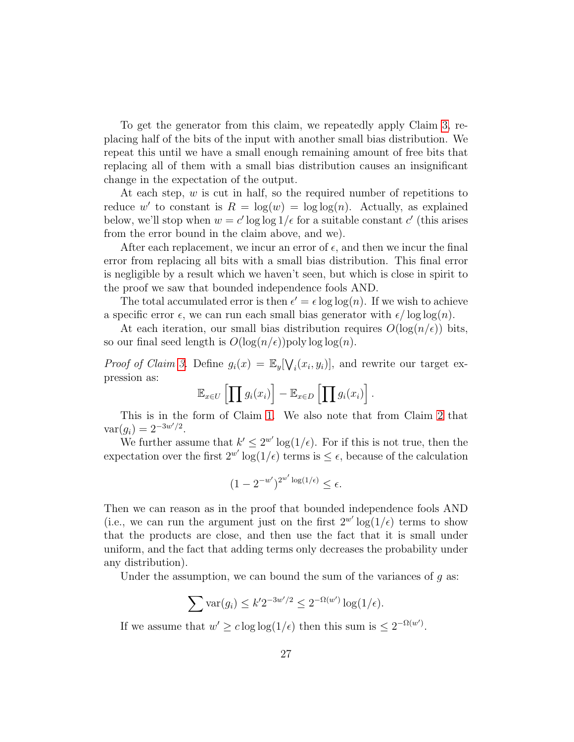To get the generator from this claim, we repeatedly apply Claim [3,](#page-25-0) replacing half of the bits of the input with another small bias distribution. We repeat this until we have a small enough remaining amount of free bits that replacing all of them with a small bias distribution causes an insignificant change in the expectation of the output.

At each step, w is cut in half, so the required number of repetitions to reduce w' to constant is  $R = \log(w) = \log(\log(n))$ . Actually, as explained below, we'll stop when  $w = c' \log \log 1/\epsilon$  for a suitable constant  $c'$  (this arises from the error bound in the claim above, and we).

After each replacement, we incur an error of  $\epsilon$ , and then we incur the final error from replacing all bits with a small bias distribution. This final error is negligible by a result which we haven't seen, but which is close in spirit to the proof we saw that bounded independence fools AND.

The total accumulated error is then  $\epsilon' = \epsilon \log \log(n)$ . If we wish to achieve a specific error  $\epsilon$ , we can run each small bias generator with  $\epsilon / \log \log(n)$ .

At each iteration, our small bias distribution requires  $O(\log(n/\epsilon))$  bits, so our final seed length is  $O(\log(n/\epsilon))$  poly log log(n).

*Proof of Claim [3.](#page-25-0)* Define  $g_i(x) = \mathbb{E}_y[\bigvee_i (x_i, y_i)],$  and rewrite our target expression as:

$$
\mathbb{E}_{x\in U}\left[\prod g_i(x_i)\right]-\mathbb{E}_{x\in D}\left[\prod g_i(x_i)\right].
$$

This is in the form of Claim [1.](#page-24-0) We also note that from Claim [2](#page-25-1) that  $var(g_i) = 2^{-3w'/2}.$ 

We further assume that  $k' \leq 2^{w'} \log(1/\epsilon)$ . For if this is not true, then the expectation over the first  $2^{w'} \log(1/\epsilon)$  terms is  $\leq \epsilon$ , because of the calculation

$$
(1-2^{-w'})^{2^{w'}\log(1/\epsilon)} \leq \epsilon.
$$

Then we can reason as in the proof that bounded independence fools AND (i.e., we can run the argument just on the first  $2^{w'} \log(1/\epsilon)$  terms to show that the products are close, and then use the fact that it is small under uniform, and the fact that adding terms only decreases the probability under any distribution).

Under the assumption, we can bound the sum of the variances of  $q$  as:

$$
\sum \text{var}(g_i) \leq k' 2^{-3w'/2} \leq 2^{-\Omega(w')} \log(1/\epsilon).
$$

If we assume that  $w' \geq c \log \log(1/\epsilon)$  then this sum is  $\leq 2^{-\Omega(w')}$ .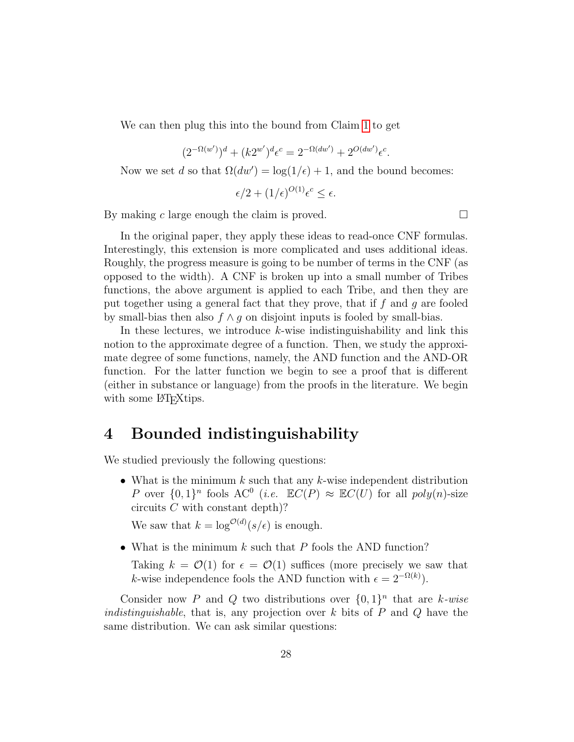We can then plug this into the bound from Claim [1](#page-24-0) to get

$$
(2^{-\Omega(w')})^d + (k2^{w'})^d \epsilon^c = 2^{-\Omega(dw')} + 2^{O(dw')} \epsilon^c.
$$

Now we set d so that  $\Omega(dw') = \log(1/\epsilon) + 1$ , and the bound becomes:

$$
\epsilon/2 + (1/\epsilon)^{O(1)} \epsilon^c \le \epsilon.
$$

By making c large enough the claim is proved.  $\square$ 

In the original paper, they apply these ideas to read-once CNF formulas. Interestingly, this extension is more complicated and uses additional ideas. Roughly, the progress measure is going to be number of terms in the CNF (as opposed to the width). A CNF is broken up into a small number of Tribes functions, the above argument is applied to each Tribe, and then they are put together using a general fact that they prove, that if  $f$  and  $g$  are fooled by small-bias then also  $f \wedge g$  on disjoint inputs is fooled by small-bias.

In these lectures, we introduce  $k$ -wise indistinguishability and link this notion to the approximate degree of a function. Then, we study the approximate degree of some functions, namely, the AND function and the AND-OR function. For the latter function we begin to see a proof that is different (either in substance or language) from the proofs in the literature. We begin with some LAT<sub>E</sub>Xtips.

# <span id="page-27-0"></span>4 Bounded indistinguishability

We studied previously the following questions:

• What is the minimum  $k$  such that any  $k$ -wise independent distribution P over  $\{0,1\}^n$  fools AC<sup>0</sup> (i.e.  $\mathbb{E}C(P) \approx \mathbb{E}C(U)$  for all  $poly(n)$ -size circuits  $\ddot{C}$  with constant depth)?

We saw that  $k = \log^{\mathcal{O}(d)}(s/\epsilon)$  is enough.

• What is the minimum  $k$  such that  $P$  fools the AND function?

Taking  $k = \mathcal{O}(1)$  for  $\epsilon = \mathcal{O}(1)$  suffices (more precisely we saw that k-wise independence fools the AND function with  $\epsilon = 2^{-\Omega(k)}$ .

Consider now P and Q two distributions over  $\{0,1\}^n$  that are k-wise indistinguishable, that is, any projection over  $k$  bits of  $P$  and  $Q$  have the same distribution. We can ask similar questions: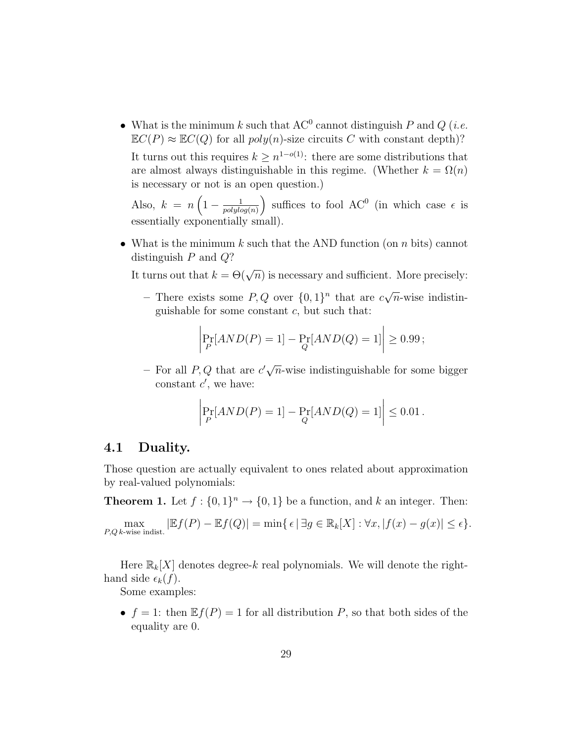• What is the minimum k such that  $AC^0$  cannot distinguish P and Q (*i.e.*  $\mathbb{E} C(P) \approx \mathbb{E} C(Q)$  for all  $poly(n)$ -size circuits C with constant depth)?

It turns out this requires  $k \geq n^{1-o(1)}$ : there are some distributions that are almost always distinguishable in this regime. (Whether  $k = \Omega(n)$ ) is necessary or not is an open question.)

Also,  $k = n \left(1 - \frac{1}{\text{polyle}}\right)$  $polylog(n)$ ) suffices to fool AC<sup>0</sup> (in which case  $\epsilon$  is essentially exponentially small).

• What is the minimum k such that the AND function (on n bits) cannot distinguish P and Q?

It turns out that  $k = \Theta(\sqrt{n})$  is necessary and sufficient. More precisely:

- There exists some  $P, Q$  over  $\{0, 1\}^n$  that are c √  $\overline{n}$ -wise indistinguishable for some constant  $c$ , but such that:

$$
\left| \Pr_{P}[AND(P) = 1] - \Pr_{Q}[AND(Q) = 1] \right| \ge 0.99;
$$

– For all  $P, Q$  that are  $c' \sqrt{n}$ -wise indistinguishable for some bigger constant  $c'$ , we have:

$$
\left|\Pr_{P}[AND(P) = 1] - \Pr_{Q}[AND(Q) = 1]\right| \le 0.01.
$$

## <span id="page-28-0"></span>4.1 Duality.

Those question are actually equivalent to ones related about approximation by real-valued polynomials:

**Theorem 1.** Let  $f: \{0,1\}^n \to \{0,1\}$  be a function, and k an integer. Then:

 $\max_{P,Q\text{ }k\text{-wise indist.}}|\mathbb{E}f(P)-\mathbb{E}f(Q)|=\min\{\,\epsilon\,|\,\exists g\in\mathbb{R}_k[X]:\forall x,|f(x)-g(x)|\leq\epsilon\}.$ 

Here  $\mathbb{R}_k[X]$  denotes degree-k real polynomials. We will denote the righthand side  $\epsilon_k(f)$ .

Some examples:

•  $f = 1$ : then  $\mathbb{E} f(P) = 1$  for all distribution P, so that both sides of the equality are 0.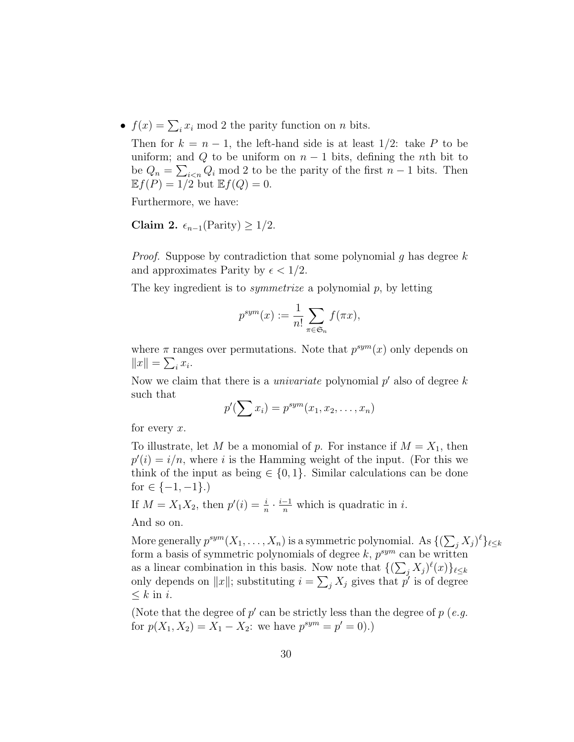•  $f(x) = \sum_i x_i \mod 2$  the parity function on *n* bits.

Then for  $k = n - 1$ , the left-hand side is at least 1/2: take P to be uniform; and Q to be uniform on  $n-1$  bits, defining the nth bit to be  $Q_n = \sum_{i \leq n} Q_i$  mod 2 to be the parity of the first  $n-1$  bits. Then  $\mathbb{E} f(P) = 1/2$  but  $\mathbb{E} f(Q) = 0$ .

Furthermore, we have:

Claim 2.  $\epsilon_{n-1}(\text{Parity}) \geq 1/2$ .

*Proof.* Suppose by contradiction that some polynomial g has degree  $k$ and approximates Parity by  $\epsilon < 1/2$ .

The key ingredient is to *symmetrize* a polynomial  $p$ , by letting

$$
p^{sym}(x) := \frac{1}{n!} \sum_{\pi \in \mathfrak{S}_n} f(\pi x),
$$

where  $\pi$  ranges over permutations. Note that  $p^{sym}(x)$  only depends on  $||x|| = \sum_i x_i.$ 

Now we claim that there is a *univariate* polynomial  $p'$  also of degree  $k$ such that

$$
p'(\sum x_i) = p^{sym}(x_1, x_2, \dots, x_n)
$$

for every  $x$ .

To illustrate, let M be a monomial of p. For instance if  $M = X_1$ , then  $p'(i) = i/n$ , where i is the Hamming weight of the input. (For this we think of the input as being  $\in \{0,1\}$ . Similar calculations can be done for  $\in \{-1, -1\}$ .)

If  $M = X_1 X_2$ , then  $p'(i) = \frac{i}{n} \cdot \frac{i-1}{n}$  which is quadratic in *i*.

And so on.

More generally  $p^{sym}(X_1,\ldots,X_n)$  is a symmetric polynomial. As  $\{(\sum_j X_j)^{\ell}\}_{\ell \leq k}$ form a basis of symmetric polynomials of degree  $k, p^{sym}$  can be written as a linear combination in this basis. Now note that  $\{(\sum_j X_j)^{\ell}(x)\}_{\ell \leq k}$ only depends on  $||x||$ ; substituting  $i = \sum_j X_j$  gives that  $p'$  is of degree  $\leq k$  in *i*.

(Note that the degree of  $p'$  can be strictly less than the degree of  $p$  (e.g. for  $p(X_1, X_2) = X_1 - X_2$ : we have  $p^{sym} = p' = 0$ .)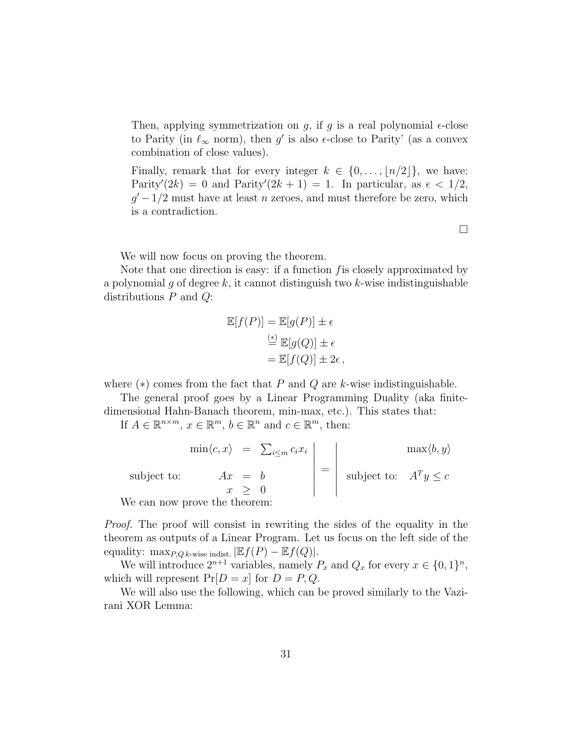Then, applying symmetrization on g, if g is a real polynomial  $\epsilon$ -close to Parity (in  $\ell_{\infty}$  norm), then g' is also  $\epsilon$ -close to Parity' (as a convex combination of close values).

Finally, remark that for every integer  $k \in \{0, \ldots, \lfloor n/2 \rfloor\}$ , we have: Parity'(2k) = 0 and Parity'(2k + 1) = 1. In particular, as  $\epsilon$  < 1/2,  $g' - 1/2$  must have at least n zeroes, and must therefore be zero, which is a contradiction.

 $\Box$ 

We will now focus on proving the theorem.

Note that one direction is easy: if a function fis closely approximated by a polynomial g of degree k, it cannot distinguish two k-wise indistinguishable distributions  $P$  and  $Q$ :

$$
\mathbb{E}[f(P)] = \mathbb{E}[g(P)] \pm \epsilon
$$
  
\n
$$
\stackrel{(*)}{=} \mathbb{E}[g(Q)] \pm \epsilon
$$
  
\n
$$
= \mathbb{E}[f(Q)] \pm 2\epsilon,
$$

where  $(*)$  comes from the fact that P and Q are k-wise indistinguishable.

The general proof goes by a Linear Programming Duality (aka finitedimensional Hahn-Banach theorem, min-max, etc.). This states that:

If  $A \in \mathbb{R}^{n \times m}$ ,  $x \in \mathbb{R}^m$ ,  $b \in \mathbb{R}^n$  and  $c \in \mathbb{R}^m$ , then:

$$
\begin{array}{rcl}\n\text{min}\langle c, x \rangle & = & \sum_{i \leq m} c_i x_i \\
\text{subject to:} & Ax & = & b \\
x & \geq & 0 \\
\text{We can now prove the theorem:} & \text{subject to:} & A^T y \leq c\n\end{array}
$$

Proof. The proof will consist in rewriting the sides of the equality in the theorem as outputs of a Linear Program. Let us focus on the left side of the equality: max $_{P,Q\,k\text{-wise indist.}} |\mathbb{E}f(P) - \mathbb{E}f(Q)|.$ 

We will introduce  $2^{n+1}$  variables, namely  $P_x$  and  $Q_x$  for every  $x \in \{0,1\}^n$ , which will represent  $Pr[D = x]$  for  $D = P, Q$ .

We will also use the following, which can be proved similarly to the Vazirani XOR Lemma: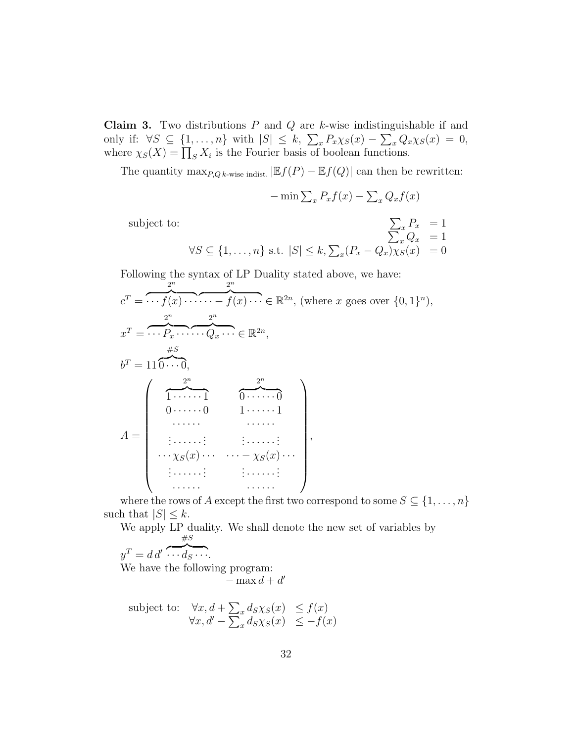**Claim 3.** Two distributions  $P$  and  $Q$  are  $k$ -wise indistinguishable if and only if:  $\forall S \subseteq \{1, ..., n\}$  with  $|S| \leq k$ ,  $\sum_{x} P_x \chi_S(x) - \sum_{x} Q_x \chi_S(x) = 0$ , where  $\chi_S(X) = \prod_S X_i$  is the Fourier basis of boolean functions.

The quantity  $\max_{P,Q \text{ } k\text{-wise indist.}} |\mathbb{E}f(P) - \mathbb{E}f(Q)|$  can then be rewritten:

$$
-\min \sum_{x} P_x f(x) - \sum_{x} Q_x f(x)
$$

subject to:

$$
\sum_{x} P_x = 1
$$
  
\n
$$
\forall S \subseteq \{1, ..., n\} \text{ s.t. } |S| \le k, \sum_{x} (P_x - Q_x) \chi_S(x) = 0
$$

Following the syntax of LP Duality stated above, we have:

c <sup>T</sup> = 2 n 2 n z }| { · · · f(x)· · · z }| { · · · − f(x)· · · ∈ R 2n , (where x goes over {0, 1} n ), x <sup>T</sup> = 2 n z }| { · · · P<sup>x</sup> · · · 2 n z }| { · · · Q<sup>x</sup> · · · ∈ R 2n , b <sup>T</sup> = 11 #S z }| { 0 · · · 0, A = 2 n z }| { 1 · · · · · · 1 2 n z }| { 0 · · · · · · 0 0 · · · · · · 0 1 · · · · · · 1 · · · · · · · · · · · · . . . · · · · · · . . . . . . · · · · · · . . . · · · χS(x)· · · · · · − χS(x)· · · . . . · · · · · · . . . . . . · · · · · · . . . · · · · · · · · · · · · ,

where the rows of A except the first two correspond to some  $S \subseteq \{1, \ldots, n\}$ such that  $|S| \leq k$ .

We apply LP duality. We shall denote the new set of variables by  $\#S$ 

$$
y^T = d\,d'\,\cdots\,d_S\,\cdots.
$$

We have the following program:

 $-\max d+d'$ 

subject to: 
$$
\forall x, d + \sum_{x} d_{S} \chi_{S}(x) \le f(x)
$$
  
 $\forall x, d' - \sum_{x} d_{S} \chi_{S}(x) \le -f(x)$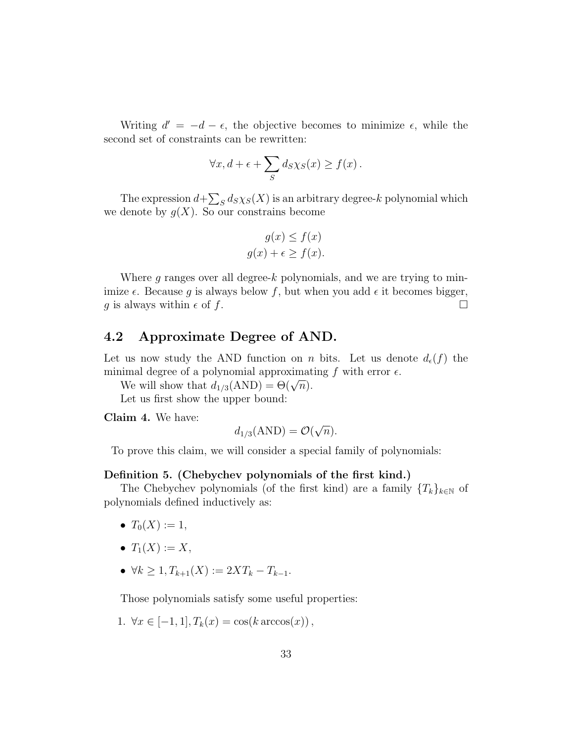Writing  $d' = -d - \epsilon$ , the objective becomes to minimize  $\epsilon$ , while the second set of constraints can be rewritten:

$$
\forall x, d + \epsilon + \sum_{S} d_{S} \chi_{S}(x) \ge f(x) .
$$

The expression  $d + \sum_S d_S \chi_S(X)$  is an arbitrary degree-k polynomial which we denote by  $g(X)$ . So our constrains become

$$
g(x) \le f(x)
$$

$$
g(x) + \epsilon \ge f(x).
$$

Where  $g$  ranges over all degree- $k$  polynomials, and we are trying to minimize  $\epsilon$ . Because g is always below f, but when you add  $\epsilon$  it becomes bigger, q is always within  $\epsilon$  of  $f$ .

## <span id="page-32-0"></span>4.2 Approximate Degree of AND.

Let us now study the AND function on *n* bits. Let us denote  $d_{\epsilon}(f)$  the minimal degree of a polynomial approximating f with error  $\epsilon$ .

The will show that  $d_{1/3}(\text{AND}) = \Theta(\sqrt{n}).$ 

Let us first show the upper bound:

Claim 4. We have:

$$
d_{1/3}(\text{AND}) = \mathcal{O}(\sqrt{n}).
$$

To prove this claim, we will consider a special family of polynomials:

#### Definition 5. (Chebychev polynomials of the first kind.)

The Chebychev polynomials (of the first kind) are a family  $\{T_k\}_{k\in\mathbb{N}}$  of polynomials defined inductively as:

- $T_0(X) := 1$ ,
- $T_1(X) := X$ ,
- $\forall k \geq 1, T_{k+1}(X) := 2XT_k T_{k-1}.$

Those polynomials satisfy some useful properties:

1. 
$$
\forall x \in [-1,1], T_k(x) = \cos(k \arccos(x)),
$$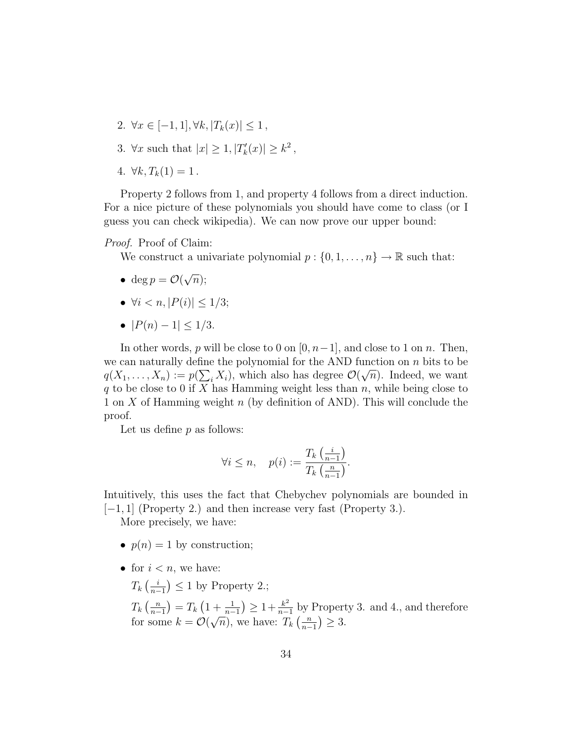- 2.  $\forall x \in [-1, 1], \forall k, |T_k(x)| \leq 1$ ,
- 3.  $\forall x$  such that  $|x| \geq 1, |T'_k(x)| \geq k^2$ ,
- 4.  $\forall k, T_k(1) = 1$ .

Property 2 follows from 1, and property 4 follows from a direct induction. For a nice picture of these polynomials you should have come to class (or I guess you can check wikipedia). We can now prove our upper bound:

#### Proof. Proof of Claim:

We construct a univariate polynomial  $p: \{0, 1, \ldots, n\} \to \mathbb{R}$  such that:

- deg  $p = \mathcal{O}(\mathbb{Q})$ √  $\overline{n});$
- $\forall i < n, |P(i)| < 1/3;$
- $|P(n) 1| \leq 1/3$ .

In other words, p will be close to 0 on  $[0, n-1]$ , and close to 1 on n. Then, we can naturally define the polynomial for the AND function on *n* bits to be  $\mathcal{L}(X, Y)$  $q(X_1, \ldots, X_n) := p(\sum_i X_i)$ , which also has degree  $\mathcal{O}(\sqrt{n})$ . Indeed, we want  $q$  to be close to 0 if X has Hamming weight less than  $n$ , while being close to 1 on X of Hamming weight n (by definition of AND). This will conclude the proof.

Let us define  $p$  as follows:

$$
\forall i \leq n, \quad p(i) := \frac{T_k\left(\frac{i}{n-1}\right)}{T_k\left(\frac{n}{n-1}\right)}.
$$

Intuitively, this uses the fact that Chebychev polynomials are bounded in [−1, 1] (Property 2.) and then increase very fast (Property 3.).

More precisely, we have:

- $p(n) = 1$  by construction;
- for  $i < n$ , we have:
	- $T_k\left(\frac{i}{n-1}\right)$  $\frac{i}{n-1}$ ) ≤ 1 by Property 2.;

 $T_k\left(\frac{n}{n-1}\right)$  $\frac{n}{n-1}$ ) = T<sub>k</sub>  $\left(1+\frac{1}{n-1}\right) \geq 1+\frac{k^2}{n-1}$  $\frac{k^2}{n-1}$  by Property 3. and 4., and therefore for some  $k = \mathcal{O}($ √  $\overline{n}$ , we have:  $T_k\left(\frac{n}{n-1}\right)$  $\frac{n}{n-1}$ ) ≥ 3.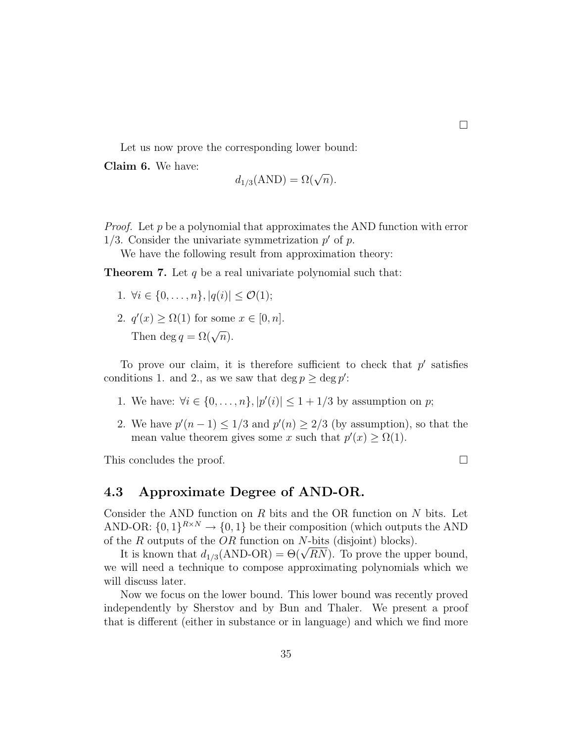Let us now prove the corresponding lower bound:

Claim 6. We have:

$$
d_{1/3}(\text{AND}) = \Omega(\sqrt{n}).
$$

 $\Box$ 

*Proof.* Let  $p$  be a polynomial that approximates the AND function with error 1/3. Consider the univariate symmetrization  $p'$  of  $p$ .

We have the following result from approximation theory:

**Theorem 7.** Let  $q$  be a real univariate polynomial such that:

- 1.  $\forall i \in \{0, \ldots, n\}, |q(i)| < \mathcal{O}(1);$
- 2.  $q'(x) \geq \Omega(1)$  for some  $x \in [0, n]$ . Then deg  $q = \Omega(\sqrt{n}).$

To prove our claim, it is therefore sufficient to check that  $p'$  satisfies conditions 1. and 2., as we saw that  $\deg p \geq \deg p'$ :

- 1. We have:  $\forall i \in \{0, ..., n\}, |p'(i)| \leq 1 + 1/3$  by assumption on p;
- 2. We have  $p'(n-1) \leq 1/3$  and  $p'(n) \geq 2/3$  (by assumption), so that the mean value theorem gives some x such that  $p'(x) \geq \Omega(1)$ .

This concludes the proof.

### <span id="page-34-0"></span>4.3 Approximate Degree of AND-OR.

Consider the AND function on  $R$  bits and the OR function on  $N$  bits. Let AND-OR:  $\{0,1\}^{R \times N} \rightarrow \{0,1\}$  be their composition (which outputs the AND of the R outputs of the  $OR$  function on N-bits (disjoint) blocks).

ne *R* outputs of the *OR* function on *N*-bits (disjoint) blocks).<br>It is known that  $d_{1/3}(\text{AND-OR}) = \Theta(\sqrt{RN})$ . To prove the upper bound, we will need a technique to compose approximating polynomials which we will discuss later.

Now we focus on the lower bound. This lower bound was recently proved independently by Sherstov and by Bun and Thaler. We present a proof that is different (either in substance or in language) and which we find more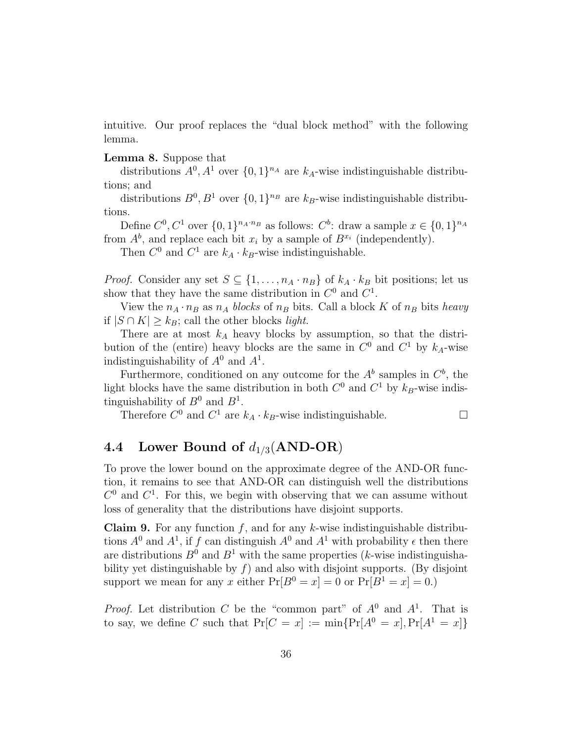intuitive. Our proof replaces the "dual block method" with the following lemma.

#### Lemma 8. Suppose that

distributions  $A^0$ ,  $A^1$  over  $\{0, 1\}^{n_A}$  are  $k_A$ -wise indistinguishable distributions; and

distributions  $B^0, B^1$  over  $\{0, 1\}^{n_B}$  are  $k_B$ -wise indistinguishable distributions.

Define  $C^0$ ,  $C^1$  over  $\{0,1\}^{n_A \cdot n_B}$  as follows:  $C^b$ : draw a sample  $x \in \{0,1\}^{n_A}$ from  $A^b$ , and replace each bit  $x_i$  by a sample of  $B^{x_i}$  (independently).

Then  $C^0$  and  $C^1$  are  $k_A \cdot k_B$ -wise indistinguishable.

*Proof.* Consider any set  $S \subseteq \{1, \ldots, n_A \cdot n_B\}$  of  $k_A \cdot k_B$  bit positions; let us show that they have the same distribution in  $C^0$  and  $C^1$ .

View the  $n_A \cdot n_B$  as  $n_A$  blocks of  $n_B$  bits. Call a block K of  $n_B$  bits heavy if  $|S ∩ K| ≥ k_B$ ; call the other blocks *light*.

There are at most  $k_A$  heavy blocks by assumption, so that the distribution of the (entire) heavy blocks are the same in  $C^0$  and  $C^1$  by  $k_A$ -wise indistinguishability of  $A^0$  and  $A^1$ .

Furthermore, conditioned on any outcome for the  $A^b$  samples in  $C^b$ , the light blocks have the same distribution in both  $C^0$  and  $C^1$  by  $k_B$ -wise indistinguishability of  $B^0$  and  $B^1$ .

Therefore  $C^0$  and  $C^1$  are  $k_A \cdot k_B$ -wise indistinguishable.

# <span id="page-35-0"></span>4.4 Lower Bound of  $d_{1/3}(\text{AND-OR})$

To prove the lower bound on the approximate degree of the AND-OR function, it remains to see that AND-OR can distinguish well the distributions  $C^0$  and  $C^1$ . For this, we begin with observing that we can assume without loss of generality that the distributions have disjoint supports.

**Claim 9.** For any function  $f$ , and for any k-wise indistinguishable distributions  $A^0$  and  $A^1$ , if f can distinguish  $A^0$  and  $A^1$  with probability  $\epsilon$  then there are distributions  $B^0$  and  $B^1$  with the same properties (k-wise indistinguishability yet distinguishable by  $f$ ) and also with disjoint supports. (By disjoint support we mean for any x either  $Pr[B^0 = x] = 0$  or  $Pr[B^1 = x] = 0$ .

*Proof.* Let distribution C be the "common part" of  $A^0$  and  $A^1$ . That is to say, we define C such that  $Pr[C = x] := min\{Pr[A^0 = x], Pr[A^1 = x]\}$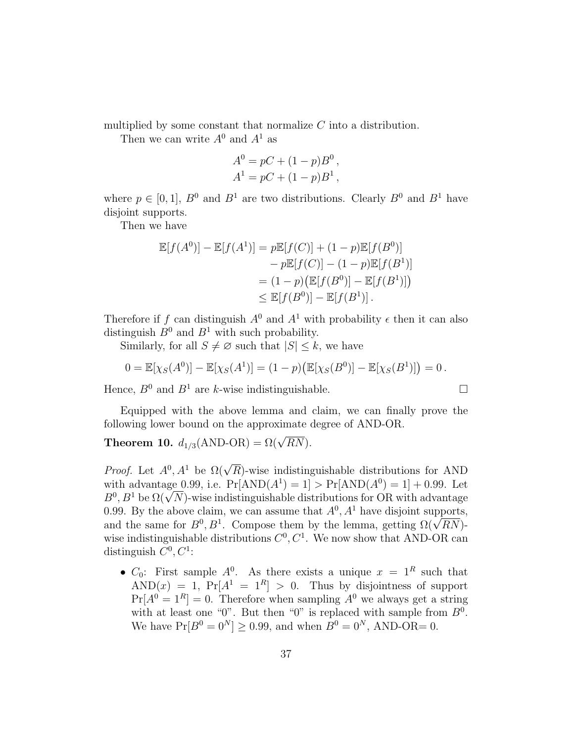multiplied by some constant that normalize C into a distribution.

Then we can write  $A^0$  and  $A^1$  as

$$
A^{0} = pC + (1 - p)B^{0},
$$
  

$$
A^{1} = pC + (1 - p)B^{1},
$$

where  $p \in [0, 1]$ ,  $B^0$  and  $B^1$  are two distributions. Clearly  $B^0$  and  $B^1$  have disjoint supports.

Then we have

$$
\mathbb{E}[f(A^0)] - \mathbb{E}[f(A^1)] = p\mathbb{E}[f(C)] + (1-p)\mathbb{E}[f(B^0)]
$$
  

$$
- p\mathbb{E}[f(C)] - (1-p)\mathbb{E}[f(B^1)]
$$
  

$$
= (1-p)(\mathbb{E}[f(B^0)] - \mathbb{E}[f(B^1)])
$$
  

$$
\leq \mathbb{E}[f(B^0)] - \mathbb{E}[f(B^1)].
$$

Therefore if f can distinguish  $A^0$  and  $A^1$  with probability  $\epsilon$  then it can also distinguish  $B^0$  and  $B^1$  with such probability.

Similarly, for all  $S \neq \emptyset$  such that  $|S| \leq k$ , we have

$$
0 = \mathbb{E}[\chi_S(A^0)] - \mathbb{E}[\chi_S(A^1)] = (1 - p) (\mathbb{E}[\chi_S(B^0)] - \mathbb{E}[\chi_S(B^1)]) = 0.
$$

Hence,  $B^0$  and  $B^1$  are k-wise indistinguishable.

Equipped with the above lemma and claim, we can finally prove the following lower bound on the approximate degree of AND-OR.

Theorem 10.  $d_{1/3}(\text{AND-OR}) = \Omega(\sqrt{RN}).$ 

*Proof.* Let  $A^0$ ,  $A^1$  be  $\Omega(\sqrt{R})$ -wise indistinguishable distributions for AND with advantage 0.99, i.e.  $Pr[AND(A^{1}) = 1] > Pr[AND(A^{0}) = 1] + 0.99$ . Let with advantage 0.99, i.e.  $Pr[AND(A^*) = 1] > Pr[AND(A^*) = 1] + 0.99$ . Let  $B^0, B^1$  be  $\Omega(\sqrt{N})$ -wise indistinguishable distributions for OR with advantage 0.99. By the above claim, we can assume that  $A^0$ ,  $A^1$  have disjoint supports, 0.99. By the above claim, we can assume that  $A^{\circ}, A^{\star}$  have disjoint supports,<br>and the same for  $B^0, B^1$ . Compose them by the lemma, getting  $\Omega(\sqrt{RN})$ wise indistinguishable distributions  $C^0$ ,  $C^1$ . We now show that AND-OR can distinguish  $C^0, C^1$ :

•  $C_0$ : First sample  $A^0$ . As there exists a unique  $x = 1^R$  such that  $AND(x) = 1$ ,  $Pr[A^1 = 1^R] > 0$ . Thus by disjointness of support  $Pr[A^0 = 1^R] = 0$ . Therefore when sampling  $A^0$  we always get a string with at least one "0". But then "0" is replaced with sample from  $B^0$ . We have  $Pr[B^0 = 0^N] > 0.99$ , and when  $B^0 = 0^N$ , AND-OR= 0.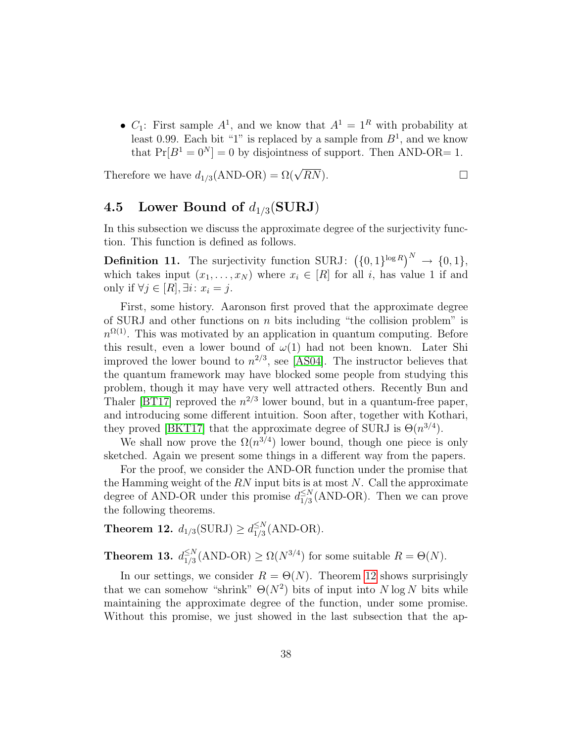•  $C_1$ : First sample  $A^1$ , and we know that  $A^1 = 1^R$  with probability at least 0.99. Each bit "1" is replaced by a sample from  $B<sup>1</sup>$ , and we know that  $Pr[B^1 = 0^N] = 0$  by disjointness of support. Then AND-OR= 1.

Therefore we have  $d_{1/3}(\text{AND-OR}) = \Omega(\sqrt{RN})$ .

# <span id="page-37-0"></span>4.5 Lower Bound of  $d_{1/3}(\text{SURJ})$

In this subsection we discuss the approximate degree of the surjectivity function. This function is defined as follows.

**Definition 11.** The surjectivity function SURJ:  $({0, 1}^{\log R})^N \rightarrow {0, 1}$ , which takes input  $(x_1, \ldots, x_N)$  where  $x_i \in [R]$  for all i, has value 1 if and only if  $\forall j \in [R], \exists i: x_i = j$ .

First, some history. Aaronson first proved that the approximate degree of SURJ and other functions on  $n$  bits including "the collision problem" is  $n^{\Omega(1)}$ . This was motivated by an application in quantum computing. Before this result, even a lower bound of  $\omega(1)$  had not been known. Later Shi improved the lower bound to  $n^{2/3}$ , see [\[AS04\]](#page-62-1). The instructor believes that the quantum framework may have blocked some people from studying this problem, though it may have very well attracted others. Recently Bun and Thaler [\[BT17\]](#page-63-4) reproved the  $n^{2/3}$  lower bound, but in a quantum-free paper, and introducing some different intuition. Soon after, together with Kothari, they proved [\[BKT17\]](#page-63-5) that the approximate degree of SURJ is  $\Theta(n^{3/4})$ .

We shall now prove the  $\Omega(n^{3/4})$  lower bound, though one piece is only sketched. Again we present some things in a different way from the papers.

For the proof, we consider the AND-OR function under the promise that the Hamming weight of the  $RN$  input bits is at most N. Call the approximate degree of AND-OR under this promise  $d_{1/3}^{\leq N}$  $\frac{\leq N}{1/3}$ (AND-OR). Then we can prove the following theorems.

<span id="page-37-1"></span>**Theorem 12.**  $d_{1/3}(\text{SURJ}) \geq d_{1/3}^{\leq N}$  $\frac{\leq N}{1/3}$ (AND-OR).

<span id="page-37-2"></span>Theorem 13.  $d_{1/3}^{\leq N}$  $\frac{\leq N}{1/3}(\text{AND-OR}) \geq \Omega(N^{3/4})$  for some suitable  $R = \Theta(N)$ .

In our settings, we consider  $R = \Theta(N)$ . Theorem [12](#page-37-1) shows surprisingly that we can somehow "shrink"  $\Theta(N^2)$  bits of input into  $N \log N$  bits while maintaining the approximate degree of the function, under some promise. Without this promise, we just showed in the last subsection that the ap-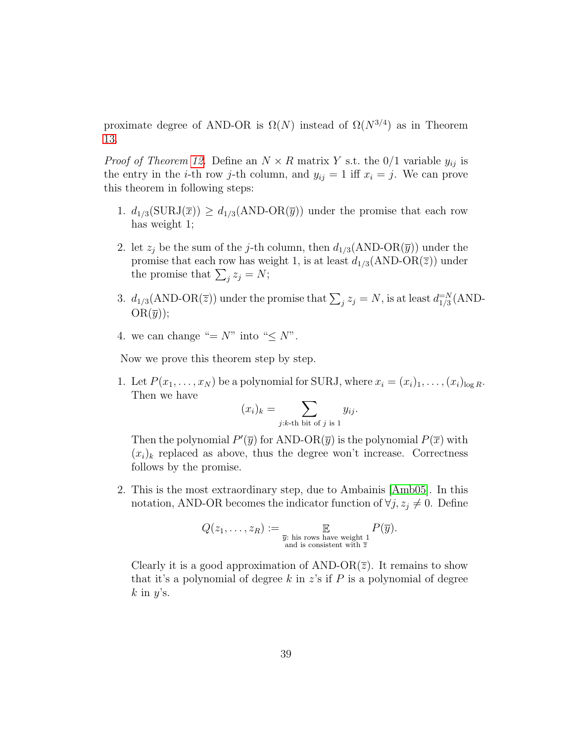proximate degree of AND-OR is  $\Omega(N)$  instead of  $\Omega(N^{3/4})$  as in Theorem [13.](#page-37-2)

*Proof of Theorem [12.](#page-37-1)* Define an  $N \times R$  matrix Y s.t. the 0/1 variable  $y_{ij}$  is the entry in the *i*-th row *j*-th column, and  $y_{ij} = 1$  iff  $x_i = j$ . We can prove this theorem in following steps:

- 1.  $d_{1/3}(\text{SUBJ}(\overline{x})) \geq d_{1/3}(\text{AND-OR}(\overline{y}))$  under the promise that each row has weight 1;
- 2. let  $z_j$  be the sum of the j-th column, then  $d_{1/3}(\text{AND-OR}(\overline{y}))$  under the promise that each row has weight 1, is at least  $d_{1/3}(\text{AND-OR}(\overline{z}))$  under the promise that  $\sum_j z_j = N;$
- 3.  $d_{1/3}(\text{AND-OR}(\overline{z}))$  under the promise that  $\sum_j z_j = N$ , is at least  $d_{1/3}^{\equiv N}(\text{AND-OR}(\overline{z}))$  $OR(\overline{y}))$ ;
- 4. we can change "=  $N$ " into " $\leq N$ ".

Now we prove this theorem step by step.

1. Let  $P(x_1, \ldots, x_N)$  be a polynomial for SURJ, where  $x_i = (x_i)_1, \ldots, (x_i)_{\log R}$ . Then we have

$$
(x_i)_k = \sum_{j:k\text{-th bit of }j\text{ is }1} y_{ij}.
$$

Then the polynomial  $P'(\overline{y})$  for AND-OR $(\overline{y})$  is the polynomial  $P(\overline{x})$  with  $(x_i)_k$  replaced as above, thus the degree won't increase. Correctness follows by the promise.

2. This is the most extraordinary step, due to Ambainis [\[Amb05\]](#page-62-2). In this notation, AND-OR becomes the indicator function of  $\forall j, z_j \neq 0$ . Define

$$
Q(z_1,\ldots,z_R):=\mathop{\mathbb{E}}_{\substack{\overline{y}: \text{ his rows have weight }1 \\ \text{and is consistent with } \overline{z}}}P(\overline{y}).
$$

Clearly it is a good approximation of AND-OR $(\overline{z})$ . It remains to show that it's a polynomial of degree k in  $z$ 's if P is a polynomial of degree  $k$  in  $y$ 's.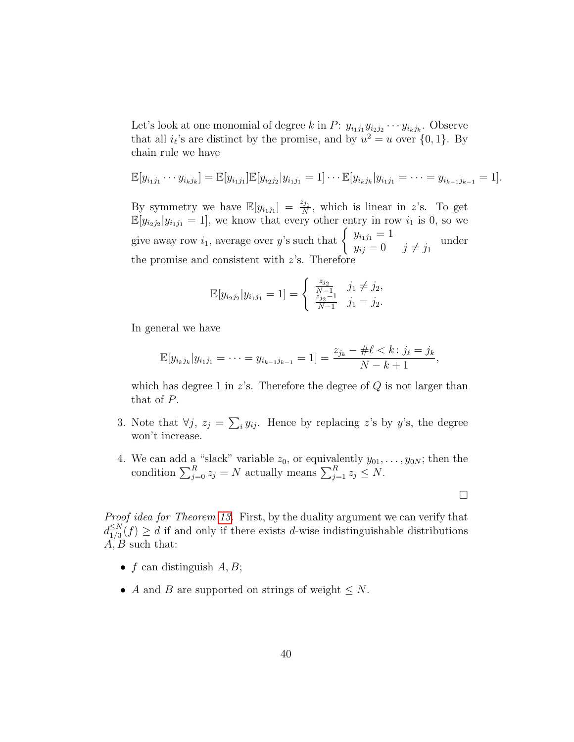Let's look at one monomial of degree k in  $P: y_{i_1 j_1} y_{i_2 j_2} \cdots y_{i_k j_k}$ . Observe that all  $i_{\ell}$ 's are distinct by the promise, and by  $u^2 = u$  over  $\{0, 1\}$ . By chain rule we have

$$
\mathbb{E}[y_{i_1j_1}\cdots y_{i_kj_k}]=\mathbb{E}[y_{i_1j_1}]\mathbb{E}[y_{i_2j_2}|y_{i_1j_1}=1]\cdots\mathbb{E}[y_{i_kj_k}|y_{i_1j_1}=\cdots=y_{i_{k-1}j_{k-1}}=1].
$$

By symmetry we have  $\mathbb{E}[y_{i_1j_1}] = \frac{z_{j_1}}{N}$ , which is linear in z's. To get  $\mathbb{E}[y_{i_2j_2}|y_{i_1j_1}=1]$ , we know that every other entry in row  $i_1$  is 0, so we give away row  $i_1$ , average over y's such that  $\begin{cases} y_{i_1j_1} = 1 \\ y_{i_1j_1} = 0 \end{cases}$  $y_{ij} = 0$   $j \neq j_1$  under the promise and consistent with z's. Therefore

$$
\mathbb{E}[y_{i_2j_2}|y_{i_1j_1} = 1] = \begin{cases} \frac{z_{j_2}}{N-1} & j_1 \neq j_2, \\ \frac{z_{j_2}-1}{N-1} & j_1 = j_2. \end{cases}
$$

In general we have

$$
\mathbb{E}[y_{i_kj_k}|y_{i_1j_1}=\cdots=y_{i_{k-1}j_{k-1}}=1]=\frac{z_{j_k}-\#\ell
$$

which has degree 1 in  $z$ 's. Therefore the degree of  $Q$  is not larger than that of P.

- 3. Note that  $\forall j, z_j = \sum_i y_{ij}$ . Hence by replacing z's by y's, the degree won't increase.
- 4. We can add a "slack" variable  $z_0$ , or equivalently  $y_{01}, \ldots, y_{0N}$ ; then the condition  $\sum_{j=0}^{R} z_j = N$  actually means  $\sum_{j=1}^{R} z_j \leq N$ .

 $\Box$ 

Proof idea for Theorem [13.](#page-37-2) First, by the duality argument we can verify that  $d_{1/3}^{\leq N}$  $\frac{\leq N}{1/3}(f) \geq d$  if and only if there exists d-wise indistinguishable distributions  $A, B$  such that:

- f can distinguish  $A, B;$
- A and B are supported on strings of weight  $\leq N$ .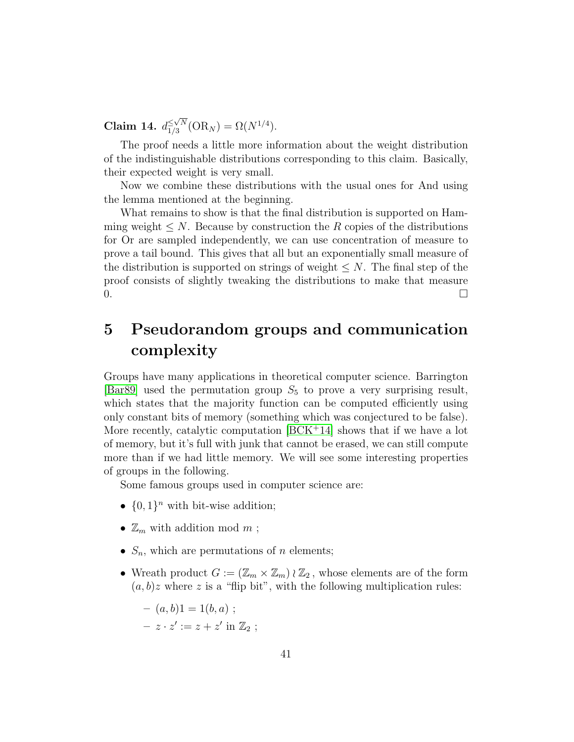Claim 14.  $d_{1/3}^{\leq \sqrt{N}}$  $\frac{\leq \sqrt{N}}{1/3}$ (OR<sub>N</sub>) =  $\Omega(N^{1/4})$ .

The proof needs a little more information about the weight distribution of the indistinguishable distributions corresponding to this claim. Basically, their expected weight is very small.

Now we combine these distributions with the usual ones for And using the lemma mentioned at the beginning.

What remains to show is that the final distribution is supported on Hamming weight  $\leq N$ . Because by construction the R copies of the distributions for Or are sampled independently, we can use concentration of measure to prove a tail bound. This gives that all but an exponentially small measure of the distribution is supported on strings of weight  $\leq N$ . The final step of the proof consists of slightly tweaking the distributions to make that measure  $0.$ 

# <span id="page-40-0"></span>5 Pseudorandom groups and communication complexity

Groups have many applications in theoretical computer science. Barrington [\[Bar89\]](#page-63-6) used the permutation group  $S_5$  to prove a very surprising result, which states that the majority function can be computed efficiently using only constant bits of memory (something which was conjectured to be false). More recently, catalytic computation  $[BCK^+14]$  $[BCK^+14]$  shows that if we have a lot of memory, but it's full with junk that cannot be erased, we can still compute more than if we had little memory. We will see some interesting properties of groups in the following.

Some famous groups used in computer science are:

- $\{0,1\}^n$  with bit-wise addition;
- $\mathbb{Z}_m$  with addition mod m;
- $S_n$ , which are permutations of *n* elements;
- Wreath product  $G := (\mathbb{Z}_m \times \mathbb{Z}_m) \wr \mathbb{Z}_2$ , whose elements are of the form  $(a, b)z$  where z is a "flip bit", with the following multiplication rules:

$$
- (a, b)1 = 1(b, a) ;
$$

$$
- z \cdot z' := z + z' \text{ in } \mathbb{Z}_2 ;
$$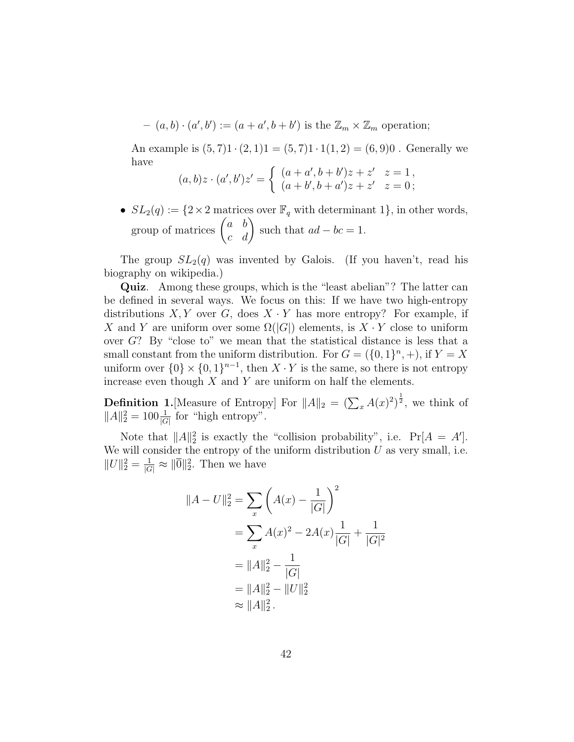$-(a,b)\cdot(a',b') := (a+a',b+b')$  is the  $\mathbb{Z}_m \times \mathbb{Z}_m$  operation;

An example is  $(5, 7)1 \cdot (2, 1)1 = (5, 7)1 \cdot 1(1, 2) = (6, 9)0$ . Generally we have

$$
(a,b)z \cdot (a',b')z' = \begin{cases} (a+a',b+b')z + z' & z = 1, \\ (a+b',b+a')z + z' & z = 0; \end{cases}
$$

•  $SL_2(q) := \{2 \times 2 \text{ matrices over } \mathbb{F}_q \text{ with determinant } 1\}$ , in other words, group of matrices  $\begin{pmatrix} a & b \\ c & d \end{pmatrix}$  such that  $ad - bc = 1$ .

The group  $SL_2(q)$  was invented by Galois. (If you haven't, read his biography on wikipedia.)

Quiz. Among these groups, which is the "least abelian"? The latter can be defined in several ways. We focus on this: If we have two high-entropy distributions  $X, Y$  over G, does  $X \cdot Y$  has more entropy? For example, if X and Y are uniform over some  $\Omega(|G|)$  elements, is  $X \cdot Y$  close to uniform over G? By "close to" we mean that the statistical distance is less that a small constant from the uniform distribution. For  $G = (\{0, 1\}^n, +)$ , if  $Y = X$ uniform over  $\{0\} \times \{0,1\}^{n-1}$ , then  $X \cdot Y$  is the same, so there is not entropy increase even though  $X$  and  $Y$  are uniform on half the elements.

**Definition 1.** [Measure of Entropy] For  $||A||_2 = (\sum_x A(x)^2)^{\frac{1}{2}}$ , we think of  $||A||_2^2 = 100 \frac{1}{|G|}$  for "high entropy".

Note that  $||A||_2^2$  is exactly the "collision probability", i.e.  $Pr[A = A']$ . We will consider the entropy of the uniform distribution  $U$  as very small, i.e.  $||U||_2^2 = \frac{1}{|G|} \approx ||\overline{0}||_2^2$ . Then we have

$$
||A - U||_2^2 = \sum_x \left( A(x) - \frac{1}{|G|} \right)^2
$$
  
=  $\sum_x A(x)^2 - 2A(x) \frac{1}{|G|} + \frac{1}{|G|^2}$   
=  $||A||_2^2 - \frac{1}{|G|}$   
=  $||A||_2^2 - ||U||_2^2$   
 $\approx ||A||_2^2.$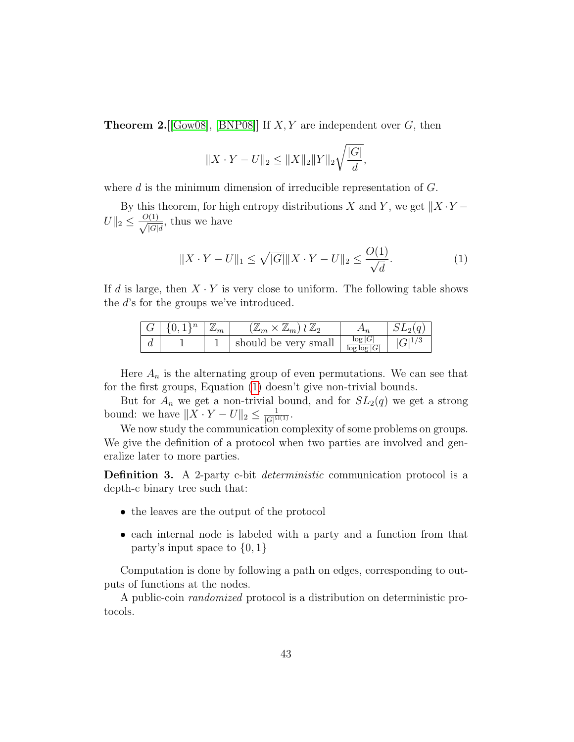**Theorem 2.** [\[Gow08\]](#page-64-8), [\[BNP08\]](#page-63-8)] If X, Y are independent over G, then

$$
||X \cdot Y - U||_2 \le ||X||_2 ||Y||_2 \sqrt{\frac{|G|}{d}},
$$

where d is the minimum dimension of irreducible representation of  $G$ .

By this theorem, for high entropy distributions X and Y, we get  $||X \cdot Y ||U||_2 \leq \frac{O(1)}{\sqrt{|O|}}$  $\frac{d(1)}{|G|d}$ , thus we have

<span id="page-42-0"></span>
$$
||X \cdot Y - U||_1 \le \sqrt{|G|} ||X \cdot Y - U||_2 \le \frac{O(1)}{\sqrt{d}}.
$$
 (1)

If d is large, then  $X \cdot Y$  is very close to uniform. The following table shows the d's for the groups we've introduced.

| G | $\{0, 1\}$ | $\omega_m$ | $\mathbb{Z}_m$ ,<br>⊉ാ | $\Delta_n$                 |  |
|---|------------|------------|------------------------|----------------------------|--|
|   |            |            | should be very small   | log  G <br>$\log \log  G $ |  |

Here  $A_n$  is the alternating group of even permutations. We can see that for the first groups, Equation [\(1\)](#page-42-0) doesn't give non-trivial bounds.

But for  $A_n$  we get a non-trivial bound, and for  $SL_2(q)$  we get a strong bound: we have  $||X \cdot Y - U||_2 \le \frac{1}{|G|^{\Omega(1)}}$ .

We now study the communication complexity of some problems on groups. We give the definition of a protocol when two parties are involved and generalize later to more parties.

Definition 3. A 2-party c-bit deterministic communication protocol is a depth-c binary tree such that:

- the leaves are the output of the protocol
- each internal node is labeled with a party and a function from that party's input space to  $\{0, 1\}$

Computation is done by following a path on edges, corresponding to outputs of functions at the nodes.

A public-coin randomized protocol is a distribution on deterministic protocols.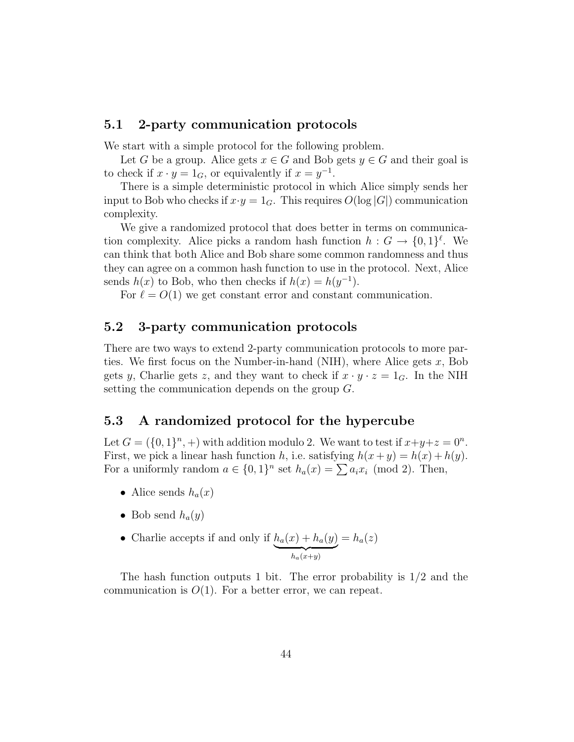## <span id="page-43-0"></span>5.1 2-party communication protocols

We start with a simple protocol for the following problem.

Let G be a group. Alice gets  $x \in G$  and Bob gets  $y \in G$  and their goal is to check if  $x \cdot y = 1_G$ , or equivalently if  $x = y^{-1}$ .

There is a simple deterministic protocol in which Alice simply sends her input to Bob who checks if  $x \cdot y = 1_G$ . This requires  $O(\log |G|)$  communication complexity.

We give a randomized protocol that does better in terms on communication complexity. Alice picks a random hash function  $h: G \to \{0,1\}^{\ell}$ . We can think that both Alice and Bob share some common randomness and thus they can agree on a common hash function to use in the protocol. Next, Alice sends  $h(x)$  to Bob, who then checks if  $h(x) = h(y^{-1})$ .

For  $\ell = O(1)$  we get constant error and constant communication.

## <span id="page-43-1"></span>5.2 3-party communication protocols

There are two ways to extend 2-party communication protocols to more parties. We first focus on the Number-in-hand (NIH), where Alice gets  $x$ , Bob gets y, Charlie gets z, and they want to check if  $x \cdot y \cdot z = 1_G$ . In the NIH setting the communication depends on the group G.

### <span id="page-43-2"></span>5.3 A randomized protocol for the hypercube

Let  $G = (\{0,1\}^n, +)$  with addition modulo 2. We want to test if  $x+y+z=0^n$ . First, we pick a linear hash function h, i.e. satisfying  $h(x+y) = h(x) + h(y)$ . For a uniformly random  $a \in \{0,1\}^n$  set  $h_a(x) = \sum a_i x_i \pmod{2}$ . Then,

- Alice sends  $h_a(x)$
- Bob send  $h_a(y)$
- Charlie accepts if and only if  $h_a(x) + h_a(y)$  ${h_a}(x+y)$  $= h_a(z)$

The hash function outputs 1 bit. The error probability is  $1/2$  and the communication is  $O(1)$ . For a better error, we can repeat.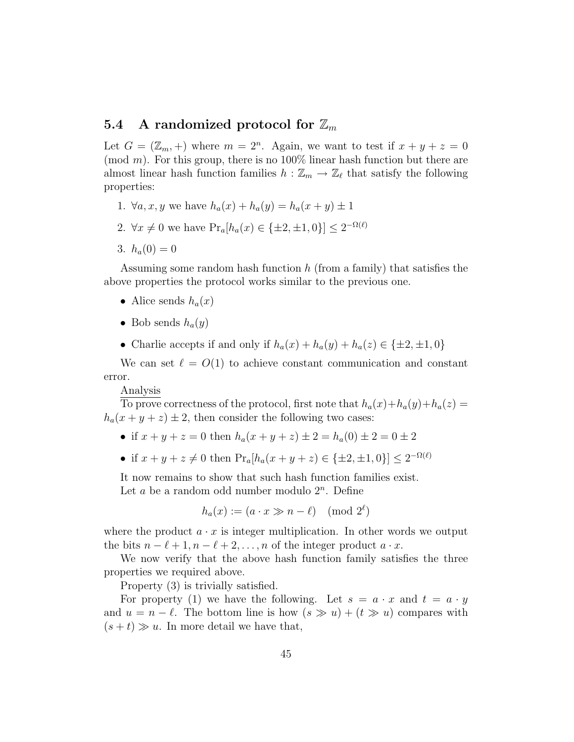# <span id="page-44-0"></span>5.4 A randomized protocol for  $\mathbb{Z}_m$

Let  $G = (\mathbb{Z}_m, +)$  where  $m = 2^n$ . Again, we want to test if  $x + y + z = 0$ (mod m). For this group, there is no  $100\%$  linear hash function but there are almost linear hash function families  $h : \mathbb{Z}_m \to \mathbb{Z}_\ell$  that satisfy the following properties:

- 1.  $\forall a, x, y$  we have  $h_a(x) + h_a(y) = h_a(x + y) \pm 1$
- 2.  $\forall x \neq 0$  we have  $Pr_a[h_a(x) \in {\pm 2, \pm 1, 0}] \leq 2^{-\Omega(\ell)}$
- 3.  $h_a(0) = 0$

Assuming some random hash function  $h$  (from a family) that satisfies the above properties the protocol works similar to the previous one.

- Alice sends  $h_a(x)$
- Bob sends  $h_a(y)$
- Charlie accepts if and only if  $h_a(x) + h_a(y) + h_a(z) \in \{\pm 2, \pm 1, 0\}$

We can set  $\ell = O(1)$  to achieve constant communication and constant error.

#### Analysis

To prove correctness of the protocol, first note that  $h_a(x)+h_a(y)+h_a(z) =$  $h_a(x+y+z) \pm 2$ , then consider the following two cases:

- if  $x + y + z = 0$  then  $h_a(x + y + z) \pm 2 = h_a(0) \pm 2 = 0 \pm 2$
- if  $x + y + z \neq 0$  then  $Pr_a[h_a(x + y + z) \in {\pm 2, \pm 1, 0}] \leq 2^{-\Omega(\ell)}$

It now remains to show that such hash function families exist. Let  $a$  be a random odd number modulo  $2^n$ . Define

$$
h_a(x) := (a \cdot x \gg n - \ell) \pmod{2^{\ell}}
$$

where the product  $a \cdot x$  is integer multiplication. In other words we output the bits  $n - \ell + 1, n - \ell + 2, \ldots, n$  of the integer product  $a \cdot x$ .

We now verify that the above hash function family satisfies the three properties we required above.

Property (3) is trivially satisfied.

For property (1) we have the following. Let  $s = a \cdot x$  and  $t = a \cdot y$ and  $u = n - \ell$ . The bottom line is how  $(s \gg u) + (t \gg u)$  compares with  $(s + t) \gg u$ . In more detail we have that,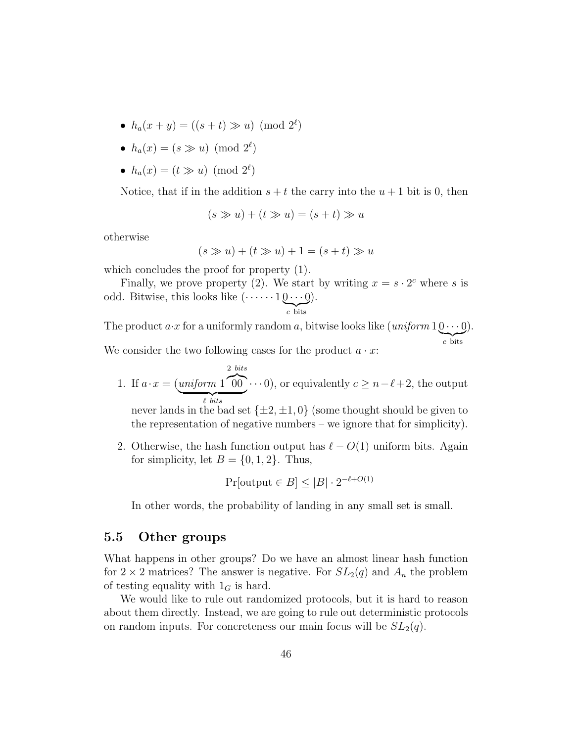- $h_a(x+y) = ((s+t) \gg u) \pmod{2^{\ell}}$
- $h_a(x) = (s \gg u) \pmod{2^{\ell}}$
- $h_a(x) = (t \gg u) \pmod{2^{\ell}}$

Notice, that if in the addition  $s + t$  the carry into the  $u + 1$  bit is 0, then

$$
(s \gg u) + (t \gg u) = (s + t) \gg u
$$

otherwise

$$
(s \gg u) + (t \gg u) + 1 = (s + t) \gg u
$$

which concludes the proof for property  $(1)$ .

Finally, we prove property (2). We start by writing  $x = s \cdot 2^c$  where s is odd. Bitwise, this looks like  $(\cdots \cdots 10 \cdots 0)$ .

$$
c
$$
 bits

The product a x for a uniformly random a, bitwise looks like  $(uniform 1 0 \cdots 0$  $\overline{c}$  bits ).

We consider the two following cases for the product  $a \cdot x$ :

1. If  $a \cdot x = (uniform 1)$ 2 bits  $\sim$  $\ell$  bits  $\cdots$ 0), or equivalently  $c \geq n-\ell+2$ , the output

never lands in the bad set  $\{\pm 2, \pm 1, 0\}$  (some thought should be given to the representation of negative numbers – we ignore that for simplicity).

2. Otherwise, the hash function output has  $\ell - O(1)$  uniform bits. Again for simplicity, let  $B = \{0, 1, 2\}$ . Thus,

$$
\Pr[\text{output} \in B] \le |B| \cdot 2^{-\ell + O(1)}
$$

In other words, the probability of landing in any small set is small.

### <span id="page-45-0"></span>5.5 Other groups

What happens in other groups? Do we have an almost linear hash function for  $2 \times 2$  matrices? The answer is negative. For  $SL_2(q)$  and  $A_n$  the problem of testing equality with  $1_G$  is hard.

We would like to rule out randomized protocols, but it is hard to reason about them directly. Instead, we are going to rule out deterministic protocols on random inputs. For concreteness our main focus will be  $SL_2(q)$ .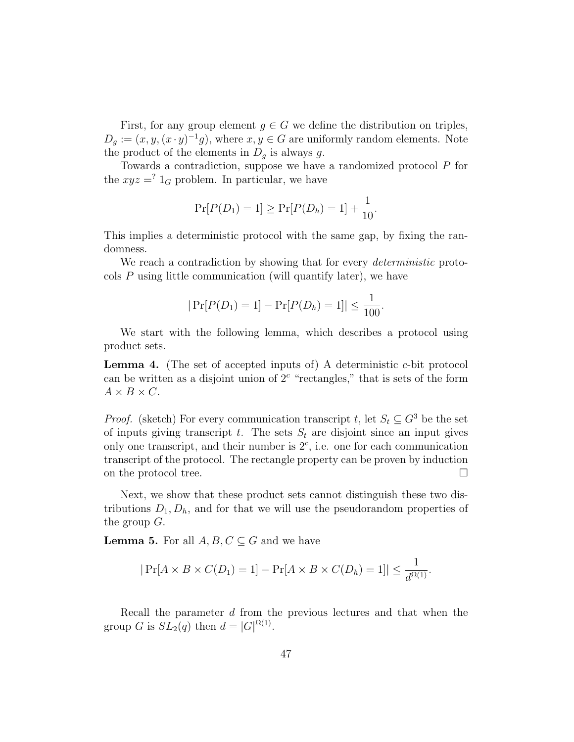First, for any group element  $g \in G$  we define the distribution on triples,  $D_g := (x, y, (x \cdot y)^{-1} g)$ , where  $x, y \in G$  are uniformly random elements. Note the product of the elements in  $D_g$  is always g.

Towards a contradiction, suppose we have a randomized protocol P for the  $xyz =$   $1_G$  problem. In particular, we have

$$
Pr[P(D_1) = 1] \geq Pr[P(D_h) = 1] + \frac{1}{10}.
$$

This implies a deterministic protocol with the same gap, by fixing the randomness.

We reach a contradiction by showing that for every *deterministic* protocols P using little communication (will quantify later), we have

$$
|\Pr[P(D_1) = 1] - \Pr[P(D_h) = 1]| \le \frac{1}{100}.
$$

We start with the following lemma, which describes a protocol using product sets.

**Lemma 4.** (The set of accepted inputs of) A deterministic c-bit protocol can be written as a disjoint union of  $2<sup>c</sup>$  "rectangles," that is sets of the form  $A \times B \times C$ .

*Proof.* (sketch) For every communication transcript t, let  $S_t \subseteq G^3$  be the set of inputs giving transcript t. The sets  $S_t$  are disjoint since an input gives only one transcript, and their number is  $2^c$ , i.e. one for each communication transcript of the protocol. The rectangle property can be proven by induction on the protocol tree.  $\Box$ 

Next, we show that these product sets cannot distinguish these two distributions  $D_1, D_h$ , and for that we will use the pseudorandom properties of the group G.

**Lemma 5.** For all  $A, B, C \subseteq G$  and we have

$$
|\Pr[A \times B \times C(D_1) = 1] - \Pr[A \times B \times C(D_h) = 1]| \le \frac{1}{d^{\Omega(1)}}.
$$

Recall the parameter d from the previous lectures and that when the group G is  $SL_2(q)$  then  $d = |G|^{\Omega(1)}$ .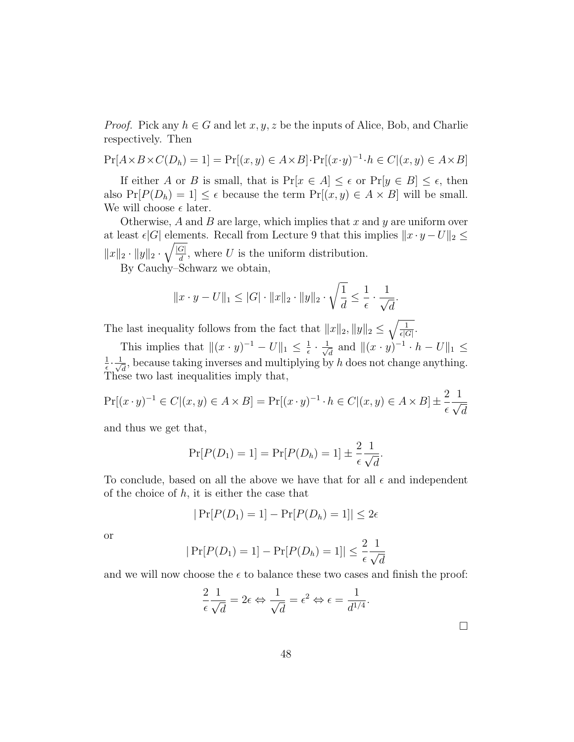*Proof.* Pick any  $h \in G$  and let  $x, y, z$  be the inputs of Alice, Bob, and Charlie respectively. Then

$$
\Pr[A \times B \times C(D_h) = 1] = \Pr[(x, y) \in A \times B] \cdot \Pr[(x \cdot y)^{-1} \cdot h \in C | (x, y) \in A \times B]
$$

If either A or B is small, that is  $Pr[x \in A] \leq \epsilon$  or  $Pr[y \in B] \leq \epsilon$ , then also  $Pr[P(D_h) = 1] \leq \epsilon$  because the term  $Pr[(x, y) \in A \times B]$  will be small. We will choose  $\epsilon$  later.

Otherwise, A and B are large, which implies that x and y are uniform over at least  $\epsilon |G|$  elements. Recall from Lecture 9 that this implies  $||x \cdot y - U||_2 \le$  $||x||_2 \cdot ||y||_2 \cdot \sqrt{\frac{|G|}{d}}$  $\frac{G}{d}$ , where U is the uniform distribution.

By Cauchy–Schwarz we obtain,

$$
||x \cdot y - U||_1 \le |G| \cdot ||x||_2 \cdot ||y||_2 \cdot \sqrt{\frac{1}{d}} \le \frac{1}{\epsilon} \cdot \frac{1}{\sqrt{d}}.
$$

The last inequality follows from the fact that  $||x||_2, ||y||_2 \leq \sqrt{\frac{1}{\epsilon |G|}}$ .

This implies that  $||(x \cdot y)^{-1} - U||_1 \leq \frac{1}{\epsilon}$  $\frac{1}{\epsilon} \cdot \frac{1}{\sqrt{2}}$  $\frac{1}{\overline{d}}$  and  $||(x \cdot y)^{-1} \cdot h - U||_1 \leq$ 1  $\frac{1}{\epsilon} \cdot \frac{1}{\sqrt{\epsilon}}$  $\overline{a}$ , because taking inverses and multiplying by h does not change anything. These two last inequalities imply that,

$$
\Pr[(x \cdot y)^{-1} \in C | (x, y) \in A \times B] = \Pr[(x \cdot y)^{-1} \cdot h \in C | (x, y) \in A \times B] \pm \frac{2}{\epsilon} \frac{1}{\sqrt{d}}
$$

and thus we get that,

$$
Pr[P(D_1) = 1] = Pr[P(D_h) = 1] \pm \frac{2}{\epsilon} \frac{1}{\sqrt{d}}.
$$

To conclude, based on all the above we have that for all  $\epsilon$  and independent of the choice of  $h$ , it is either the case that

$$
|\Pr[P(D_1) = 1] - \Pr[P(D_h) = 1]| \le 2\epsilon
$$

or

$$
|\Pr[P(D_1) = 1] - \Pr[P(D_h) = 1]| \le \frac{2}{\epsilon} \frac{1}{\sqrt{d}}
$$

and we will now choose the  $\epsilon$  to balance these two cases and finish the proof:

$$
\frac{2}{\epsilon} \frac{1}{\sqrt{d}} = 2\epsilon \Leftrightarrow \frac{1}{\sqrt{d}} = \epsilon^2 \Leftrightarrow \epsilon = \frac{1}{d^{1/4}}.
$$

 $\Box$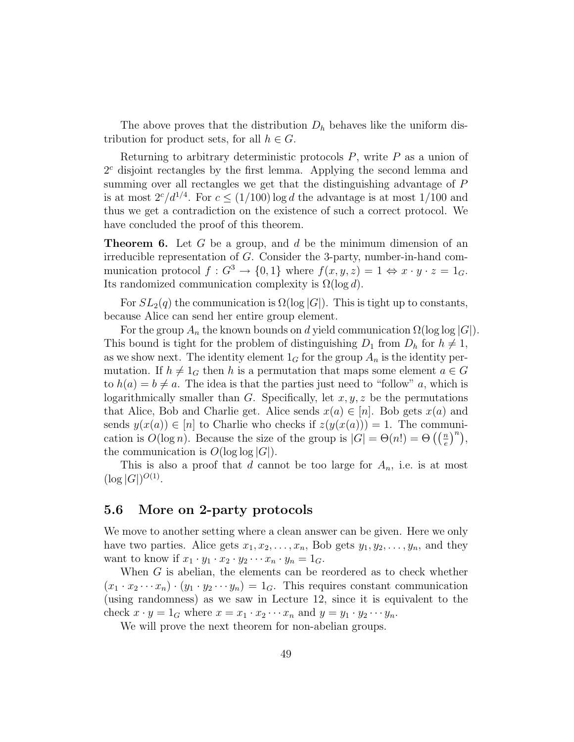The above proves that the distribution  $D_h$  behaves like the uniform distribution for product sets, for all  $h \in G$ .

Returning to arbitrary deterministic protocols  $P$ , write  $P$  as a union of  $2<sup>c</sup>$  disjoint rectangles by the first lemma. Applying the second lemma and summing over all rectangles we get that the distinguishing advantage of P is at most  $2^{c}/d^{1/4}$ . For  $c \leq (1/100) \log d$  the advantage is at most 1/100 and thus we get a contradiction on the existence of such a correct protocol. We have concluded the proof of this theorem.

**Theorem 6.** Let G be a group, and d be the minimum dimension of an irreducible representation of G. Consider the 3-party, number-in-hand communication protocol  $f: G^3 \to \{0,1\}$  where  $f(x,y,z) = 1 \Leftrightarrow x \cdot y \cdot z = 1_G$ . Its randomized communication complexity is  $\Omega(\log d)$ .

For  $SL_2(q)$  the communication is  $\Omega(\log |G|)$ . This is tight up to constants, because Alice can send her entire group element.

For the group  $A_n$  the known bounds on d yield communication  $\Omega(\log \log |G|)$ . This bound is tight for the problem of distinguishing  $D_1$  from  $D_h$  for  $h \neq 1$ , as we show next. The identity element  $1_G$  for the group  $A_n$  is the identity permutation. If  $h \neq 1_G$  then h is a permutation that maps some element  $a \in G$ to  $h(a) = b \neq a$ . The idea is that the parties just need to "follow" a, which is logarithmically smaller than  $G$ . Specifically, let  $x, y, z$  be the permutations that Alice, Bob and Charlie get. Alice sends  $x(a) \in [n]$ . Bob gets  $x(a)$  and sends  $y(x(a)) \in [n]$  to Charlie who checks if  $z(y(x(a))) = 1$ . The communication is  $O(\log n)$ . Because the size of the group is  $|G| = \Theta(n!) = \Theta\left(\left(\frac{n}{e}\right)^n\right)$ , the communication is  $O(\log \log |G|)$ .

This is also a proof that d cannot be too large for  $A_n$ , i.e. is at most  $(\log |G|)^{O(1)}$ .

### <span id="page-48-0"></span>5.6 More on 2-party protocols

We move to another setting where a clean answer can be given. Here we only have two parties. Alice gets  $x_1, x_2, \ldots, x_n$ , Bob gets  $y_1, y_2, \ldots, y_n$ , and they want to know if  $x_1 \cdot y_1 \cdot x_2 \cdot y_2 \cdots x_n \cdot y_n = 1_G$ .

When G is abelian, the elements can be reordered as to check whether  $(x_1 \cdot x_2 \cdots x_n) \cdot (y_1 \cdot y_2 \cdots y_n) = 1_G$ . This requires constant communication (using randomness) as we saw in Lecture 12, since it is equivalent to the check  $x \cdot y = 1_G$  where  $x = x_1 \cdot x_2 \cdots x_n$  and  $y = y_1 \cdot y_2 \cdots y_n$ .

We will prove the next theorem for non-abelian groups.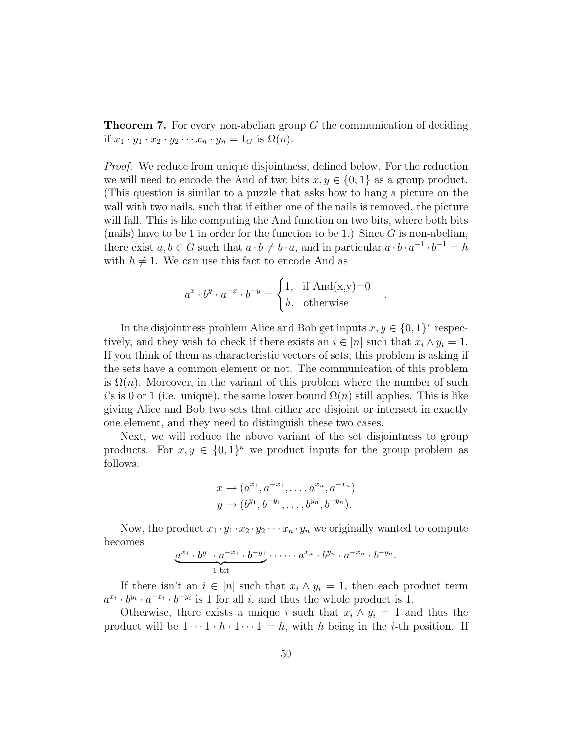**Theorem 7.** For every non-abelian group G the communication of deciding if  $x_1 \cdot y_1 \cdot x_2 \cdot y_2 \cdots x_n \cdot y_n = 1_G$  is  $\Omega(n)$ .

Proof. We reduce from unique disjointness, defined below. For the reduction we will need to encode the And of two bits  $x, y \in \{0, 1\}$  as a group product. (This question is similar to a puzzle that asks how to hang a picture on the wall with two nails, such that if either one of the nails is removed, the picture will fall. This is like computing the And function on two bits, where both bits (nails) have to be 1 in order for the function to be 1.) Since  $G$  is non-abelian, there exist  $a, b \in G$  such that  $a \cdot b \neq b \cdot a$ , and in particular  $a \cdot b \cdot a^{-1} \cdot b^{-1} = h$ with  $h \neq 1$ . We can use this fact to encode And as

$$
a^x \cdot b^y \cdot a^{-x} \cdot b^{-y} = \begin{cases} 1, & \text{if } \text{And}(x, y) = 0 \\ h, & \text{otherwise} \end{cases}
$$

.

In the disjointness problem Alice and Bob get inputs  $x, y \in \{0, 1\}^n$  respectively, and they wish to check if there exists an  $i \in [n]$  such that  $x_i \wedge y_i = 1$ . If you think of them as characteristic vectors of sets, this problem is asking if the sets have a common element or not. The communication of this problem is  $\Omega(n)$ . Moreover, in the variant of this problem where the number of such i's is 0 or 1 (i.e. unique), the same lower bound  $\Omega(n)$  still applies. This is like giving Alice and Bob two sets that either are disjoint or intersect in exactly one element, and they need to distinguish these two cases.

Next, we will reduce the above variant of the set disjointness to group products. For  $x, y \in \{0, 1\}^n$  we product inputs for the group problem as follows:

$$
x \to (a^{x_1}, a^{-x_1}, \dots, a^{x_n}, a^{-x_n})
$$
  

$$
y \to (b^{y_1}, b^{-y_1}, \dots, b^{y_n}, b^{-y_n}).
$$

Now, the product  $x_1 \cdot y_1 \cdot x_2 \cdot y_2 \cdots x_n \cdot y_n$  we originally wanted to compute becomes

$$
\underbrace{a^{x_1}\cdot b^{y_1}\cdot a^{-x_1}\cdot b^{-y_1}}_{1 \text{ bit}} \cdots \cdots a^{x_n}\cdot b^{y_n}\cdot a^{-x_n}\cdot b^{-y_n}.
$$

If there isn't an  $i \in [n]$  such that  $x_i \wedge y_i = 1$ , then each product term  $a^{x_i} \cdot b^{y_i} \cdot a^{-x_i} \cdot b^{-y_i}$  is 1 for all i, and thus the whole product is 1.

Otherwise, there exists a unique i such that  $x_i \wedge y_i = 1$  and thus the product will be  $1 \cdots 1 \cdot h \cdot 1 \cdots 1 = h$ , with h being in the i-th position. If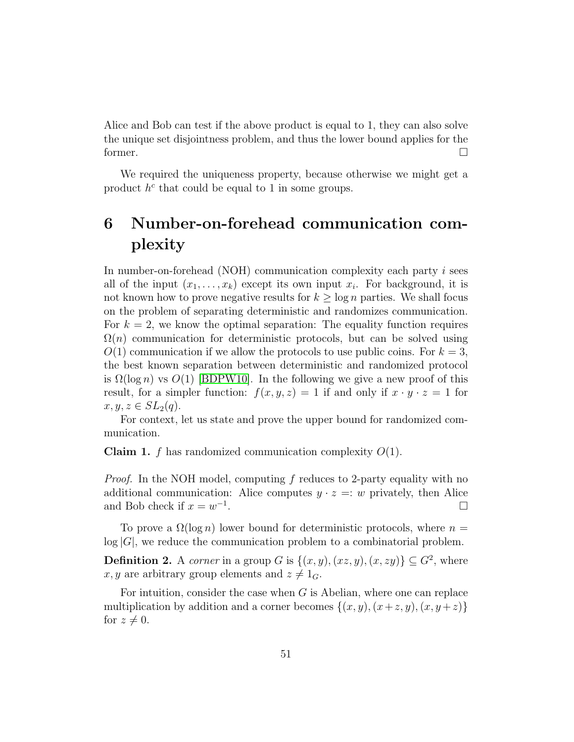Alice and Bob can test if the above product is equal to 1, they can also solve the unique set disjointness problem, and thus the lower bound applies for the former.

We required the uniqueness property, because otherwise we might get a product  $h^c$  that could be equal to 1 in some groups.

# <span id="page-50-0"></span>6 Number-on-forehead communication complexity

In number-on-forehead  $(NOH)$  communication complexity each party i sees all of the input  $(x_1, \ldots, x_k)$  except its own input  $x_i$ . For background, it is not known how to prove negative results for  $k \geq \log n$  parties. We shall focus on the problem of separating deterministic and randomizes communication. For  $k = 2$ , we know the optimal separation: The equality function requires  $\Omega(n)$  communication for deterministic protocols, but can be solved using  $O(1)$  communication if we allow the protocols to use public coins. For  $k = 3$ , the best known separation between deterministic and randomized protocol is  $\Omega(\log n)$  vs  $O(1)$  [\[BDPW10\]](#page-63-9). In the following we give a new proof of this result, for a simpler function:  $f(x, y, z) = 1$  if and only if  $x \cdot y \cdot z = 1$  for  $x, y, z \in SL_2(q)$ .

For context, let us state and prove the upper bound for randomized communication.

**Claim 1.** f has randomized communication complexity  $O(1)$ .

Proof. In the NOH model, computing f reduces to 2-party equality with no additional communication: Alice computes  $y \cdot z = w$  privately, then Alice and Bob check if  $x = w^{-1}$ .

To prove a  $\Omega(\log n)$  lower bound for deterministic protocols, where  $n =$  $log |G|$ , we reduce the communication problem to a combinatorial problem.

**Definition 2.** A corner in a group G is  $\{(x, y), (xz, y), (x, zy)\} \subseteq G^2$ , where x, y are arbitrary group elements and  $z \neq 1_G$ .

For intuition, consider the case when  $G$  is Abelian, where one can replace multiplication by addition and a corner becomes  $\{(x, y), (x + z, y), (x, y + z)\}\$ for  $z \neq 0$ .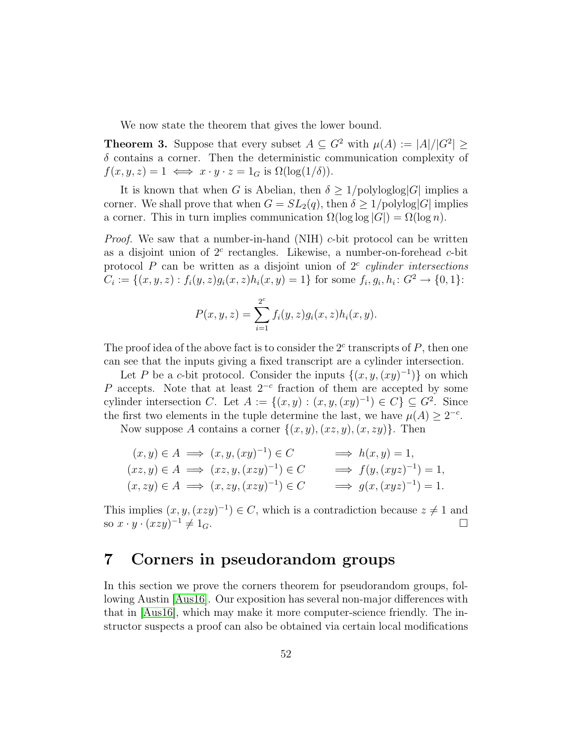We now state the theorem that gives the lower bound.

**Theorem 3.** Suppose that every subset  $A \subseteq G^2$  with  $\mu(A) := |A|/|G^2| \ge$  $\delta$  contains a corner. Then the deterministic communication complexity of  $f(x, y, z) = 1 \iff x \cdot y \cdot z = 1_G$  is  $\Omega(\log(1/\delta)).$ 

It is known that when G is Abelian, then  $\delta \geq 1/\text{polyloglog}|G|$  implies a corner. We shall prove that when  $G = SL_2(q)$ , then  $\delta \geq 1/\text{polylog}|G|$  implies a corner. This in turn implies communication  $\Omega(\log \log |G|) = \Omega(\log n)$ .

*Proof.* We saw that a number-in-hand (NIH) c-bit protocol can be written as a disjoint union of  $2<sup>c</sup>$  rectangles. Likewise, a number-on-forehead  $c$ -bit protocol P can be written as a disjoint union of  $2^c$  cylinder intersections  $C_i := \{(x, y, z) : f_i(y, z)g_i(x, z)h_i(x, y) = 1\}$  for some  $f_i, g_i, h_i : G^2 \to \{0, 1\}$ :

$$
P(x, y, z) = \sum_{i=1}^{2^c} f_i(y, z) g_i(x, z) h_i(x, y).
$$

The proof idea of the above fact is to consider the  $2<sup>c</sup>$  transcripts of  $P$ , then one can see that the inputs giving a fixed transcript are a cylinder intersection.

Let P be a c-bit protocol. Consider the inputs  $\{(x, y, (xy)^{-1})\}$  on which P accepts. Note that at least  $2^{-c}$  fraction of them are accepted by some cylinder intersection C. Let  $A := \{(x, y) : (x, y, (xy)^{-1}) \in C\} \subseteq G^2$ . Since the first two elements in the tuple determine the last, we have  $\mu(A) \geq 2^{-c}$ .

Now suppose A contains a corner  $\{(x, y), (xz, y), (x, zy)\}.$  Then

$$
(x, y) \in A \implies (x, y, (xy)^{-1}) \in C \qquad \implies h(x, y) = 1,
$$
  
\n
$$
(xz, y) \in A \implies (xz, y, (xzy)^{-1}) \in C \qquad \implies f(y, (xyz)^{-1}) = 1,
$$
  
\n
$$
(x, zy) \in A \implies (x, zy, (xzy)^{-1}) \in C \qquad \implies g(x, (xyz)^{-1}) = 1.
$$

This implies  $(x, y, (xzy)^{-1}) \in C$ , which is a contradiction because  $z \neq 1$  and so  $x \cdot y \cdot (xzy)^{-1} \neq 1_G$ .

# <span id="page-51-0"></span>7 Corners in pseudorandom groups

In this section we prove the corners theorem for pseudorandom groups, following Austin [\[Aus16\]](#page-63-10). Our exposition has several non-major differences with that in [\[Aus16\]](#page-63-10), which may make it more computer-science friendly. The instructor suspects a proof can also be obtained via certain local modifications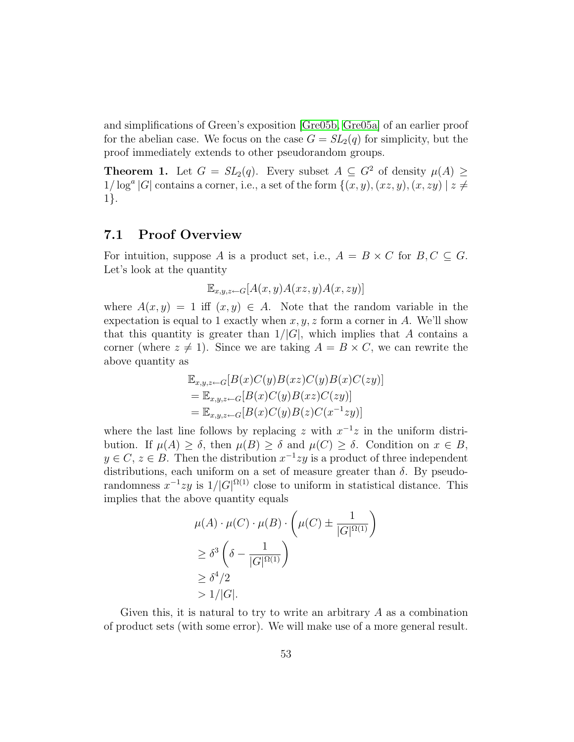and simplifications of Green's exposition [\[Gre05b,](#page-64-9) [Gre05a\]](#page-64-10) of an earlier proof for the abelian case. We focus on the case  $G = SL<sub>2</sub>(q)$  for simplicity, but the proof immediately extends to other pseudorandom groups.

**Theorem 1.** Let  $G = SL_2(q)$ . Every subset  $A \subseteq G^2$  of density  $\mu(A) \ge$  $1/\log^a |G|$  contains a corner, i.e., a set of the form  $\{(x, y), (xz, y), (x, zy) \mid z \neq 0\}$ 1}.

# <span id="page-52-0"></span>7.1 Proof Overview

For intuition, suppose A is a product set, i.e.,  $A = B \times C$  for  $B, C \subseteq G$ . Let's look at the quantity

$$
\mathbb{E}_{x,y,z \leftarrow G}[A(x,y)A(xz,y)A(x,zy)]
$$

where  $A(x, y) = 1$  iff  $(x, y) \in A$ . Note that the random variable in the expectation is equal to 1 exactly when  $x, y, z$  form a corner in A. We'll show that this quantity is greater than  $1/|G|$ , which implies that A contains a corner (where  $z \neq 1$ ). Since we are taking  $A = B \times C$ , we can rewrite the above quantity as

$$
\mathbb{E}_{x,y,z \leftarrow G}[B(x)C(y)B(xz)C(y)B(x)C(zy)]
$$
  
= 
$$
\mathbb{E}_{x,y,z \leftarrow G}[B(x)C(y)B(xz)C(zy)]
$$
  
= 
$$
\mathbb{E}_{x,y,z \leftarrow G}[B(x)C(y)B(z)C(x^{-1}zy)]
$$

where the last line follows by replacing z with  $x^{-1}z$  in the uniform distribution. If  $\mu(A) \geq \delta$ , then  $\mu(B) \geq \delta$  and  $\mu(C) \geq \delta$ . Condition on  $x \in B$ ,  $y \in C$ ,  $z \in B$ . Then the distribution  $x^{-1}zy$  is a product of three independent distributions, each uniform on a set of measure greater than  $\delta$ . By pseudorandomness  $x^{-1}zy$  is  $1/|G|^{\Omega(1)}$  close to uniform in statistical distance. This implies that the above quantity equals

$$
\mu(A) \cdot \mu(C) \cdot \mu(B) \cdot \left(\mu(C) \pm \frac{1}{|G|^{\Omega(1)}}\right)
$$
  
\n
$$
\geq \delta^3 \left(\delta - \frac{1}{|G|^{\Omega(1)}}\right)
$$
  
\n
$$
\geq \delta^4/2
$$
  
\n
$$
> 1/|G|.
$$

Given this, it is natural to try to write an arbitrary  $A$  as a combination of product sets (with some error). We will make use of a more general result.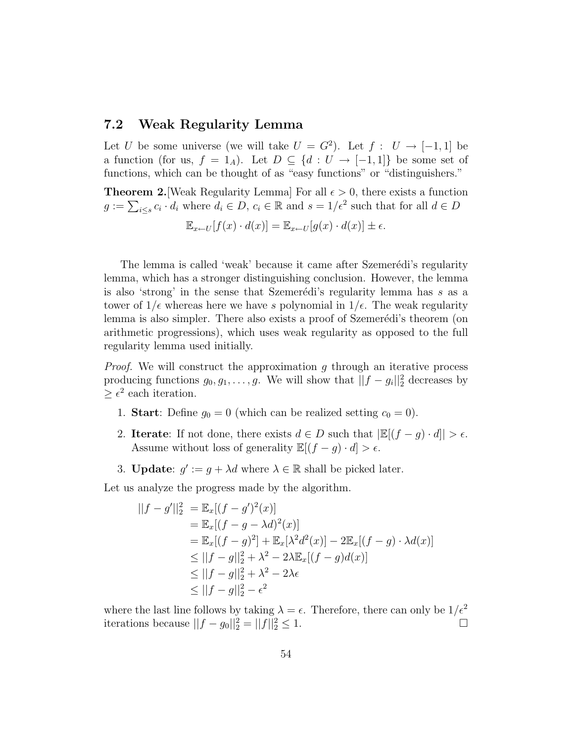### <span id="page-53-0"></span>7.2 Weak Regularity Lemma

Let U be some universe (we will take  $U = G^2$ ). Let  $f : U \to [-1,1]$  be a function (for us,  $f = 1_A$ ). Let  $D \subset \{d : U \to [-1,1]\}$  be some set of functions, which can be thought of as "easy functions" or "distinguishers."

**Theorem 2.** Weak Regularity Lemma For all  $\epsilon > 0$ , there exists a function  $g := \sum_{i \leq s} c_i \cdot d_i$  where  $d_i \in D$ ,  $c_i \in \mathbb{R}$  and  $s = 1/\epsilon^2$  such that for all  $d \in D$ 

$$
\mathbb{E}_{x \leftarrow U}[f(x) \cdot d(x)] = \mathbb{E}_{x \leftarrow U}[g(x) \cdot d(x)] \pm \epsilon.
$$

The lemma is called 'weak' because it came after Szemerédi's regularity lemma, which has a stronger distinguishing conclusion. However, the lemma is also 'strong' in the sense that Szemerédi's regularity lemma has  $s$  as a tower of  $1/\epsilon$  whereas here we have s polynomial in  $1/\epsilon$ . The weak regularity lemma is also simpler. There also exists a proof of Szemerédi's theorem (on arithmetic progressions), which uses weak regularity as opposed to the full regularity lemma used initially.

Proof. We will construct the approximation g through an iterative process producing functions  $g_0, g_1, \ldots, g$ . We will show that  $||f - g_i||_2^2$  decreases by  $\geq \epsilon^2$  each iteration.

- 1. **Start**: Define  $g_0 = 0$  (which can be realized setting  $c_0 = 0$ ).
- 2. **Iterate**: If not done, there exists  $d \in D$  such that  $|\mathbb{E}[(f-g) \cdot d]| > \epsilon$ . Assume without loss of generality  $\mathbb{E}[(f-g)\cdot d] > \epsilon$ .
- 3. **Update**:  $g' := g + \lambda d$  where  $\lambda \in \mathbb{R}$  shall be picked later.

Let us analyze the progress made by the algorithm.

$$
||f - g'||_2^2 = \mathbb{E}_x[(f - g')^2(x)]
$$
  
=  $\mathbb{E}_x[(f - g - \lambda d)^2(x)]$   
=  $\mathbb{E}_x[(f - g)^2] + \mathbb{E}_x[\lambda^2 d^2(x)] - 2\mathbb{E}_x[(f - g) \cdot \lambda d(x)]$   
 $\leq ||f - g||_2^2 + \lambda^2 - 2\lambda \mathbb{E}_x[(f - g)d(x)]$   
 $\leq ||f - g||_2^2 + \lambda^2 - 2\lambda \epsilon$   
 $\leq ||f - g||_2^2 - \epsilon^2$ 

where the last line follows by taking  $\lambda = \epsilon$ . Therefore, there can only be  $1/\epsilon^2$ iterations because  $||f - g_0||_2^2 = ||f||_2^2 \le 1$ . □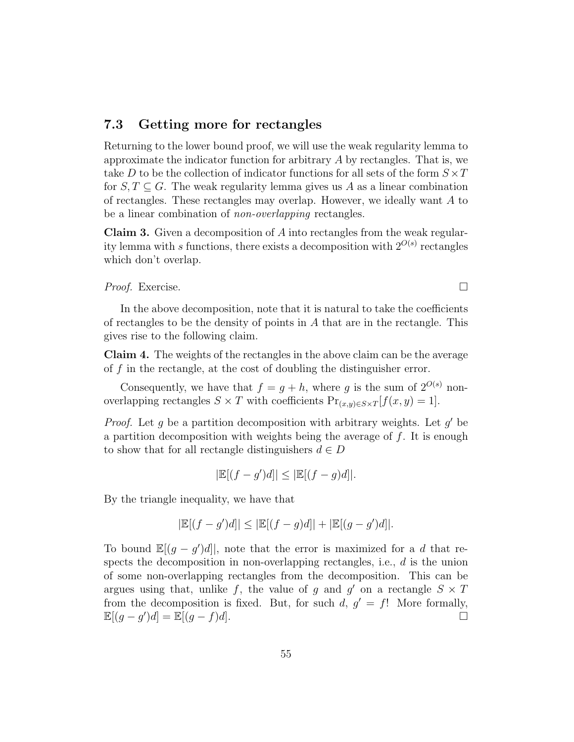# <span id="page-54-0"></span>7.3 Getting more for rectangles

Returning to the lower bound proof, we will use the weak regularity lemma to approximate the indicator function for arbitrary  $A$  by rectangles. That is, we take D to be the collection of indicator functions for all sets of the form  $S \times T$ for  $S, T \subseteq G$ . The weak regularity lemma gives us A as a linear combination of rectangles. These rectangles may overlap. However, we ideally want A to be a linear combination of *non-overlapping* rectangles.

Claim 3. Given a decomposition of A into rectangles from the weak regularity lemma with s functions, there exists a decomposition with  $2^{O(s)}$  rectangles which don't overlap.

*Proof.* Exercise.  $\Box$ 

In the above decomposition, note that it is natural to take the coefficients of rectangles to be the density of points in A that are in the rectangle. This gives rise to the following claim.

Claim 4. The weights of the rectangles in the above claim can be the average of f in the rectangle, at the cost of doubling the distinguisher error.

Consequently, we have that  $f = q + h$ , where q is the sum of  $2^{O(s)}$  nonoverlapping rectangles  $S \times T$  with coefficients  $Pr_{(x,y)\in S\times T}[f(x,y)=1].$ 

*Proof.* Let  $g$  be a partition decomposition with arbitrary weights. Let  $g'$  be a partition decomposition with weights being the average of  $f$ . It is enough to show that for all rectangle distinguishers  $d \in D$ 

$$
|\mathbb{E}[(f-g')d]| \leq |\mathbb{E}[(f-g)d]|.
$$

By the triangle inequality, we have that

$$
|\mathbb{E}[(f-g')d]| \le |\mathbb{E}[(f-g)d]| + |\mathbb{E}[(g-g')d]|.
$$

To bound  $\mathbb{E}[(g-g')d]$ , note that the error is maximized for a d that respects the decomposition in non-overlapping rectangles, i.e.,  $d$  is the union of some non-overlapping rectangles from the decomposition. This can be argues using that, unlike f, the value of g and g' on a rectangle  $S \times T$ from the decomposition is fixed. But, for such  $d, g' = f!$  More formally,  $\mathbb{E}[(g-g')d] = \mathbb{E}[(g-f)d].$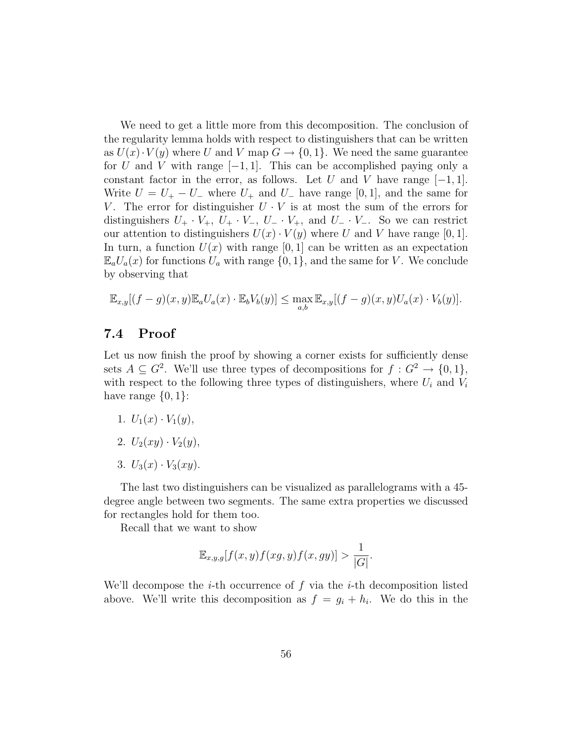We need to get a little more from this decomposition. The conclusion of the regularity lemma holds with respect to distinguishers that can be written as  $U(x) \cdot V(y)$  where U and V map  $G \to \{0, 1\}$ . We need the same guarantee for U and V with range  $[-1, 1]$ . This can be accomplished paying only a constant factor in the error, as follows. Let U and V have range  $[-1, 1]$ . Write  $U = U_{+} - U_{-}$  where  $U_{+}$  and  $U_{-}$  have range [0, 1], and the same for V. The error for distinguisher  $U \cdot V$  is at most the sum of the errors for distinguishers  $U_+ \cdot V_+$ ,  $U_+ \cdot V_-$ ,  $U_- \cdot V_+$ , and  $U_- \cdot V_-$ . So we can restrict our attention to distinguishers  $U(x) \cdot V(y)$  where U and V have range [0, 1]. In turn, a function  $U(x)$  with range [0, 1] can be written as an expectation  $\mathbb{E}_a U_a(x)$  for functions  $U_a$  with range  $\{0, 1\}$ , and the same for V. We conclude by observing that

$$
\mathbb{E}_{x,y}[(f-g)(x,y)\mathbb{E}_a U_a(x)\cdot \mathbb{E}_b V_b(y)] \leq \max_{a,b}\mathbb{E}_{x,y}[(f-g)(x,y)U_a(x)\cdot V_b(y)].
$$

### <span id="page-55-0"></span>7.4 Proof

Let us now finish the proof by showing a corner exists for sufficiently dense sets  $A \subseteq G^2$ . We'll use three types of decompositions for  $f : G^2 \to \{0,1\},$ with respect to the following three types of distinguishers, where  $U_i$  and  $V_i$ have range  $\{0, 1\}$ :

- 1.  $U_1(x) \cdot V_1(y)$ ,
- 2.  $U_2(xy) \cdot V_2(y)$ ,
- 3.  $U_3(x) \cdot V_3(xy)$ .

The last two distinguishers can be visualized as parallelograms with a 45 degree angle between two segments. The same extra properties we discussed for rectangles hold for them too.

Recall that we want to show

$$
\mathbb{E}_{x,y,g}[f(x,y)f(xg,y)f(x,gy)] > \frac{1}{|G|}.
$$

We'll decompose the *i*-th occurrence of f via the *i*-th decomposition listed above. We'll write this decomposition as  $f = g_i + h_i$ . We do this in the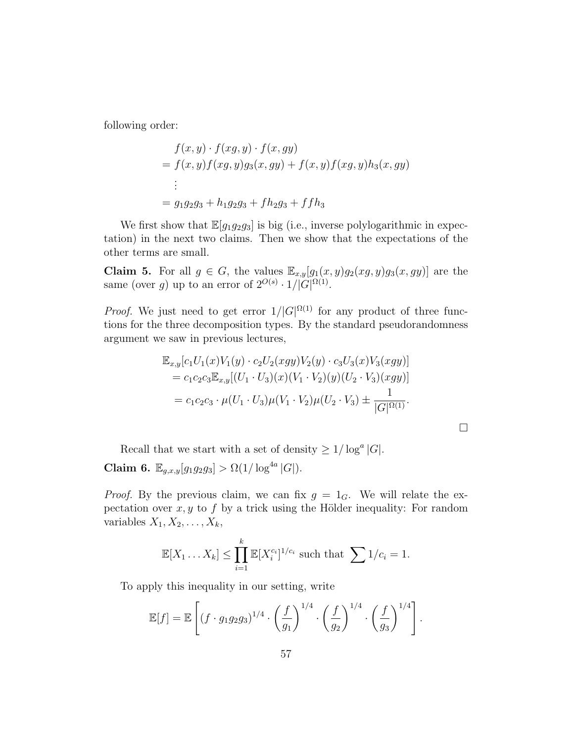following order:

$$
f(x,y) \cdot f(xg,y) \cdot f(x,gy)
$$
  
=  $f(x,y)f(xg,y)g_3(x,gy) + f(x,y)f(xg,y)h_3(x,gy)$   
:  
=  $g_1g_2g_3 + h_1g_2g_3 + fh_2g_3 + ffh_3$ 

We first show that  $\mathbb{E}[g_1g_2g_3]$  is big (i.e., inverse polylogarithmic in expectation) in the next two claims. Then we show that the expectations of the other terms are small.

**Claim 5.** For all  $g \in G$ , the values  $\mathbb{E}_{x,y}[g_1(x,y)g_2(xg,y)g_3(x,gy)]$  are the same (over g) up to an error of  $2^{O(s)} \cdot 1/|G|^{\Omega(1)}$ .

*Proof.* We just need to get error  $1/|G|^{\Omega(1)}$  for any product of three functions for the three decomposition types. By the standard pseudorandomness argument we saw in previous lectures,

$$
\mathbb{E}_{x,y}[c_1U_1(x)V_1(y) \cdot c_2U_2(xgy)V_2(y) \cdot c_3U_3(x)V_3(xgy)]
$$
  
=  $c_1c_2c_3\mathbb{E}_{x,y}[(U_1 \cdot U_3)(x)(V_1 \cdot V_2)(y)(U_2 \cdot V_3)(xgy)]$   
=  $c_1c_2c_3 \cdot \mu(U_1 \cdot U_3)\mu(V_1 \cdot V_2)\mu(U_2 \cdot V_3) \pm \frac{1}{|G|^{\Omega(1)}}.$ 

 $\Box$ 

Recall that we start with a set of density  $\geq 1/\log^a |G|$ .

Claim 6.  $\mathbb{E}_{g,x,y}[g_1g_2g_3] > \Omega(1/\log^{4a}|G|)$ .

*Proof.* By the previous claim, we can fix  $g = 1_G$ . We will relate the expectation over  $x, y$  to  $f$  by a trick using the Hölder inequality: For random variables  $X_1, X_2, \ldots, X_k$ ,

$$
\mathbb{E}[X_1 \dots X_k] \le \prod_{i=1}^k \mathbb{E}[X_i^{c_i}]^{1/c_i} \text{ such that } \sum 1/c_i = 1.
$$

To apply this inequality in our setting, write

$$
\mathbb{E}[f] = \mathbb{E}\left[ (f \cdot g_1 g_2 g_3)^{1/4} \cdot \left(\frac{f}{g_1}\right)^{1/4} \cdot \left(\frac{f}{g_2}\right)^{1/4} \cdot \left(\frac{f}{g_3}\right)^{1/4} \right].
$$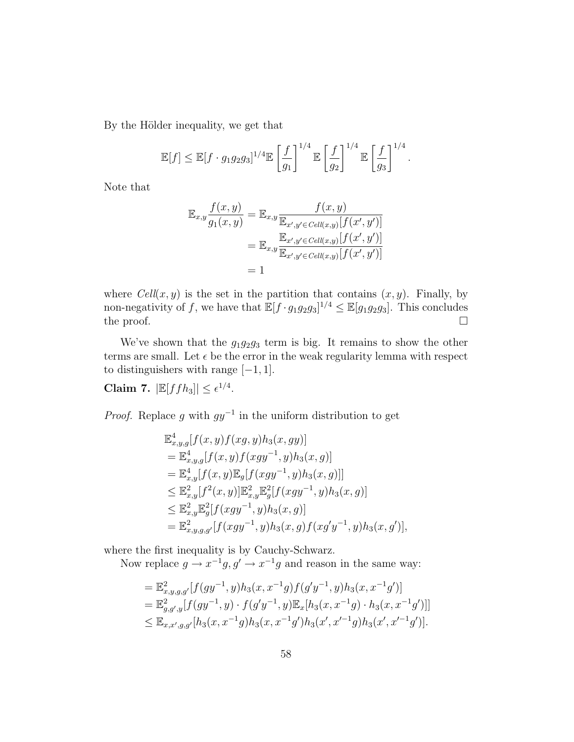By the Hölder inequality, we get that

$$
\mathbb{E}[f] \le \mathbb{E}[f \cdot g_1 g_2 g_3]^{1/4} \mathbb{E}\left[\frac{f}{g_1}\right]^{1/4} \mathbb{E}\left[\frac{f}{g_2}\right]^{1/4} \mathbb{E}\left[\frac{f}{g_3}\right]^{1/4}.
$$

Note that

$$
\mathbb{E}_{x,y} \frac{f(x,y)}{g_1(x,y)} = \mathbb{E}_{x,y} \frac{f(x,y)}{\mathbb{E}_{x',y' \in \text{Cell}(x,y)}[f(x',y')]} \n= \mathbb{E}_{x,y} \frac{\mathbb{E}_{x',y' \in \text{Cell}(x,y)}[f(x',y')]}{\mathbb{E}_{x',y' \in \text{Cell}(x,y)}[f(x',y')]} \n= 1
$$

where  $Cell(x, y)$  is the set in the partition that contains  $(x, y)$ . Finally, by non-negativity of f, we have that  $\mathbb{E}[f \cdot g_1 g_2 g_3]^{1/4} \leq \mathbb{E}[g_1 g_2 g_3]$ . This concludes the proof.  $\Box$ 

We've shown that the  $g_1g_2g_3$  term is big. It remains to show the other terms are small. Let  $\epsilon$  be the error in the weak regularity lemma with respect to distinguishers with range  $[-1, 1]$ .

Claim 7.  $|\mathbb{E}[ffh_3]| \leq \epsilon^{1/4}$ .

*Proof.* Replace g with  $gy^{-1}$  in the uniform distribution to get

$$
\mathbb{E}^{4}_{x,y,g}[f(x,y)f(xg,y)h_3(x,gy)]
$$
\n
$$
= \mathbb{E}^{4}_{x,y,g}[f(x,y)f(xgy^{-1},y)h_3(x,g)]
$$
\n
$$
= \mathbb{E}^{4}_{x,y}[f(x,y)\mathbb{E}_{g}[f(xgy^{-1},y)h_3(x,g)]]
$$
\n
$$
\leq \mathbb{E}^{2}_{x,y}[f^{2}(x,y)]\mathbb{E}^{2}_{x,y}\mathbb{E}^{2}_{g}[f(xgy^{-1},y)h_3(x,g)]
$$
\n
$$
\leq \mathbb{E}^{2}_{x,y}\mathbb{E}^{2}_{g}[f(xgy^{-1},y)h_3(x,g)]
$$
\n
$$
= \mathbb{E}^{2}_{x,y,g,g'}[f(xgy^{-1},y)h_3(x,g)f(xg'y^{-1},y)h_3(x,g')],
$$

where the first inequality is by Cauchy-Schwarz.

Now replace  $g \to x^{-1}g$ ,  $g' \to x^{-1}g$  and reason in the same way:

$$
= \mathbb{E}^2_{x,y,g,g'}[f(gy^{-1},y)h_3(x,x^{-1}g)f(g'y^{-1},y)h_3(x,x^{-1}g')]
$$
  
\n
$$
= \mathbb{E}^2_{g,g',y}[f(gy^{-1},y)\cdot f(g'y^{-1},y)\mathbb{E}_x[h_3(x,x^{-1}g)\cdot h_3(x,x^{-1}g')]]
$$
  
\n
$$
\leq \mathbb{E}_{x,x',g,g'}[h_3(x,x^{-1}g)h_3(x,x^{-1}g')h_3(x',x'^{-1}g)h_3(x',x'^{-1}g')].
$$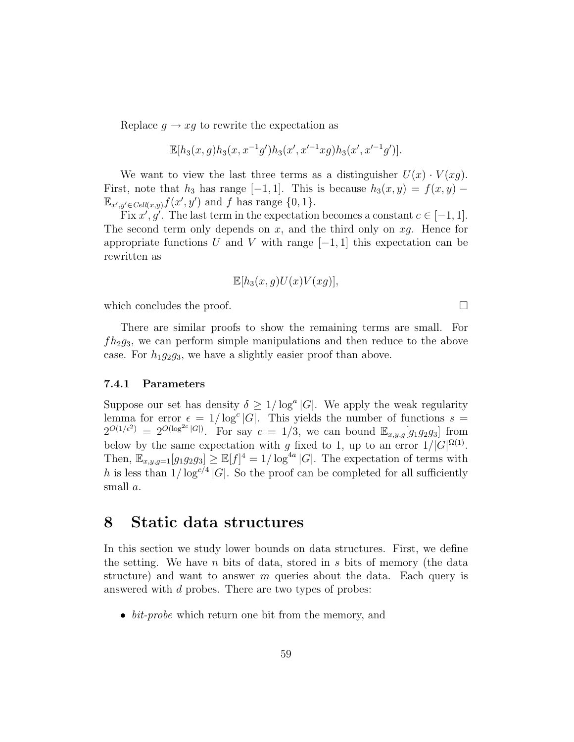Replace  $g \to xg$  to rewrite the expectation as

$$
\mathbb{E}[h_3(x,g)h_3(x,x^{-1}g')h_3(x',x'^{-1}xg)h_3(x',x'^{-1}g')].
$$

We want to view the last three terms as a distinguisher  $U(x) \cdot V(xq)$ . First, note that  $h_3$  has range [−1, 1]. This is because  $h_3(x, y) = f(x, y)$  –  $\mathbb{E}_{x',y'\in\mathit{Cell}(x,y)} f(x',y')$  and f has range  $\{0,1\}.$ 

Fix  $x', g'$ . The last term in the expectation becomes a constant  $c \in [-1, 1]$ . The second term only depends on  $x$ , and the third only on  $xg$ . Hence for appropriate functions U and V with range  $[-1, 1]$  this expectation can be rewritten as

$$
\mathbb{E}[h_3(x,g)U(x)V(xg)],
$$

which concludes the proof.  $\Box$ 

There are similar proofs to show the remaining terms are small. For  $fh_2g_3$ , we can perform simple manipulations and then reduce to the above case. For  $h_1g_2g_3$ , we have a slightly easier proof than above.

#### <span id="page-58-0"></span>7.4.1 Parameters

Suppose our set has density  $\delta \geq 1/\log^4 |G|$ . We apply the weak regularity lemma for error  $\epsilon = 1/\log^c |G|$ . This yields the number of functions  $s =$  $2^{O(1/\epsilon^2)} = 2^{O(\log^{2c}|G|)}$ . For say  $c = 1/3$ , we can bound  $\mathbb{E}_{x,y,g}[g_1g_2g_3]$  from below by the same expectation with g fixed to 1, up to an error  $1/|G|^{\Omega(1)}$ . Then,  $\mathbb{E}_{x,y,g=1}[g_1g_2g_3] \geq \mathbb{E}[f]^4 = 1/\log^{4a} |G|$ . The expectation of terms with h is less than  $1/\log^{c/4} |G|$ . So the proof can be completed for all sufficiently small a.

# <span id="page-58-1"></span>8 Static data structures

In this section we study lower bounds on data structures. First, we define the setting. We have n bits of data, stored in s bits of memory (the data structure) and want to answer  $m$  queries about the data. Each query is answered with d probes. There are two types of probes:

• bit-probe which return one bit from the memory, and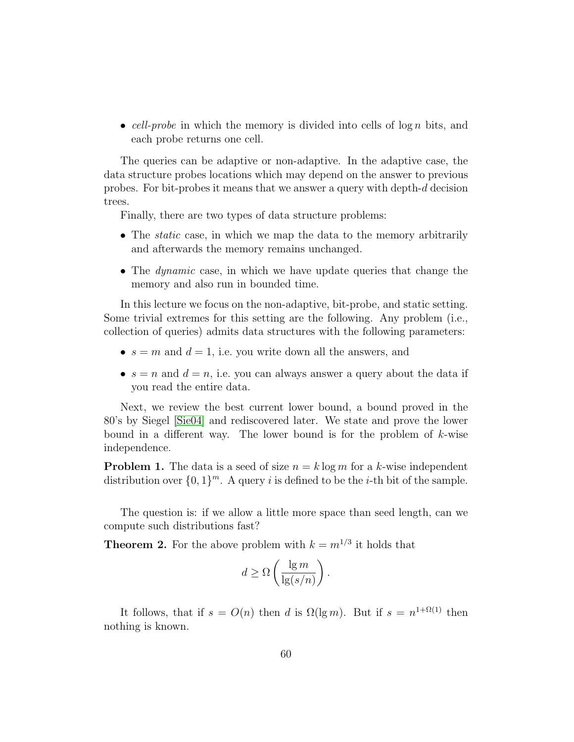• cell-probe in which the memory is divided into cells of  $\log n$  bits, and each probe returns one cell.

The queries can be adaptive or non-adaptive. In the adaptive case, the data structure probes locations which may depend on the answer to previous probes. For bit-probes it means that we answer a query with depth-d decision trees.

Finally, there are two types of data structure problems:

- The *static* case, in which we map the data to the memory arbitrarily and afterwards the memory remains unchanged.
- The *dynamic* case, in which we have update queries that change the memory and also run in bounded time.

In this lecture we focus on the non-adaptive, bit-probe, and static setting. Some trivial extremes for this setting are the following. Any problem (i.e., collection of queries) admits data structures with the following parameters:

- $s = m$  and  $d = 1$ , i.e. you write down all the answers, and
- $s = n$  and  $d = n$ , i.e. you can always answer a query about the data if you read the entire data.

Next, we review the best current lower bound, a bound proved in the 80's by Siegel [\[Sie04\]](#page-65-8) and rediscovered later. We state and prove the lower bound in a different way. The lower bound is for the problem of  $k$ -wise independence.

**Problem 1.** The data is a seed of size  $n = k \log m$  for a k-wise independent distribution over  $\{0,1\}^m$ . A query *i* is defined to be the *i*-th bit of the sample.

The question is: if we allow a little more space than seed length, can we compute such distributions fast?

**Theorem 2.** For the above problem with  $k = m^{1/3}$  it holds that

$$
d \ge \Omega\left(\frac{\lg m}{\lg(s/n)}\right).
$$

It follows, that if  $s = O(n)$  then d is  $\Omega(\lg m)$ . But if  $s = n^{1+\Omega(1)}$  then nothing is known.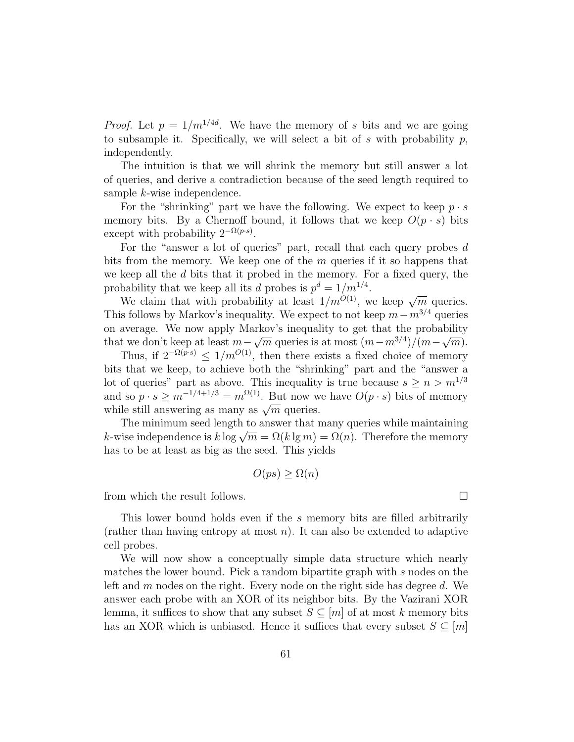*Proof.* Let  $p = 1/m^{1/4d}$ . We have the memory of s bits and we are going to subsample it. Specifically, we will select a bit of s with probability  $p$ , independently.

The intuition is that we will shrink the memory but still answer a lot of queries, and derive a contradiction because of the seed length required to sample k-wise independence.

For the "shrinking" part we have the following. We expect to keep  $p \cdot s$ memory bits. By a Chernoff bound, it follows that we keep  $O(p \cdot s)$  bits except with probability  $2^{-\Omega(p \cdot s)}$ .

For the "answer a lot of queries" part, recall that each query probes  $d$ bits from the memory. We keep one of the  $m$  queries if it so happens that we keep all the  $d$  bits that it probed in the memory. For a fixed query, the probability that we keep all its d probes is  $p^d = 1/m^{1/4}$ .

bability that we keep all its a probes is  $p = 1/m^{\gamma}$ .<br>We claim that with probability at least  $1/m^{O(1)}$ , we keep  $\sqrt{m}$  queries. This follows by Markov's inequality. We expect to not keep  $m-m^{3/4}$  queries on average. We now apply Markov's inequality to get that the probability that we don't keep at least  $m$ where  $\sqrt{m}$  queries is at most  $(m-m^{3/4})/(m$ µ∪<br>∖  $\overline{m}).$ 

Thus, if  $2^{-\Omega(p\cdot s)} \leq 1/m^{O(1)}$ , then there exists a fixed choice of memory bits that we keep, to achieve both the "shrinking" part and the "answer a lot of queries" part as above. This inequality is true because  $s \ge n > m^{1/3}$ and so  $p \cdot s \geq m^{-1/4+1/3} = m^{\Omega(1)}$ . But now we have  $O(p \cdot s)$  bits of memory while still answering as many as  $\sqrt{m}$  queries.

The minimum seed length to answer that many queries while maintaining The imminum seed length to answer that many queries while maintaining k-wise independence is  $k \log \sqrt{m} = \Omega(k \lg m) = \Omega(n)$ . Therefore the memory has to be at least as big as the seed. This yields

$$
O(ps) \geq \Omega(n)
$$

from which the result follows.

This lower bound holds even if the s memory bits are filled arbitrarily (rather than having entropy at most  $n$ ). It can also be extended to adaptive cell probes.

We will now show a conceptually simple data structure which nearly matches the lower bound. Pick a random bipartite graph with s nodes on the left and  $m$  nodes on the right. Every node on the right side has degree  $d$ . We answer each probe with an XOR of its neighbor bits. By the Vazirani XOR lemma, it suffices to show that any subset  $S \subseteq [m]$  of at most k memory bits has an XOR which is unbiased. Hence it suffices that every subset  $S \subseteq [m]$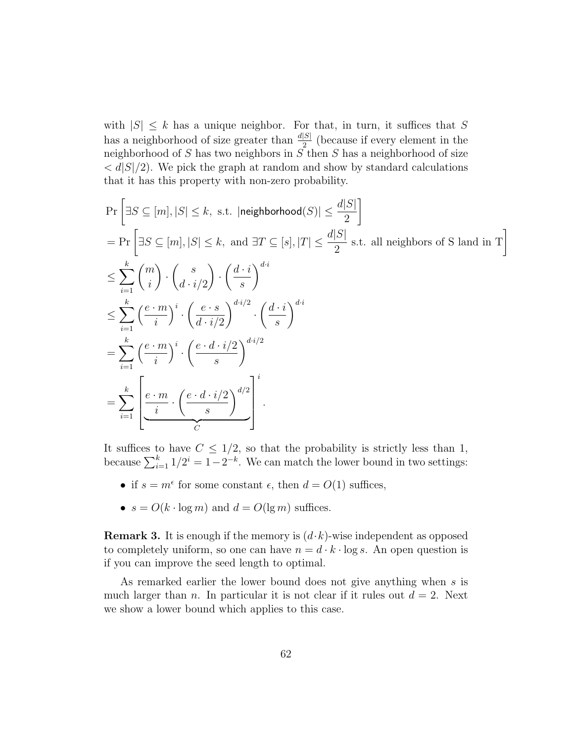with  $|S| \leq k$  has a unique neighbor. For that, in turn, it suffices that S has a neighborhood of size greater than  $\frac{d|S|}{2}$  (because if every element in the neighborhood of S has two neighbors in S then S has a neighborhood of size  $\langle d|S|/2$ . We pick the graph at random and show by standard calculations that it has this property with non-zero probability.

$$
\Pr\left[\exists S \subseteq [m], |S| \le k, \text{ s.t. } |\text{neighborhood}(S)| \le \frac{d|S|}{2}\right]
$$
\n
$$
= \Pr\left[\exists S \subseteq [m], |S| \le k, \text{ and } \exists T \subseteq [s], |T| \le \frac{d|S|}{2} \text{ s.t. all neighbors of S land in T}\right]
$$
\n
$$
\le \sum_{i=1}^{k} {m \choose i} \cdot {s \choose d \cdot i/2} \cdot \left(\frac{d \cdot i}{s}\right)^{d \cdot i}
$$
\n
$$
\le \sum_{i=1}^{k} \left(\frac{e \cdot m}{i}\right)^i \cdot \left(\frac{e \cdot s}{d \cdot i/2}\right)^{d \cdot i/2} \cdot \left(\frac{d \cdot i}{s}\right)^{d \cdot i}
$$
\n
$$
= \sum_{i=1}^{k} \left(\frac{e \cdot m}{i}\right)^i \cdot \left(\frac{e \cdot d \cdot i/2}{s}\right)^{d \cdot i/2}
$$
\n
$$
= \sum_{i=1}^{k} \left[\frac{e \cdot m}{i} \cdot \left(\frac{e \cdot d \cdot i/2}{s}\right)^{d/2}\right]^i
$$

It suffices to have  $C \leq 1/2$ , so that the probability is strictly less than 1, because  $\sum_{i=1}^{k} 1/2^{i} = 1-2^{-k}$ . We can match the lower bound in two settings:

- if  $s = m^{\epsilon}$  for some constant  $\epsilon$ , then  $d = O(1)$  suffices,
- $s = O(k \cdot \log m)$  and  $d = O(\lg m)$  suffices.

**Remark 3.** It is enough if the memory is  $(d \cdot k)$ -wise independent as opposed to completely uniform, so one can have  $n = d \cdot k \cdot \log s$ . An open question is if you can improve the seed length to optimal.

As remarked earlier the lower bound does not give anything when s is much larger than *n*. In particular it is not clear if it rules out  $d = 2$ . Next we show a lower bound which applies to this case.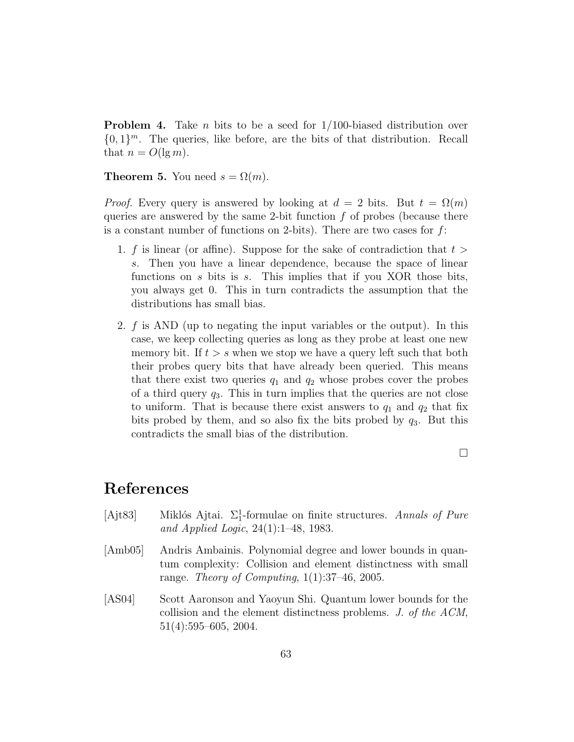**Problem 4.** Take *n* bits to be a seed for  $1/100$ -biased distribution over  ${0,1}^m$ . The queries, like before, are the bits of that distribution. Recall that  $n = O(\lg m)$ .

**Theorem 5.** You need  $s = \Omega(m)$ .

*Proof.* Every query is answered by looking at  $d = 2$  bits. But  $t = \Omega(m)$ queries are answered by the same 2-bit function  $f$  of probes (because there is a constant number of functions on 2-bits). There are two cases for  $f$ :

- 1. f is linear (or affine). Suppose for the sake of contradiction that  $t >$ s. Then you have a linear dependence, because the space of linear functions on  $s$  bits is  $s$ . This implies that if you XOR those bits, you always get 0. This in turn contradicts the assumption that the distributions has small bias.
- 2. f is AND (up to negating the input variables or the output). In this case, we keep collecting queries as long as they probe at least one new memory bit. If  $t > s$  when we stop we have a query left such that both their probes query bits that have already been queried. This means that there exist two queries  $q_1$  and  $q_2$  whose probes cover the probes of a third query  $q_3$ . This in turn implies that the queries are not close to uniform. That is because there exist answers to  $q_1$  and  $q_2$  that fix bits probed by them, and so also fix the bits probed by  $q_3$ . But this contradicts the small bias of the distribution.

 $\Box$ 

# References

- <span id="page-62-0"></span>[Ajt83] Miklós Ajtai.  $\Sigma_1^1$ -formulae on finite structures. Annals of Pure and Applied Logic, 24(1):1–48, 1983.
- <span id="page-62-2"></span>[Amb05] Andris Ambainis. Polynomial degree and lower bounds in quantum complexity: Collision and element distinctness with small range. Theory of Computing, 1(1):37–46, 2005.
- <span id="page-62-1"></span>[AS04] Scott Aaronson and Yaoyun Shi. Quantum lower bounds for the collision and the element distinctness problems. J. of the ACM, 51(4):595–605, 2004.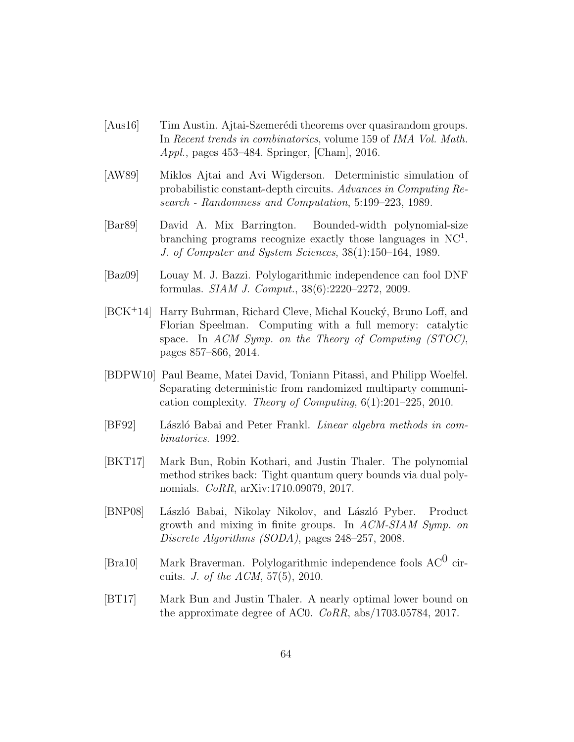- <span id="page-63-10"></span>[Aus16] Tim Austin. A jtai-Szemerédi theorems over quasirandom groups. In Recent trends in combinatorics, volume 159 of IMA Vol. Math. Appl., pages 453–484. Springer, [Cham], 2016.
- <span id="page-63-3"></span>[AW89] Miklos Ajtai and Avi Wigderson. Deterministic simulation of probabilistic constant-depth circuits. Advances in Computing Research - Randomness and Computation, 5:199–223, 1989.
- <span id="page-63-6"></span>[Bar89] David A. Mix Barrington. Bounded-width polynomial-size branching programs recognize exactly those languages in  $NC<sup>1</sup>$ . J. of Computer and System Sciences, 38(1):150–164, 1989.
- <span id="page-63-1"></span>[Baz09] Louay M. J. Bazzi. Polylogarithmic independence can fool DNF formulas. SIAM J. Comput., 38(6):2220–2272, 2009.
- <span id="page-63-7"></span>[BCK+14] Harry Buhrman, Richard Cleve, Michal Koucký, Bruno Loff, and Florian Speelman. Computing with a full memory: catalytic space. In ACM Symp. on the Theory of Computing (STOC), pages 857–866, 2014.
- <span id="page-63-9"></span>[BDPW10] Paul Beame, Matei David, Toniann Pitassi, and Philipp Woelfel. Separating deterministic from randomized multiparty communication complexity. Theory of Computing,  $6(1):201-225$ , 2010.
- <span id="page-63-0"></span>[BF92] László Babai and Peter Frankl. Linear algebra methods in combinatorics. 1992.
- <span id="page-63-5"></span>[BKT17] Mark Bun, Robin Kothari, and Justin Thaler. The polynomial method strikes back: Tight quantum query bounds via dual polynomials. CoRR, arXiv:1710.09079, 2017.
- <span id="page-63-8"></span>[BNP08] László Babai, Nikolay Nikolov, and László Pyber. Product growth and mixing in finite groups. In ACM-SIAM Symp. on Discrete Algorithms (SODA), pages 248–257, 2008.
- <span id="page-63-2"></span> $[Bra10]$  Mark Braverman. Polylogarithmic independence fools AC<sup>0</sup> circuits. J. of the ACM, 57(5), 2010.
- <span id="page-63-4"></span>[BT17] Mark Bun and Justin Thaler. A nearly optimal lower bound on the approximate degree of AC0. CoRR, abs/1703.05784, 2017.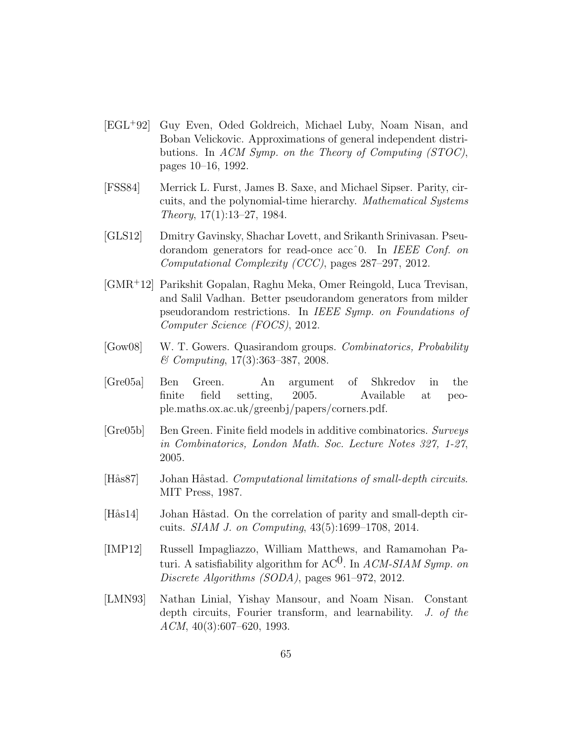- <span id="page-64-0"></span>[EGL<sup>+</sup>92] Guy Even, Oded Goldreich, Michael Luby, Noam Nisan, and Boban Velickovic. Approximations of general independent distributions. In ACM Symp. on the Theory of Computing (STOC), pages 10–16, 1992.
- <span id="page-64-1"></span>[FSS84] Merrick L. Furst, James B. Saxe, and Michael Sipser. Parity, circuits, and the polynomial-time hierarchy. Mathematical Systems Theory, 17(1):13–27, 1984.
- <span id="page-64-7"></span>[GLS12] Dmitry Gavinsky, Shachar Lovett, and Srikanth Srinivasan. Pseudorandom generators for read-once acc<sup>o</sup>0. In IEEE Conf. on Computational Complexity (CCC), pages 287–297, 2012.
- <span id="page-64-6"></span>[GMR<sup>+</sup>12] Parikshit Gopalan, Raghu Meka, Omer Reingold, Luca Trevisan, and Salil Vadhan. Better pseudorandom generators from milder pseudorandom restrictions. In IEEE Symp. on Foundations of Computer Science (FOCS), 2012.
- <span id="page-64-8"></span>[Gow08] W. T. Gowers. Quasirandom groups. Combinatorics, Probability & Computing, 17(3):363–387, 2008.
- <span id="page-64-10"></span>[Gre05a] Ben Green. An argument of Shkredov in the finite field setting, 2005. Available at people.maths.ox.ac.uk/greenbj/papers/corners.pdf.
- <span id="page-64-9"></span>[Gre05b] Ben Green. Finite field models in additive combinatorics. Surveys in Combinatorics, London Math. Soc. Lecture Notes 327, 1-27, 2005.
- <span id="page-64-2"></span>[Hås87] Johan Håstad. Computational limitations of small-depth circuits. MIT Press, 1987.
- <span id="page-64-4"></span>[Hås14] Johan Håstad. On the correlation of parity and small-depth circuits. SIAM J. on Computing, 43(5):1699–1708, 2014.
- <span id="page-64-5"></span>[IMP12] Russell Impagliazzo, William Matthews, and Ramamohan Paturi. A satisfiability algorithm for AC<sup>0</sup>. In ACM-SIAM Symp. on Discrete Algorithms (SODA), pages 961–972, 2012.
- <span id="page-64-3"></span>[LMN93] Nathan Linial, Yishay Mansour, and Noam Nisan. Constant depth circuits, Fourier transform, and learnability. J. of the  $ACM$ , 40(3):607–620, 1993.